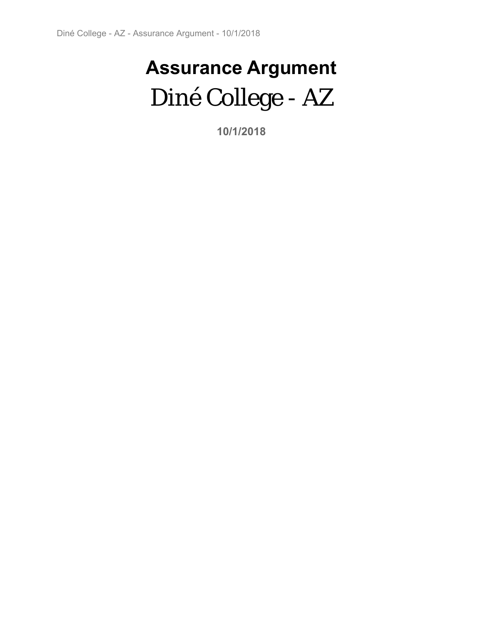# **Assurance Argument**  Diné College - AZ

**10/1/2018**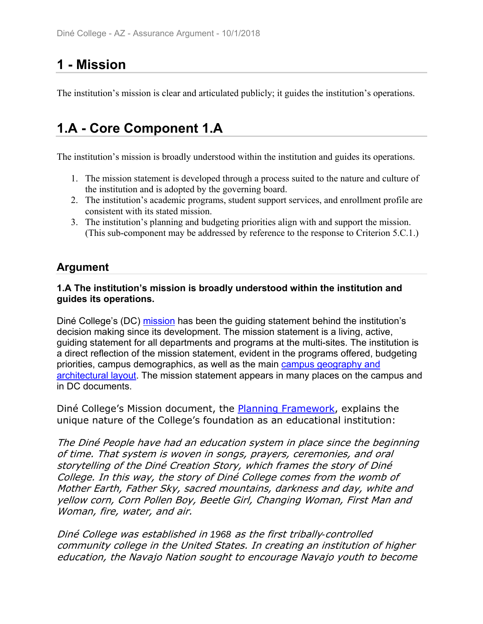# **1 - Mission**

The institution's mission is clear and articulated publicly; it guides the institution's operations.

# **1.A - Core Component 1.A**

The institution's mission is broadly understood within the institution and guides its operations.

- 1. The mission statement is developed through a process suited to the nature and culture of the institution and is adopted by the governing board.
- 2. The institution's academic programs, student support services, and enrollment profile are consistent with its stated mission.
- 3. The institution's planning and budgeting priorities align with and support the mission. (This sub-component may be addressed by reference to the response to Criterion 5.C.1.)

# **Argument**

### **1.A The institution's mission is broadly understood within the institution and guides its operations.**

Diné College's (DC) mission has been the guiding statement behind the institution's decision making since its development. The mission statement is a living, active, guiding statement for all departments and programs at the multi-sites. The institution is a direct reflection of the mission statement, evident in the programs offered, budgeting priorities, campus demographics, as well as the main campus geography and architectural layout. The mission statement appears in many places on the campus and in DC documents.

Diné College's Mission document, the **Planning Framework**, explains the unique nature of the College's foundation as an educational institution:

The Diné People have had an education system in place since the beginning of time. That system is woven in songs, prayers, ceremonies, and oral storytelling of the Diné Creation Story, which frames the story of Diné College. In this way, the story of Diné College comes from the womb of Mother Earth, Father Sky, sacred mountains, darkness and day, white and yellow corn, Corn Pollen Boy, Beetle Girl, Changing Woman, First Man and Woman, fire, water, and air.

Diné College was established in *1968* as the first tribally*-*controlled community college in the United States. In creating an institution of higher education, the Navajo Nation sought to encourage Navajo youth to become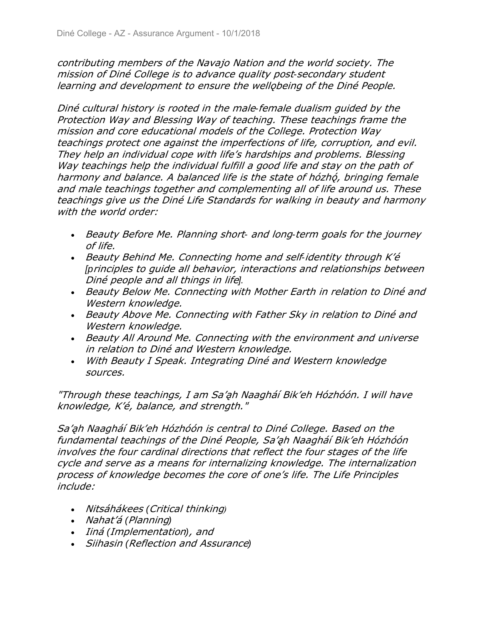contributing members of the Navajo Nation and the world society. The mission of Diné College is to advance quality post*-*secondary student learning and development to ensure the wellobeing of the Diné People.

Diné cultural history is rooted in the male*-*female dualism guided by the Protection Way and Blessing Way of teaching. These teachings frame the mission and core educational models of the College. Protection Way teachings protect one against the imperfections of life, corruption, and evil. They help an individual cope with life's hardships and problems. Blessing Way teachings help the individual fulfill a good life and stay on the path of harmony and balance. A balanced life is the state of hózhó, bringing female and male teachings together and complementing all of life around us. These teachings give us the Diné Life Standards for walking in beauty and harmony with the world order:

- Beauty Before Me. Planning short*-* and long*-*term goals for the journey of life.
- Beauty Behind Me. Connecting home and self*-*identity through K'é *[p*rinciples to guide all behavior, interactions and relationships between Diné people and all things in life*].*
- Beauty Below Me. Connecting with Mother Earth in relation to Diné and Western knowledge.
- Beauty Above Me. Connecting with Father Sky in relation to Diné and Western knowledge.
- Beauty All Around Me. Connecting with the environment and universe in relation to Diné and Western knowledge.
- With Beauty I Speak. Integrating Diné and Western knowledge sources.

"Through these teachings, I am Sa'ah Naagháí Bik'eh Hózhóón. I will have knowledge, K'é, balance, and strength."

Sa'ah Naagháí Bik'eh Hózhóón is central to Diné College. Based on the fundamental teachings of the Diné People, Sa'ah Naagháí Bik'eh Hózhóón involves the four cardinal directions that reflect the four stages of the life cycle and serve as a means for internalizing knowledge. The internalization process of knowledge becomes the core of one's life. The Life Principles include:

- Nits1h1kees *(*Critical thinking*)*
- *Nahat'á (Planning)*
- *Iiná (Implementation), and*
- Siihasin *(*Reflection and Assurance*)*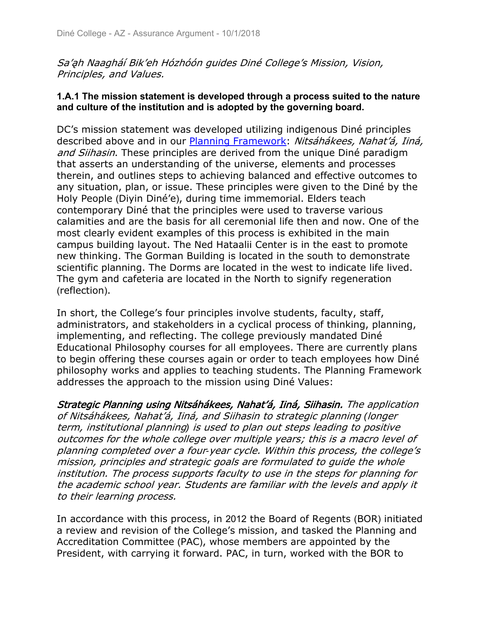Sa'ah Naagháí Bik'eh Hózhóón guides Diné College's Mission, Vision, Principles, and Values.

### **1.A.1 The mission statement is developed through a process suited to the nature and culture of the institution and is adopted by the governing board.**

DC's mission statement was developed utilizing indigenous Diné principles described above and in our Planning Framework: Nitsáhákees, Nahat'á, Iiná, and Siihasin. These principles are derived from the unique Diné paradigm that asserts an understanding of the universe, elements and processes therein, and outlines steps to achieving balanced and effective outcomes to any situation, plan, or issue. These principles were given to the Diné by the Holy People (Diyin Diné'e), during time immemorial. Elders teach contemporary Diné that the principles were used to traverse various calamities and are the basis for all ceremonial life then and now. One of the most clearly evident examples of this process is exhibited in the main campus building layout. The Ned Hataalii Center is in the east to promote new thinking. The Gorman Building is located in the south to demonstrate scientific planning. The Dorms are located in the west to indicate life lived. The gym and cafeteria are located in the North to signify regeneration (reflection).

In short, the College's four principles involve students, faculty, staff, administrators, and stakeholders in a cyclical process of thinking, planning, implementing, and reflecting. The college previously mandated Diné Educational Philosophy courses for all employees. There are currently plans to begin offering these courses again or order to teach employees how Diné philosophy works and applies to teaching students. The Planning Framework addresses the approach to the mission using Diné Values:

Strategic Planning using Nitsáhákees, Nahat'á, Iiná, Siihasin. The application of Nitsáhákees, Nahat'á, Iiná, and Siihasin to strategic planning *(*longer term, institutional planning*)* is used to plan out steps leading to positive outcomes for the whole college over multiple years; this is a macro level of planning completed over a four*-*year cycle. Within this process, the college's mission, principles and strategic goals are formulated to guide the whole institution. The process supports faculty to use in the steps for planning for the academic school year. Students are familiar with the levels and apply it to their learning process.

In accordance with this process, in 2012 the Board of Regents (BOR) initiated a review and revision of the College's mission, and tasked the Planning and Accreditation Committee (PAC), whose members are appointed by the President, with carrying it forward. PAC, in turn, worked with the BOR to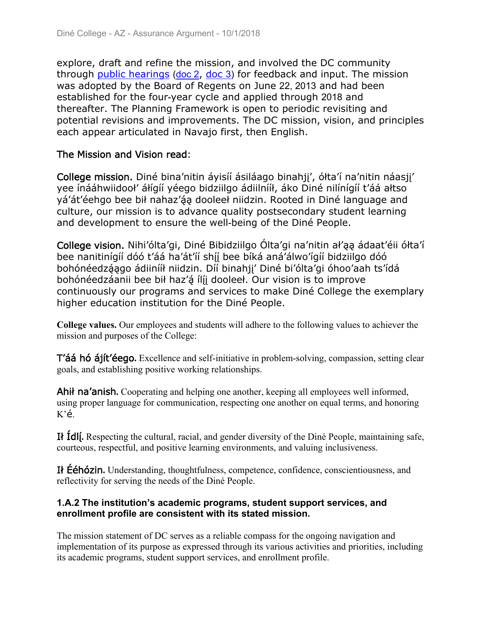explore, draft and refine the mission, and involved the DC community through public hearings (doc  $2$ , doc  $3$ ) for feedback and input. The mission was adopted by the Board of Regents on June 22, 2013 and had been established for the four-year cycle and applied through 2018 and thereafter. The Planning Framework is open to periodic revisiting and potential revisions and improvements. The DC mission, vision, and principles each appear articulated in Navajo first, then English.

### The Mission and Vision read:

College mission. Diné bina'nitin áyisíí ásiláago binahji', ółta'í na'nitin náasji' yee ínááhwiidooł' álígíí yéego bidziilgo ádiilnííł, áko Diné nilínígíí t'áá altso yá'át'éehgo bee bił nahaz'áa dooleeł niidzin. Rooted in Diné language and culture, our mission is to advance quality postsecondary student learning and development to ensure the well-being of the Diné People.

College vision. Nihi'ólta'gi, Diné Bibidziilgo Ólta'gi na'nitin ał'ąą ádaat'éii ółta'í bee nanitinígíí dóó t'áá ha'át'íí shíí bee bíká aná'álwo'ígíí bidziilgo dóó bohónéedzáago ádiinííł niidzin. Díí binahji' Diné bi'ólta'gi óhoo'aah ts'ídá bohónéedzáanii bee bił haz'á ílíj dooleeł. Our vision is to improve continuously our programs and services to make Diné College the exemplary higher education institution for the Diné People.

**College values.** Our employees and students will adhere to the following values to achiever the mission and purposes of the College:

T'áá hó ájít'éego. Excellence and self-initiative in problem-solving, compassion, setting clear goals, and establishing positive working relationships.

Ahil na'anish. Cooperating and helping one another, keeping all employees well informed, using proper language for communication, respecting one another on equal terms, and honoring  $K\acute{e}$ .

I<sup>t</sup> Idli. Respecting the cultural, racial, and gender diversity of the Diné People, maintaining safe, courteous, respectful, and positive learning environments, and valuing inclusiveness.

If **Eéhózin.** Understanding, thoughtfulness, competence, confidence, conscientiousness, and reflectivity for serving the needs of the Diné People.

### **1.A.2 The institution's academic programs, student support services, and enrollment profile are consistent with its stated mission.**

The mission statement of DC serves as a reliable compass for the ongoing navigation and implementation of its purpose as expressed through its various activities and priorities, including its academic programs, student support services, and enrollment profile.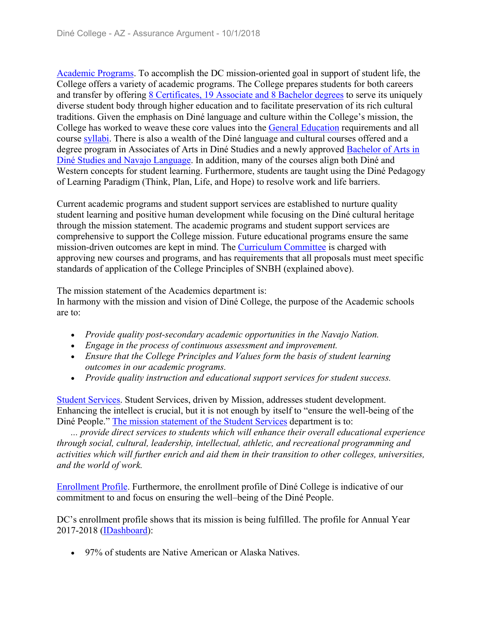Academic Programs. To accomplish the DC mission-oriented goal in support of student life, the College offers a variety of academic programs. The College prepares students for both careers and transfer by offering 8 Certificates, 19 Associate and 8 Bachelor degrees to serve its uniquely diverse student body through higher education and to facilitate preservation of its rich cultural traditions. Given the emphasis on Diné language and culture within the College's mission, the College has worked to weave these core values into the General Education requirements and all course syllabi. There is also a wealth of the Diné language and cultural courses offered and a degree program in Associates of Arts in Diné Studies and a newly approved Bachelor of Arts in Diné Studies and Navajo Language. In addition, many of the courses align both Diné and Western concepts for student learning. Furthermore, students are taught using the Diné Pedagogy of Learning Paradigm (Think, Plan, Life, and Hope) to resolve work and life barriers.

Current academic programs and student support services are established to nurture quality student learning and positive human development while focusing on the Diné cultural heritage through the mission statement. The academic programs and student support services are comprehensive to support the College mission. Future educational programs ensure the same mission-driven outcomes are kept in mind. The Curriculum Committee is charged with approving new courses and programs, and has requirements that all proposals must meet specific standards of application of the College Principles of SNBH (explained above).

The mission statement of the Academics department is:

In harmony with the mission and vision of Diné College, the purpose of the Academic schools are to:

- *Provide quality post-secondary academic opportunities in the Navajo Nation.*
- *Engage in the process of continuous assessment and improvement.*
- *Ensure that the College Principles and Values form the basis of student learning outcomes in our academic programs.*
- *Provide quality instruction and educational support services for student success.*

Student Services. Student Services, driven by Mission, addresses student development. Enhancing the intellect is crucial, but it is not enough by itself to "ensure the well-being of the Diné People." The mission statement of the Student Services department is to:

 *... provide direct services to students which will enhance their overall educational experience through social, cultural, leadership, intellectual, athletic, and recreational programming and activities which will further enrich and aid them in their transition to other colleges, universities, and the world of work.*

Enrollment Profile. Furthermore, the enrollment profile of Diné College is indicative of our commitment to and focus on ensuring the well–being of the Diné People.

DC's enrollment profile shows that its mission is being fulfilled. The profile for Annual Year 2017-2018 (IDashboard):

• 97% of students are Native American or Alaska Natives.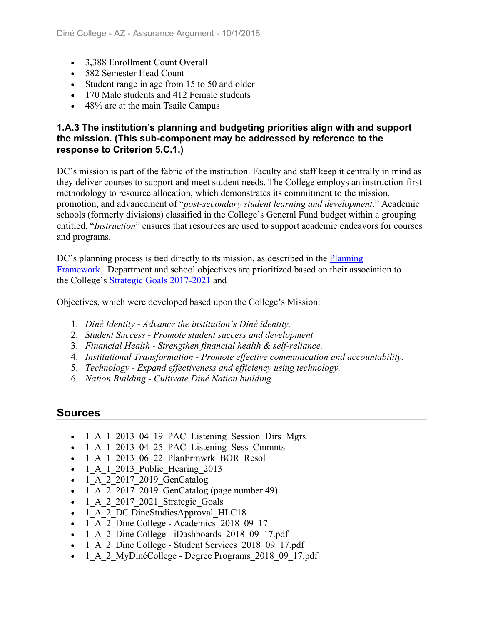- 3.388 Enrollment Count Overall
- 582 Semester Head Count
- Student range in age from 15 to 50 and older
- 170 Male students and 412 Female students
- 48% are at the main Tsaile Campus

### **1.A.3 The institution's planning and budgeting priorities align with and support the mission. (This sub-component may be addressed by reference to the response to Criterion 5.C.1.)**

DC's mission is part of the fabric of the institution. Faculty and staff keep it centrally in mind as they deliver courses to support and meet student needs. The College employs an instruction-first methodology to resource allocation, which demonstrates its commitment to the mission, promotion, and advancement of "*post-secondary student learning and development*." Academic schools (formerly divisions) classified in the College's General Fund budget within a grouping entitled, "*Instruction*" ensures that resources are used to support academic endeavors for courses and programs.

DC's planning process is tied directly to its mission, as described in the **Planning** Framework. Department and school objectives are prioritized based on their association to the College's Strategic Goals 2017-2021 and

Objectives, which were developed based upon the College's Mission:

- 1. *Diné Identity Advance the institution's Diné identity.*
- 2. *Student Success Promote student success and development.*
- 3. *Financial Health Strengthen financial health & self-reliance.*
- 4. *Institutional Transformation Promote effective communication and accountability.*
- 5. *Technology Expand effectiveness and efficiency using technology.*
- 6. *Nation Building Cultivate Diné Nation building.*

- 1 A 1 2013 04 19 PAC Listening Session Dirs Mgrs
- 1 A 1 2013 04 25 PAC Listening Sess Cmmnts
- 1 A 1 2013 06 22 PlanFrmwrk BOR Resol
- $-1$  A 1 2013 Public Hearing 2013
- 1 A 2 2017 2019 GenCatalog
- $\overline{1\quad A}$  2 2017 2019 GenCatalog (page number 49)
- 1 A 2 2017 2021 Strategic Goals
- 1 A 2 DC.DineStudiesApproval HLC18
- 1 A 2 Dine College Academics 2018 09 17
- 1 A 2 Dine College iDashboards 2018 09 17.pdf
- 1 A 2 Dine College Student Services 2018 09 17.pdf
- 1 A 2 MyDinéCollege Degree Programs 2018 09 17.pdf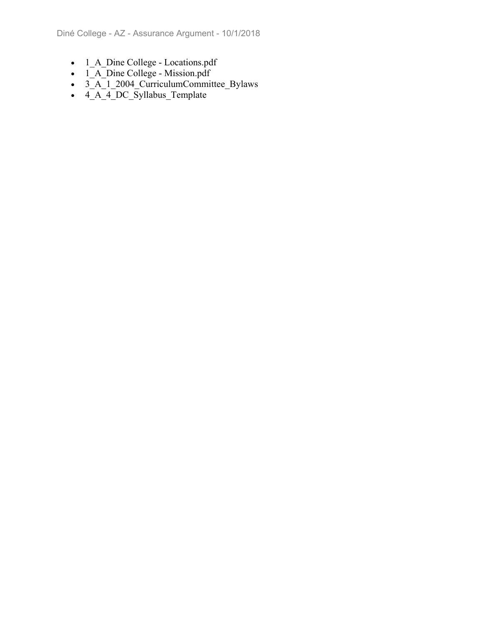- 1\_A\_Dine College Locations.pdf
- 1 A Dine College Mission.pdf
- 3\_A\_1\_2004\_CurriculumCommittee\_Bylaws
- $\overline{4.A}$  $\overline{4\_DC}$  Syllabus\_Template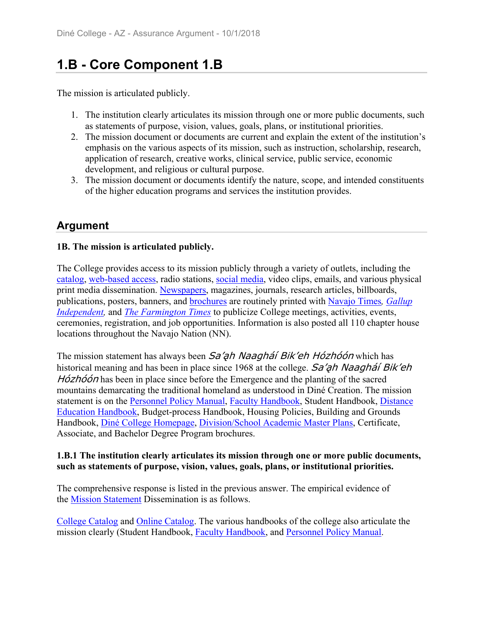# **1.B - Core Component 1.B**

The mission is articulated publicly.

- 1. The institution clearly articulates its mission through one or more public documents, such as statements of purpose, vision, values, goals, plans, or institutional priorities.
- 2. The mission document or documents are current and explain the extent of the institution's emphasis on the various aspects of its mission, such as instruction, scholarship, research, application of research, creative works, clinical service, public service, economic development, and religious or cultural purpose.
- 3. The mission document or documents identify the nature, scope, and intended constituents of the higher education programs and services the institution provides.

# **Argument**

### **1B. The mission is articulated publicly.**

The College provides access to its mission publicly through a variety of outlets, including the catalog, web-based access, radio stations, social media, video clips, emails, and various physical print media dissemination. Newspapers, magazines, journals, research articles, billboards, publications, posters, banners, and brochures are routinely printed with Navajo Times*, Gallup Independent*, and *The Farmington Times* to publicize College meetings, activities, events, ceremonies, registration, and job opportunities. Information is also posted all 110 chapter house locations throughout the Navajo Nation (NN).

The mission statement has always been Sa'ah Naagháí Bik'eh Hózhóón which has historical meaning and has been in place since 1968 at the college. Sa'ah Naagha' Bik'eh  $H\acute{o}zh\acute{o}\acute{o}n$  has been in place since before the Emergence and the planting of the sacred mountains demarcating the traditional homeland as understood in Diné Creation. The mission statement is on the Personnel Policy Manual, Faculty Handbook, Student Handbook, Distance Education Handbook, Budget-process Handbook, Housing Policies, Building and Grounds Handbook, Diné College Homepage, Division/School Academic Master Plans, Certificate, Associate, and Bachelor Degree Program brochures.

#### **1.B.1 The institution clearly articulates its mission through one or more public documents, such as statements of purpose, vision, values, goals, plans, or institutional priorities.**

The comprehensive response is listed in the previous answer. The empirical evidence of the Mission Statement Dissemination is as follows.

College Catalog and Online Catalog. The various handbooks of the college also articulate the mission clearly (Student Handbook, Faculty Handbook, and Personnel Policy Manual.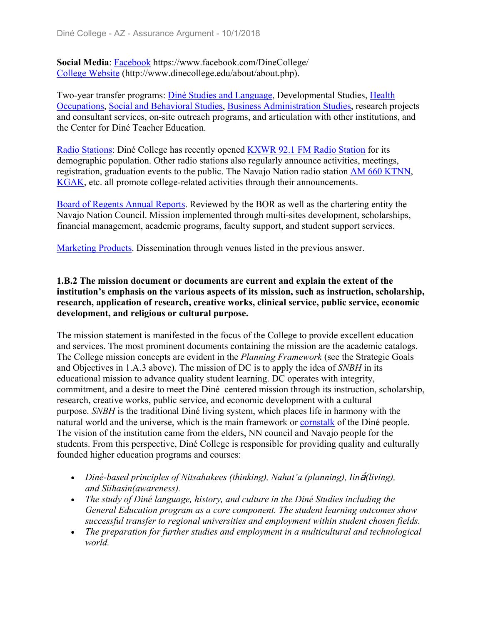**Social Media**: Facebook https://www.facebook.com/DineCollege/ College Website (http://www.dinecollege.edu/about/about.php).

Two-year transfer programs: Diné Studies and Language, Developmental Studies, Health Occupations, Social and Behavioral Studies, Business Administration Studies, research projects and consultant services, on-site outreach programs, and articulation with other institutions, and the Center for Diné Teacher Education.

Radio Stations: Diné College has recently opened KXWR 92.1 FM Radio Station for its demographic population. Other radio stations also regularly announce activities, meetings, registration, graduation events to the public. The Navajo Nation radio station AM 660 KTNN, KGAK, etc. all promote college-related activities through their announcements.

Board of Regents Annual Reports. Reviewed by the BOR as well as the chartering entity the Navajo Nation Council. Mission implemented through multi-sites development, scholarships, financial management, academic programs, faculty support, and student support services.

Marketing Products. Dissemination through venues listed in the previous answer.

#### **1.B.2 The mission document or documents are current and explain the extent of the institution's emphasis on the various aspects of its mission, such as instruction, scholarship, research, application of research, creative works, clinical service, public service, economic development, and religious or cultural purpose.**

The mission statement is manifested in the focus of the College to provide excellent education and services. The most prominent documents containing the mission are the academic catalogs. The College mission concepts are evident in the *Planning Framework* (see the Strategic Goals and Objectives in 1.A.3 above). The mission of DC is to apply the idea of *SNBH* in its educational mission to advance quality student learning. DC operates with integrity, commitment, and a desire to meet the Diné–centered mission through its instruction, scholarship, research, creative works, public service, and economic development with a cultural purpose. *SNBH* is the traditional Diné living system, which places life in harmony with the natural world and the universe, which is the main framework or cornstalk of the Diné people. The vision of the institution came from the elders, NN council and Navajo people for the students. From this perspective, Diné College is responsible for providing quality and culturally founded higher education programs and courses:

- Diné-based principles of Nitsahakees (thinking), Nahat'a (planning), Iin**á**(living), *and Siihasin(awareness).*
- *The study of Diné language, history, and culture in the Diné Studies including the General Education program as a core component. The student learning outcomes show successful transfer to regional universities and employment within student chosen fields.*
- *The preparation for further studies and employment in a multicultural and technological world.*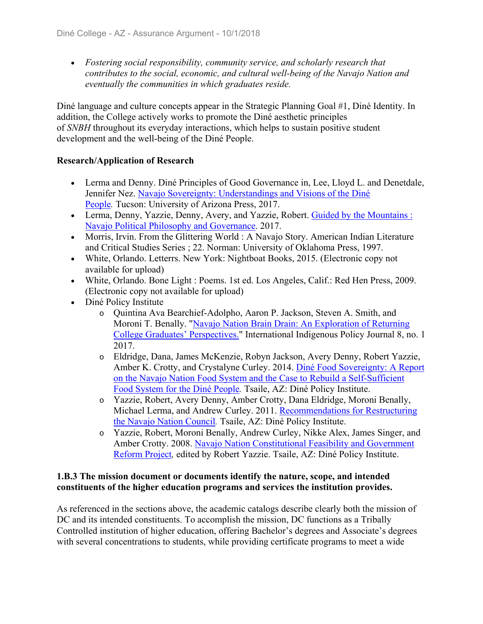*Fostering social responsibility, community service, and scholarly research that contributes to the social, economic, and cultural well-being of the Navajo Nation and eventually the communities in which graduates reside.*

Diné language and culture concepts appear in the Strategic Planning Goal #1, Diné Identity. In addition, the College actively works to promote the Diné aesthetic principles of *SNBH* throughout its everyday interactions, which helps to sustain positive student development and the well-being of the Diné People.

#### **Research/Application of Research**

- Lerma and Denny. Diné Principles of Good Governance in, Lee, Lloyd L. and Denetdale, Jennifer Nez. Navajo Sovereignty: Understandings and Visions of the Diné People*.* Tucson: University of Arizona Press, 2017.
- Lerma, Denny, Yazzie, Denny, Avery, and Yazzie, Robert. Guided by the Mountains : Navajo Political Philosophy and Governance. 2017.
- Morris, Irvin. From the Glittering World : A Navajo Story. American Indian Literature and Critical Studies Series ; 22. Norman: University of Oklahoma Press, 1997.
- White, Orlando. Letterrs. New York: Nightboat Books, 2015. (Electronic copy not available for upload)
- White, Orlando. Bone Light : Poems. 1st ed. Los Angeles, Calif.: Red Hen Press, 2009. (Electronic copy not available for upload)
- Diné Policy Institute
	- o Quintina Ava Bearchief-Adolpho, Aaron P. Jackson, Steven A. Smith, and Moroni T. Benally. "Navajo Nation Brain Drain: An Exploration of Returning College Graduates' Perspectives." International Indigenous Policy Journal 8, no. 1 2017.
	- o Eldridge, Dana, James McKenzie, Robyn Jackson, Avery Denny, Robert Yazzie, Amber K. Crotty, and Crystalyne Curley. 2014. Diné Food Sovereignty: A Report on the Navajo Nation Food System and the Case to Rebuild a Self-Sufficient Food System for the Diné People*.* Tsaile, AZ: Diné Policy Institute.
	- o Yazzie, Robert, Avery Denny, Amber Crotty, Dana Eldridge, Moroni Benally, Michael Lerma, and Andrew Curley. 2011. Recommendations for Restructuring the Navajo Nation Council*.* Tsaile, AZ: Diné Policy Institute.
	- o Yazzie, Robert, Moroni Benally, Andrew Curley, Nikke Alex, James Singer, and Amber Crotty. 2008. Navajo Nation Constitutional Feasibility and Government Reform Project*,* edited by Robert Yazzie. Tsaile, AZ: Diné Policy Institute.

#### **1.B.3 The mission document or documents identify the nature, scope, and intended constituents of the higher education programs and services the institution provides.**

As referenced in the sections above, the academic catalogs describe clearly both the mission of DC and its intended constituents. To accomplish the mission, DC functions as a Tribally Controlled institution of higher education, offering Bachelor's degrees and Associate's degrees with several concentrations to students, while providing certificate programs to meet a wide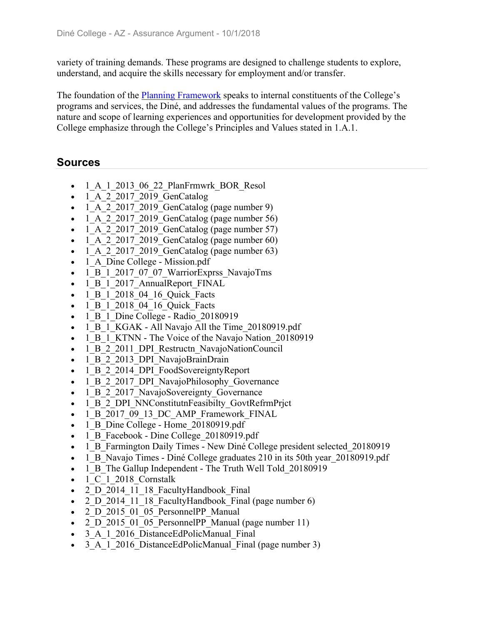variety of training demands. These programs are designed to challenge students to explore, understand, and acquire the skills necessary for employment and/or transfer.

The foundation of the Planning Framework speaks to internal constituents of the College's programs and services, the Diné, and addresses the fundamental values of the programs. The nature and scope of learning experiences and opportunities for development provided by the College emphasize through the College's Principles and Values stated in 1.A.1.

- 1 A 1 2013 06 22 PlanFrmwrk BOR Resol
- 1 A 2 2017 2019 GenCatalog
- 1\_A\_2\_2017\_2019\_GenCatalog (page number 9)
- $\bullet$  1 A 2 2017 2019 GenCatalog (page number 56)
- $\bullet$  1 A 2 2017 2019 GenCatalog (page number 57)
- $\bullet$  1 A 2 2017 2019 GenCatalog (page number 60)
- $\bullet$  1 A 2 2017 2019 GenCatalog (page number 63)
- 1 A Dine College Mission.pdf
- 1 B 1 2017 07 07 WarriorExprss NavajoTms
- 1 B 1 2017 AnnualReport FINAL
- 1 B 1 2018 04 16 Quick Facts
- 1 B 1 2018 04 16 Quick Facts
- $\bullet$  1 B 1 Dine College Radio 20180919
- 1 B 1 KGAK All Navajo All the Time 20180919.pdf
- 1 B 1 KTNN The Voice of the Navajo Nation 20180919
- 1 B 2 2011 DPI Restructn NavajoNationCouncil
- 1 B 2 2013 DPI NavajoBrainDrain
- 1 B 2 2014 DPI FoodSovereigntyReport
- 1 B 2 2017 DPI NavajoPhilosophy Governance
- 1 B 2 2017 NavajoSovereignty Governance
- 1\_B\_2\_DPI\_NNConstitutnFeasibilty\_GovtRefrmPrjct
- 1\_B\_2017\_09\_13\_DC\_AMP\_Framework\_FINAL
- 1 B Dine College Home 20180919.pdf
- 1 B Facebook Dine College 20180919.pdf
- 1 B Farmington Daily Times New Diné College president selected 20180919
- 1 B Navajo Times Diné College graduates 210 in its 50th year 20180919.pdf
- 1 B The Gallup Independent The Truth Well Told 20180919
- 1 C 1 2018 Cornstalk
- 2 D 2014 11 18 FacultyHandbook Final
- 2 D 2014 11 18 FacultyHandbook Final (page number 6)
- 2 D 2015 01 05 PersonnelPP Manual
- 2 D 2015 01 05 PersonnelPP Manual (page number 11)
- 3 A 1 2016 DistanceEdPolicManual Final
- 3 A 1 2016 DistanceEdPolicManual Final (page number 3)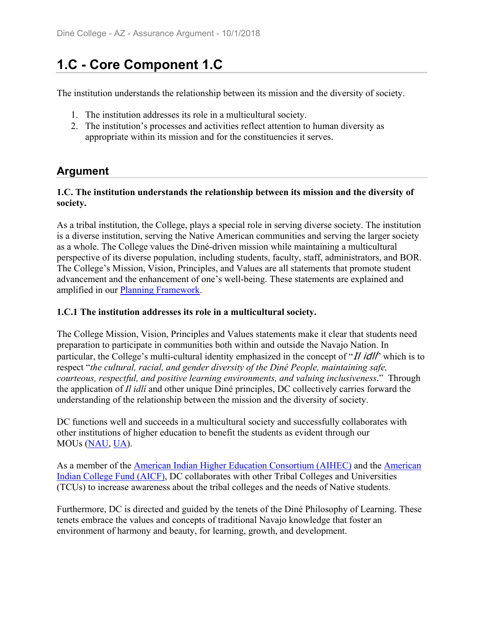# **1.C - Core Component 1.C**

The institution understands the relationship between its mission and the diversity of society.

- 1. The institution addresses its role in a multicultural society.
- 2. The institution's processes and activities reflect attention to human diversity as appropriate within its mission and for the constituencies it serves.

# **Argument**

#### **1.C. The institution understands the relationship between its mission and the diversity of society.**

As a tribal institution, the College, plays a special role in serving diverse society. The institution is a diverse institution, serving the Native American communities and serving the larger society as a whole. The College values the Diné-driven mission while maintaining a multicultural perspective of its diverse population, including students, faculty, staff, administrators, and BOR. The College's Mission, Vision, Principles, and Values are all statements that promote student advancement and the enhancement of one's well-being. These statements are explained and amplified in our Planning Framework.

#### **1.C.1 The institution addresses its role in a multicultural society.**

The College Mission, Vision, Principles and Values statements make it clear that students need preparation to participate in communities both within and outside the Navajo Nation. In particular, the College's multi-cultural identity emphasized in the concept of "Il idll" which is to respect "*the cultural, racial, and gender diversity of the Diné People, maintaining safe, courteous, respectful, and positive learning environments, and valuing inclusiveness*." Through the application of *Il idlí* and other unique Diné principles, DC collectively carries forward the understanding of the relationship between the mission and the diversity of society.

DC functions well and succeeds in a multicultural society and successfully collaborates with other institutions of higher education to benefit the students as evident through our MOUs (NAU, UA).

As a member of the American Indian Higher Education Consortium (AIHEC) and the American Indian College Fund (AICF), DC collaborates with other Tribal Colleges and Universities (TCUs) to increase awareness about the tribal colleges and the needs of Native students.

Furthermore, DC is directed and guided by the tenets of the Diné Philosophy of Learning. These tenets embrace the values and concepts of traditional Navajo knowledge that foster an environment of harmony and beauty, for learning, growth, and development.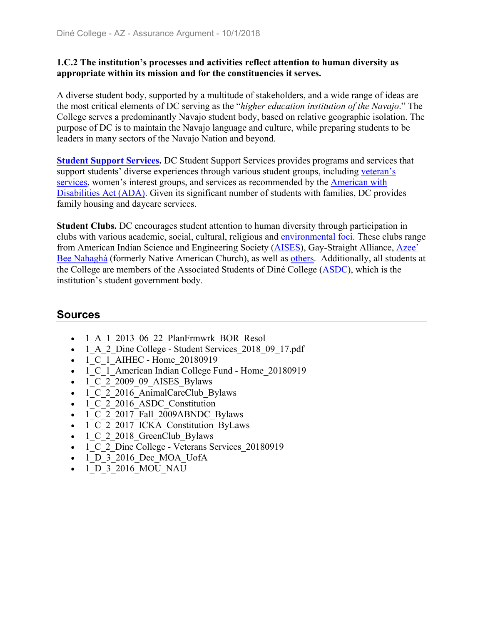#### **1.C.2 The institution's processes and activities reflect attention to human diversity as appropriate within its mission and for the constituencies it serves.**

A diverse student body, supported by a multitude of stakeholders, and a wide range of ideas are the most critical elements of DC serving as the "*higher education institution of the Navajo*." The College serves a predominantly Navajo student body, based on relative geographic isolation. The purpose of DC is to maintain the Navajo language and culture, while preparing students to be leaders in many sectors of the Navajo Nation and beyond.

**Student Support Services.** DC Student Support Services provides programs and services that support students' diverse experiences through various student groups, including veteran's services, women's interest groups, and services as recommended by the American with Disabilities Act (ADA). Given its significant number of students with families, DC provides family housing and daycare services.

**Student Clubs.** DC encourages student attention to human diversity through participation in clubs with various academic, social, cultural, religious and environmental foci. These clubs range from American Indian Science and Engineering Society (AISES), Gay-Straight Alliance, Azee' Bee Nahaghá (formerly Native American Church), as well as others. Additionally, all students at the College are members of the Associated Students of Diné College (ASDC), which is the institution's student government body.

- 1 A 1 2013 06 22 PlanFrmwrk BOR Resol
- 1 A 2 Dine College Student Services 2018 09 17.pdf
- 1 C 1 AIHEC Home 20180919
- 1 C 1 American Indian College Fund Home 20180919
- 1 C 2 2009 09 AISES Bylaws
- 1 C 2 2016 AnimalCareClub Bylaws
- 1 C 2 2016 ASDC Constitution
- $\bullet$  1 C 2 2017 Fall 2009ABNDC Bylaws
- 1\_C\_2\_2017\_ICKA\_Constitution\_ByLaws
- 1 C 2 2018 GreenClub Bylaws
- 1 C 2 Dine College Veterans Services 20180919
- 1\_D\_3\_2016\_Dec\_MOA\_UofA
- 1 D 3 2016 MOU NAU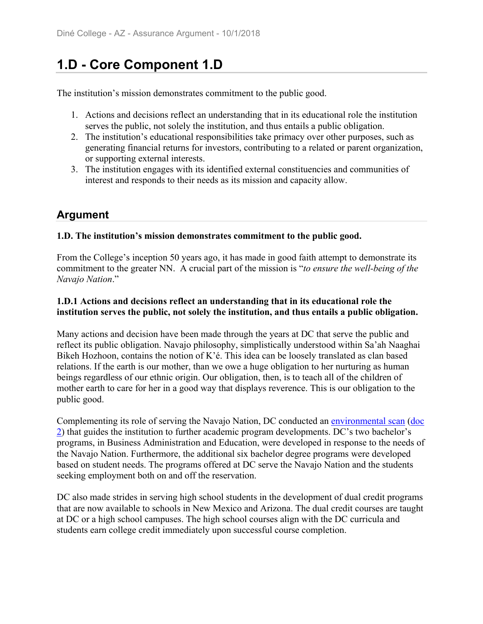# **1.D - Core Component 1.D**

The institution's mission demonstrates commitment to the public good.

- 1. Actions and decisions reflect an understanding that in its educational role the institution serves the public, not solely the institution, and thus entails a public obligation.
- 2. The institution's educational responsibilities take primacy over other purposes, such as generating financial returns for investors, contributing to a related or parent organization, or supporting external interests.
- 3. The institution engages with its identified external constituencies and communities of interest and responds to their needs as its mission and capacity allow.

# **Argument**

### **1.D. The institution's mission demonstrates commitment to the public good.**

From the College's inception 50 years ago, it has made in good faith attempt to demonstrate its commitment to the greater NN. A crucial part of the mission is "*to ensure the well-being of the Navajo Nation*."

### **1.D.1 Actions and decisions reflect an understanding that in its educational role the institution serves the public, not solely the institution, and thus entails a public obligation.**

Many actions and decision have been made through the years at DC that serve the public and reflect its public obligation. Navajo philosophy, simplistically understood within Sa'ah Naaghai Bikeh Hozhoon, contains the notion of K'é. This idea can be loosely translated as clan based relations. If the earth is our mother, than we owe a huge obligation to her nurturing as human beings regardless of our ethnic origin. Our obligation, then, is to teach all of the children of mother earth to care for her in a good way that displays reverence. This is our obligation to the public good.

Complementing its role of serving the Navajo Nation, DC conducted an environmental scan (doc 2) that guides the institution to further academic program developments. DC's two bachelor's programs, in Business Administration and Education, were developed in response to the needs of the Navajo Nation. Furthermore, the additional six bachelor degree programs were developed based on student needs. The programs offered at DC serve the Navajo Nation and the students seeking employment both on and off the reservation.

DC also made strides in serving high school students in the development of dual credit programs that are now available to schools in New Mexico and Arizona. The dual credit courses are taught at DC or a high school campuses. The high school courses align with the DC curricula and students earn college credit immediately upon successful course completion.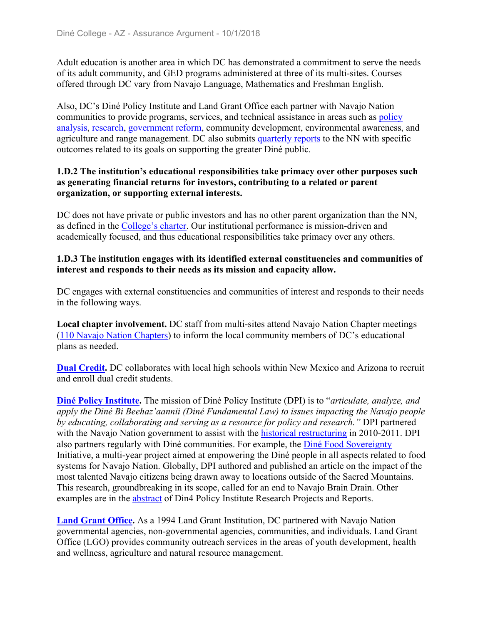Adult education is another area in which DC has demonstrated a commitment to serve the needs of its adult community, and GED programs administered at three of its multi-sites. Courses offered through DC vary from Navajo Language, Mathematics and Freshman English.

Also, DC's Diné Policy Institute and Land Grant Office each partner with Navajo Nation communities to provide programs, services, and technical assistance in areas such as policy analysis, research, government reform, community development, environmental awareness, and agriculture and range management. DC also submits quarterly reports to the NN with specific outcomes related to its goals on supporting the greater Diné public.

#### **1.D.2 The institution's educational responsibilities take primacy over other purposes such as generating financial returns for investors, contributing to a related or parent organization, or supporting external interests.**

DC does not have private or public investors and has no other parent organization than the NN, as defined in the College's charter. Our institutional performance is mission-driven and academically focused, and thus educational responsibilities take primacy over any others.

#### **1.D.3 The institution engages with its identified external constituencies and communities of interest and responds to their needs as its mission and capacity allow.**

DC engages with external constituencies and communities of interest and responds to their needs in the following ways.

**Local chapter involvement.** DC staff from multi-sites attend Navajo Nation Chapter meetings (110 Navajo Nation Chapters) to inform the local community members of DC's educational plans as needed.

**Dual Credit.** DC collaborates with local high schools within New Mexico and Arizona to recruit and enroll dual credit students.

**Diné Policy Institute.** The mission of Diné Policy Institute (DPI) is to "*articulate, analyze, and apply the Diné Bi Beehaz'aannii (Diné Fundamental Law) to issues impacting the Navajo people by educating, collaborating and serving as a resource for policy and research."* DPI partnered with the Navajo Nation government to assist with the historical restructuring in 2010-2011. DPI also partners regularly with Diné communities. For example, the Diné Food Sovereignty Initiative, a multi-year project aimed at empowering the Diné people in all aspects related to food systems for Navajo Nation. Globally, DPI authored and published an article on the impact of the most talented Navajo citizens being drawn away to locations outside of the Sacred Mountains. This research, groundbreaking in its scope, called for an end to Navajo Brain Drain. Other examples are in the abstract of Din4 Policy Institute Research Projects and Reports.

**Land Grant Office.** As a 1994 Land Grant Institution, DC partnered with Navajo Nation governmental agencies, non-governmental agencies, communities, and individuals. Land Grant Office (LGO) provides community outreach services in the areas of youth development, health and wellness, agriculture and natural resource management.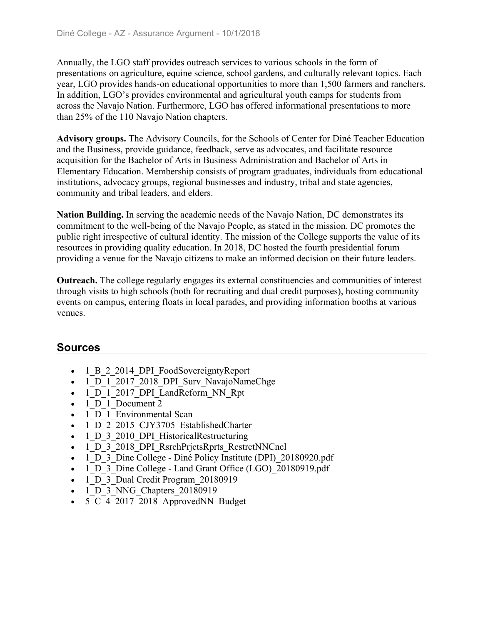Annually, the LGO staff provides outreach services to various schools in the form of presentations on agriculture, equine science, school gardens, and culturally relevant topics. Each year, LGO provides hands-on educational opportunities to more than 1,500 farmers and ranchers. In addition, LGO's provides environmental and agricultural youth camps for students from across the Navajo Nation. Furthermore, LGO has offered informational presentations to more than 25% of the 110 Navajo Nation chapters.

**Advisory groups.** The Advisory Councils, for the Schools of Center for Diné Teacher Education and the Business, provide guidance, feedback, serve as advocates, and facilitate resource acquisition for the Bachelor of Arts in Business Administration and Bachelor of Arts in Elementary Education. Membership consists of program graduates, individuals from educational institutions, advocacy groups, regional businesses and industry, tribal and state agencies, community and tribal leaders, and elders.

**Nation Building.** In serving the academic needs of the Navajo Nation, DC demonstrates its commitment to the well-being of the Navajo People, as stated in the mission. DC promotes the public right irrespective of cultural identity. The mission of the College supports the value of its resources in providing quality education. In 2018, DC hosted the fourth presidential forum providing a venue for the Navajo citizens to make an informed decision on their future leaders.

**Outreach.** The college regularly engages its external constituencies and communities of interest through visits to high schools (both for recruiting and dual credit purposes), hosting community events on campus, entering floats in local parades, and providing information booths at various venues.

- 1 B 2 2014 DPI FoodSovereigntyReport
- 1 D 1 2017 2018 DPI Surv NavajoNameChge
- 1 D 1 2017 DPI LandReform NN Rpt
- 1 D 1 Document 2
- 1 D 1 Environmental Scan
- 1 D 2 2015 CJY3705 EstablishedCharter
- 1 D 3 2010 DPI HistoricalRestructuring
- 1 D 3 2018 DPI RsrchPrjctsRprts RcstrctNNCncl
- 1 D 3 Dine College Diné Policy Institute (DPI) 20180920.pdf
- 1 D 3 Dine College Land Grant Office (LGO) 20180919.pdf
- 1 D 3 Dual Credit Program 20180919
- 1 D 3 NNG Chapters 20180919
- 5 C 4 2017 2018 ApprovedNN Budget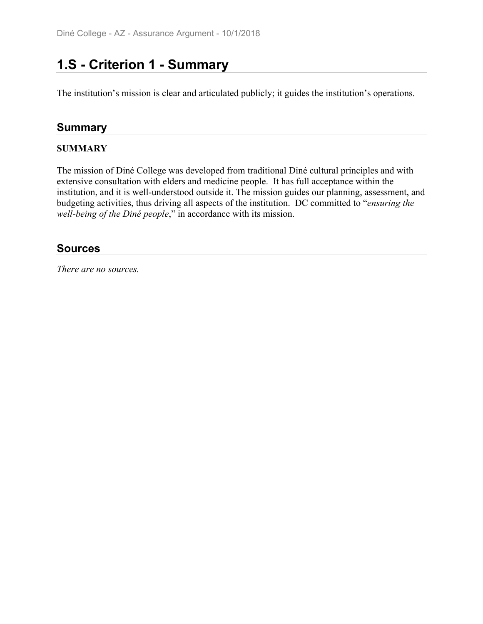# **1.S - Criterion 1 - Summary**

The institution's mission is clear and articulated publicly; it guides the institution's operations.

# **Summary**

### **SUMMARY**

The mission of Diné College was developed from traditional Diné cultural principles and with extensive consultation with elders and medicine people. It has full acceptance within the institution, and it is well-understood outside it. The mission guides our planning, assessment, and budgeting activities, thus driving all aspects of the institution. DC committed to "*ensuring the well-being of the Diné people*," in accordance with its mission.

## **Sources**

*There are no sources.*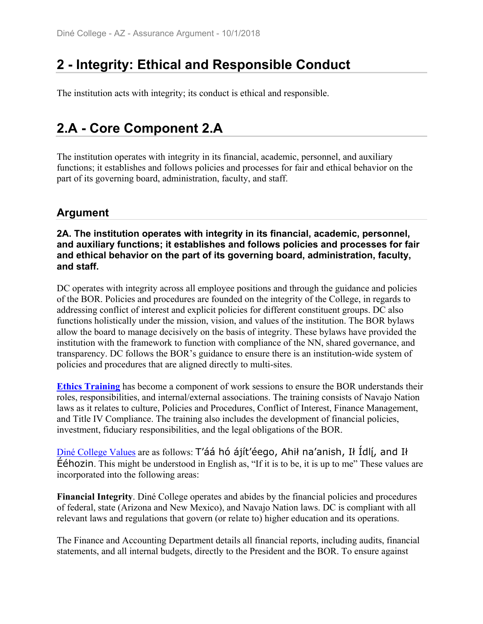# **2 - Integrity: Ethical and Responsible Conduct**

The institution acts with integrity; its conduct is ethical and responsible.

# **2.A - Core Component 2.A**

The institution operates with integrity in its financial, academic, personnel, and auxiliary functions; it establishes and follows policies and processes for fair and ethical behavior on the part of its governing board, administration, faculty, and staff.

# **Argument**

**2A. The institution operates with integrity in its financial, academic, personnel, and auxiliary functions; it establishes and follows policies and processes for fair and ethical behavior on the part of its governing board, administration, faculty, and staff.**

DC operates with integrity across all employee positions and through the guidance and policies of the BOR. Policies and procedures are founded on the integrity of the College, in regards to addressing conflict of interest and explicit policies for different constituent groups. DC also functions holistically under the mission, vision, and values of the institution. The BOR bylaws allow the board to manage decisively on the basis of integrity. These bylaws have provided the institution with the framework to function with compliance of the NN, shared governance, and transparency. DC follows the BOR's guidance to ensure there is an institution-wide system of policies and procedures that are aligned directly to multi-sites.

**Ethics Training** has become a component of work sessions to ensure the BOR understands their roles, responsibilities, and internal/external associations. The training consists of Navajo Nation laws as it relates to culture, Policies and Procedures, Conflict of Interest, Finance Management, and Title IV Compliance. The training also includes the development of financial policies, investment, fiduciary responsibilities, and the legal obligations of the BOR.

 $\overline{\text{Din\'e} }$  College Values are as follows: T'áá hó ájít'éego, Ahił na'anish, Ił Idl $\overline{\text{L}}$ , and Ił  $\acute{e}$  Eéhozin. This might be understood in English as, "If it is to be, it is up to me" These values are incorporated into the following areas:

**Financial Integrity**. Diné College operates and abides by the financial policies and procedures of federal, state (Arizona and New Mexico), and Navajo Nation laws. DC is compliant with all relevant laws and regulations that govern (or relate to) higher education and its operations.

The Finance and Accounting Department details all financial reports, including audits, financial statements, and all internal budgets, directly to the President and the BOR. To ensure against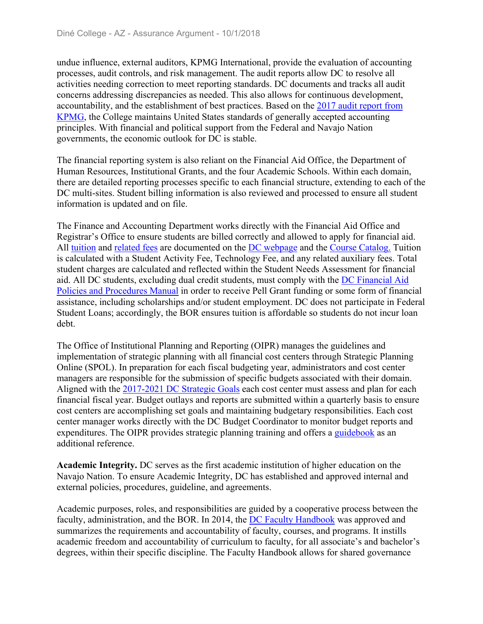undue influence, external auditors, KPMG International, provide the evaluation of accounting processes, audit controls, and risk management. The audit reports allow DC to resolve all activities needing correction to meet reporting standards. DC documents and tracks all audit concerns addressing discrepancies as needed. This also allows for continuous development, accountability, and the establishment of best practices. Based on the 2017 audit report from KPMG, the College maintains United States standards of generally accepted accounting principles. With financial and political support from the Federal and Navajo Nation governments, the economic outlook for DC is stable.

The financial reporting system is also reliant on the Financial Aid Office, the Department of Human Resources, Institutional Grants, and the four Academic Schools. Within each domain, there are detailed reporting processes specific to each financial structure, extending to each of the DC multi-sites. Student billing information is also reviewed and processed to ensure all student information is updated and on file.

The Finance and Accounting Department works directly with the Financial Aid Office and Registrar's Office to ensure students are billed correctly and allowed to apply for financial aid. All tuition and related fees are documented on the DC webpage and the Course Catalog. Tuition is calculated with a Student Activity Fee, Technology Fee, and any related auxiliary fees. Total student charges are calculated and reflected within the Student Needs Assessment for financial aid. All DC students, excluding dual credit students, must comply with the DC Financial Aid Policies and Procedures Manual in order to receive Pell Grant funding or some form of financial assistance, including scholarships and/or student employment. DC does not participate in Federal Student Loans; accordingly, the BOR ensures tuition is affordable so students do not incur loan debt.

The Office of Institutional Planning and Reporting (OIPR) manages the guidelines and implementation of strategic planning with all financial cost centers through Strategic Planning Online (SPOL). In preparation for each fiscal budgeting year, administrators and cost center managers are responsible for the submission of specific budgets associated with their domain. Aligned with the 2017-2021 DC Strategic Goals each cost center must assess and plan for each financial fiscal year. Budget outlays and reports are submitted within a quarterly basis to ensure cost centers are accomplishing set goals and maintaining budgetary responsibilities. Each cost center manager works directly with the DC Budget Coordinator to monitor budget reports and expenditures. The OIPR provides strategic planning training and offers a guidebook as an additional reference.

**Academic Integrity.** DC serves as the first academic institution of higher education on the Navajo Nation. To ensure Academic Integrity, DC has established and approved internal and external policies, procedures, guideline, and agreements.

Academic purposes, roles, and responsibilities are guided by a cooperative process between the faculty, administration, and the BOR. In 2014, the DC Faculty Handbook was approved and summarizes the requirements and accountability of faculty, courses, and programs. It instills academic freedom and accountability of curriculum to faculty, for all associate's and bachelor's degrees, within their specific discipline. The Faculty Handbook allows for shared governance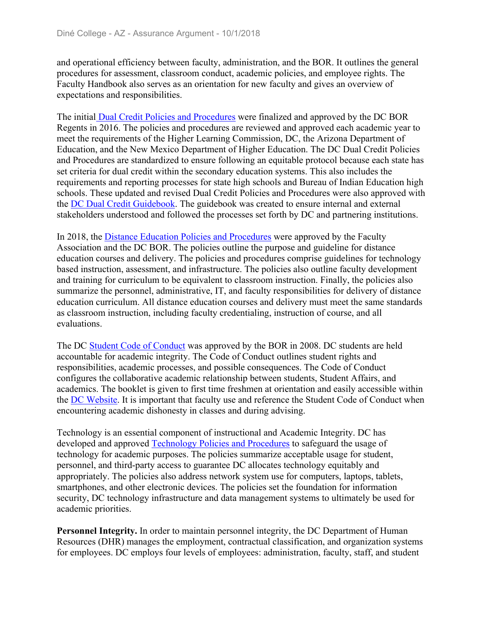and operational efficiency between faculty, administration, and the BOR. It outlines the general procedures for assessment, classroom conduct, academic policies, and employee rights. The Faculty Handbook also serves as an orientation for new faculty and gives an overview of expectations and responsibilities.

The initial Dual Credit Policies and Procedures were finalized and approved by the DC BOR Regents in 2016. The policies and procedures are reviewed and approved each academic year to meet the requirements of the Higher Learning Commission, DC, the Arizona Department of Education, and the New Mexico Department of Higher Education. The DC Dual Credit Policies and Procedures are standardized to ensure following an equitable protocol because each state has set criteria for dual credit within the secondary education systems. This also includes the requirements and reporting processes for state high schools and Bureau of Indian Education high schools. These updated and revised Dual Credit Policies and Procedures were also approved with the DC Dual Credit Guidebook. The guidebook was created to ensure internal and external stakeholders understood and followed the processes set forth by DC and partnering institutions.

In 2018, the Distance Education Policies and Procedures were approved by the Faculty Association and the DC BOR. The policies outline the purpose and guideline for distance education courses and delivery. The policies and procedures comprise guidelines for technology based instruction, assessment, and infrastructure. The policies also outline faculty development and training for curriculum to be equivalent to classroom instruction. Finally, the policies also summarize the personnel, administrative, IT, and faculty responsibilities for delivery of distance education curriculum. All distance education courses and delivery must meet the same standards as classroom instruction, including faculty credentialing, instruction of course, and all evaluations.

The DC Student Code of Conduct was approved by the BOR in 2008. DC students are held accountable for academic integrity. The Code of Conduct outlines student rights and responsibilities, academic processes, and possible consequences. The Code of Conduct configures the collaborative academic relationship between students, Student Affairs, and academics. The booklet is given to first time freshmen at orientation and easily accessible within the DC Website. It is important that faculty use and reference the Student Code of Conduct when encountering academic dishonesty in classes and during advising.

Technology is an essential component of instructional and Academic Integrity. DC has developed and approved Technology Policies and Procedures to safeguard the usage of technology for academic purposes. The policies summarize acceptable usage for student, personnel, and third-party access to guarantee DC allocates technology equitably and appropriately. The policies also address network system use for computers, laptops, tablets, smartphones, and other electronic devices. The policies set the foundation for information security, DC technology infrastructure and data management systems to ultimately be used for academic priorities.

**Personnel Integrity.** In order to maintain personnel integrity, the DC Department of Human Resources (DHR) manages the employment, contractual classification, and organization systems for employees. DC employs four levels of employees: administration, faculty, staff, and student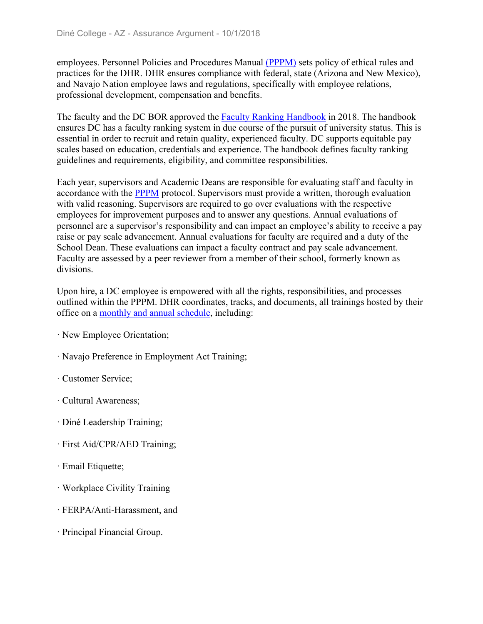employees. Personnel Policies and Procedures Manual (PPPM) sets policy of ethical rules and practices for the DHR. DHR ensures compliance with federal, state (Arizona and New Mexico), and Navajo Nation employee laws and regulations, specifically with employee relations, professional development, compensation and benefits.

The faculty and the DC BOR approved the **Faculty Ranking Handbook** in 2018. The handbook ensures DC has a faculty ranking system in due course of the pursuit of university status. This is essential in order to recruit and retain quality, experienced faculty. DC supports equitable pay scales based on education, credentials and experience. The handbook defines faculty ranking guidelines and requirements, eligibility, and committee responsibilities.

Each year, supervisors and Academic Deans are responsible for evaluating staff and faculty in accordance with the PPPM protocol. Supervisors must provide a written, thorough evaluation with valid reasoning. Supervisors are required to go over evaluations with the respective employees for improvement purposes and to answer any questions. Annual evaluations of personnel are a supervisor's responsibility and can impact an employee's ability to receive a pay raise or pay scale advancement. Annual evaluations for faculty are required and a duty of the School Dean. These evaluations can impact a faculty contract and pay scale advancement. Faculty are assessed by a peer reviewer from a member of their school, formerly known as divisions.

Upon hire, a DC employee is empowered with all the rights, responsibilities, and processes outlined within the PPPM. DHR coordinates, tracks, and documents, all trainings hosted by their office on a monthly and annual schedule, including:

- ꞏ New Employee Orientation;
- ꞏ Navajo Preference in Employment Act Training;
- ꞏ Customer Service;
- ꞏ Cultural Awareness;
- ꞏ Diné Leadership Training;
- ꞏ First Aid/CPR/AED Training;
- · Email Etiquette;
- ꞏ Workplace Civility Training
- ꞏ FERPA/Anti-Harassment, and
- ꞏ Principal Financial Group.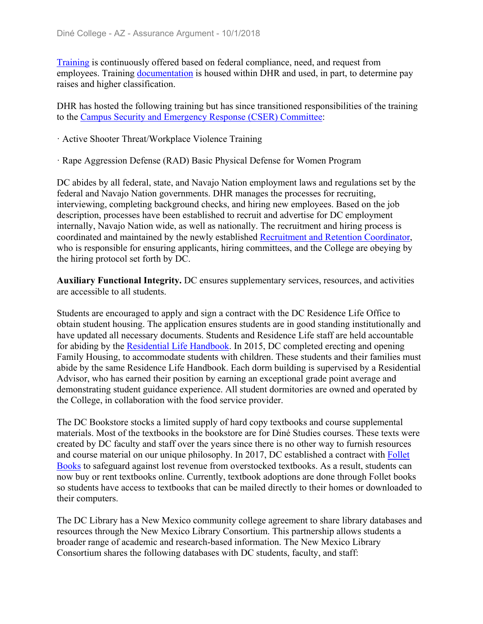Training is continuously offered based on federal compliance, need, and request from employees. Training documentation is housed within DHR and used, in part, to determine pay raises and higher classification.

DHR has hosted the following training but has since transitioned responsibilities of the training to the Campus Security and Emergency Response (CSER) Committee:

- ꞏ Active Shooter Threat/Workplace Violence Training
- ꞏ Rape Aggression Defense (RAD) Basic Physical Defense for Women Program

DC abides by all federal, state, and Navajo Nation employment laws and regulations set by the federal and Navajo Nation governments. DHR manages the processes for recruiting, interviewing, completing background checks, and hiring new employees. Based on the job description, processes have been established to recruit and advertise for DC employment internally, Navajo Nation wide, as well as nationally. The recruitment and hiring process is coordinated and maintained by the newly established Recruitment and Retention Coordinator, who is responsible for ensuring applicants, hiring committees, and the College are obeying by the hiring protocol set forth by DC.

**Auxiliary Functional Integrity.** DC ensures supplementary services, resources, and activities are accessible to all students.

Students are encouraged to apply and sign a contract with the DC Residence Life Office to obtain student housing. The application ensures students are in good standing institutionally and have updated all necessary documents. Students and Residence Life staff are held accountable for abiding by the Residential Life Handbook. In 2015, DC completed erecting and opening Family Housing, to accommodate students with children. These students and their families must abide by the same Residence Life Handbook. Each dorm building is supervised by a Residential Advisor, who has earned their position by earning an exceptional grade point average and demonstrating student guidance experience. All student dormitories are owned and operated by the College, in collaboration with the food service provider.

The DC Bookstore stocks a limited supply of hard copy textbooks and course supplemental materials. Most of the textbooks in the bookstore are for Diné Studies courses. These texts were created by DC faculty and staff over the years since there is no other way to furnish resources and course material on our unique philosophy. In 2017, DC established a contract with Follet Books to safeguard against lost revenue from overstocked textbooks. As a result, students can now buy or rent textbooks online. Currently, textbook adoptions are done through Follet books so students have access to textbooks that can be mailed directly to their homes or downloaded to their computers.

The DC Library has a New Mexico community college agreement to share library databases and resources through the New Mexico Library Consortium. This partnership allows students a broader range of academic and research-based information. The New Mexico Library Consortium shares the following databases with DC students, faculty, and staff: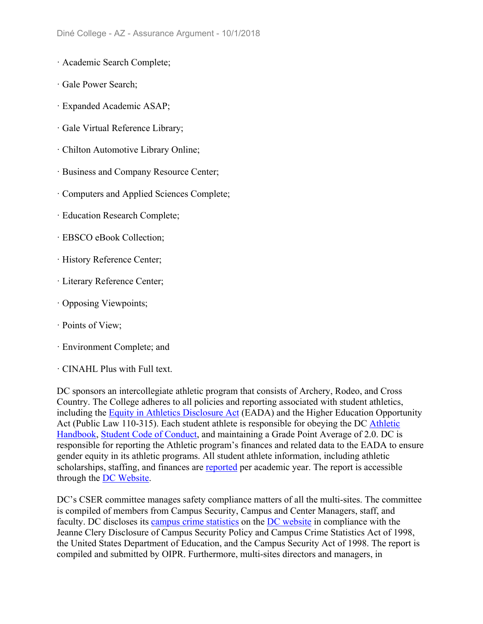- ꞏ Academic Search Complete;
- ꞏ Gale Power Search;
- ꞏ Expanded Academic ASAP;
- ꞏ Gale Virtual Reference Library;
- ꞏ Chilton Automotive Library Online;
- ꞏ Business and Company Resource Center;
- ꞏ Computers and Applied Sciences Complete;
- ꞏ Education Research Complete;
- ꞏ EBSCO eBook Collection;
- ꞏ History Reference Center;
- ꞏ Literary Reference Center;
- ꞏ Opposing Viewpoints;
- ꞏ Points of View;
- ꞏ Environment Complete; and
- ꞏ CINAHL Plus with Full text.

DC sponsors an intercollegiate athletic program that consists of Archery, Rodeo, and Cross Country. The College adheres to all policies and reporting associated with student athletics, including the Equity in Athletics Disclosure Act (EADA) and the Higher Education Opportunity Act (Public Law 110-315). Each student athlete is responsible for obeying the DC Athletic Handbook, Student Code of Conduct, and maintaining a Grade Point Average of 2.0. DC is responsible for reporting the Athletic program's finances and related data to the EADA to ensure gender equity in its athletic programs. All student athlete information, including athletic scholarships, staffing, and finances are reported per academic year. The report is accessible through the DC Website.

DC's CSER committee manages safety compliance matters of all the multi-sites. The committee is compiled of members from Campus Security, Campus and Center Managers, staff, and faculty. DC discloses its campus crime statistics on the DC website in compliance with the Jeanne Clery Disclosure of Campus Security Policy and Campus Crime Statistics Act of 1998, the United States Department of Education, and the Campus Security Act of 1998. The report is compiled and submitted by OIPR. Furthermore, multi-sites directors and managers, in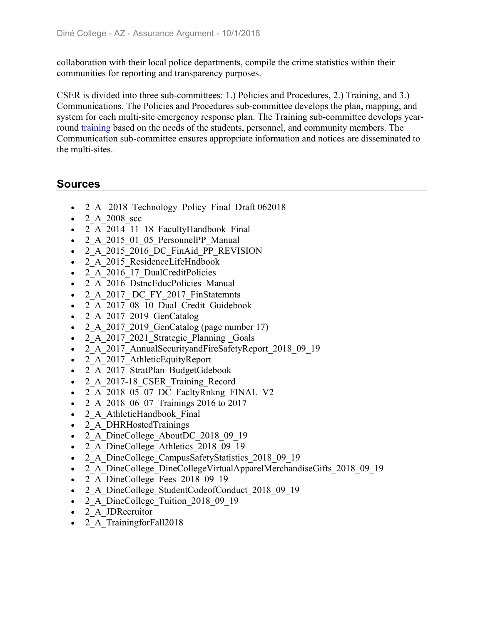collaboration with their local police departments, compile the crime statistics within their communities for reporting and transparency purposes.

CSER is divided into three sub-committees: 1.) Policies and Procedures, 2.) Training, and 3.) Communications. The Policies and Procedures sub-committee develops the plan, mapping, and system for each multi-site emergency response plan. The Training sub-committee develops yearround training based on the needs of the students, personnel, and community members. The Communication sub-committee ensures appropriate information and notices are disseminated to the multi-sites.

- 2 A 2018 Technology Policy Final Draft 062018
- $\bullet$  2 A 2008 scc
- 2 A 2014 11 18 FacultyHandbook Final
- 2 A 2015 01 05 PersonnelPP Manual
- 2 A 2015 2016 DC FinAid PP\_REVISION
- 2 A 2015 ResidenceLifeHndbook
- 2 A 2016 17 DualCreditPolicies
- 2 A 2016 DstncEducPolicies Manual
- 2 A 2017 DC FY 2017 FinStatemnts
- 2 A 2017 08 10 Dual Credit Guidebook
- $\bullet$  2 A 2017 2019 GenCatalog
- 2 A 2017 2019 GenCatalog (page number 17)
- 2 A 2017 2021 Strategic Planning Goals
- 2 A 2017 AnnualSecurityandFireSafetyReport 2018 09 19
- 2 A 2017 AthleticEquityReport
- 2 A 2017 StratPlan BudgetGdebook
- 2 A 2017-18 CSER Training Record
- 2\_A\_2018\_05\_07\_DC\_FacltyRnkng\_FINAL\_V2
- 2 A 2018 06 07 Trainings 2016 to 2017
- 2 A AthleticHandbook Final
- 2 A DHRHostedTrainings
- 2 A DineCollege AboutDC 2018 09 19
- 2 A DineCollege Athletics 2018 09 19
- 2 A DineCollege CampusSafetyStatistics 2018 09 19
- 2 A DineCollege DineCollegeVirtualApparelMerchandiseGifts 2018 09 19
- 2 A DineCollege Fees 2018 09 19
- 2 A DineCollege StudentCodeofConduct 2018 09 19
- 2 A DineCollege Tuition 2018 09 19
- 2 A JDRecruitor
- 2 A TrainingforFall2018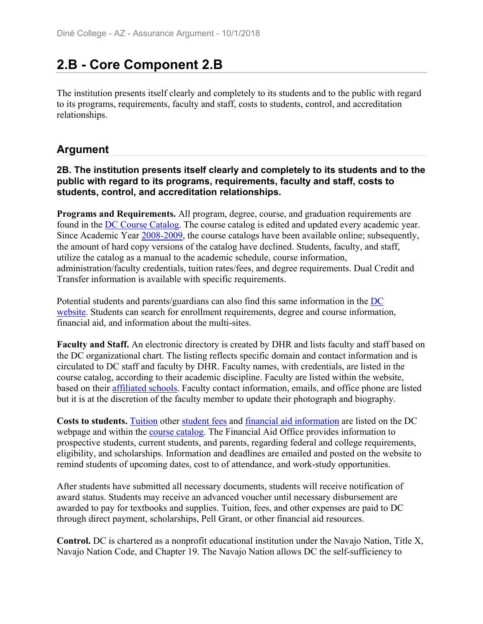# **2.B - Core Component 2.B**

The institution presents itself clearly and completely to its students and to the public with regard to its programs, requirements, faculty and staff, costs to students, control, and accreditation relationships.

# **Argument**

#### **2B. The institution presents itself clearly and completely to its students and to the public with regard to its programs, requirements, faculty and staff, costs to students, control, and accreditation relationships.**

**Programs and Requirements.** All program, degree, course, and graduation requirements are found in the DC Course Catalog. The course catalog is edited and updated every academic year. Since Academic Year 2008-2009, the course catalogs have been available online; subsequently, the amount of hard copy versions of the catalog have declined. Students, faculty, and staff, utilize the catalog as a manual to the academic schedule, course information, administration/faculty credentials, tuition rates/fees, and degree requirements. Dual Credit and Transfer information is available with specific requirements.

Potential students and parents/guardians can also find this same information in the DC website. Students can search for enrollment requirements, degree and course information, financial aid, and information about the multi-sites.

**Faculty and Staff.** An electronic directory is created by DHR and lists faculty and staff based on the DC organizational chart. The listing reflects specific domain and contact information and is circulated to DC staff and faculty by DHR. Faculty names, with credentials, are listed in the course catalog, according to their academic discipline. Faculty are listed within the website, based on their affiliated schools. Faculty contact information, emails, and office phone are listed but it is at the discretion of the faculty member to update their photograph and biography.

**Costs to students.** Tuition other student fees and financial aid information are listed on the DC webpage and within the course catalog. The Financial Aid Office provides information to prospective students, current students, and parents, regarding federal and college requirements, eligibility, and scholarships. Information and deadlines are emailed and posted on the website to remind students of upcoming dates, cost to of attendance, and work-study opportunities.

After students have submitted all necessary documents, students will receive notification of award status. Students may receive an advanced voucher until necessary disbursement are awarded to pay for textbooks and supplies. Tuition, fees, and other expenses are paid to DC through direct payment, scholarships, Pell Grant, or other financial aid resources.

**Control.** DC is chartered as a nonprofit educational institution under the Navajo Nation, Title X, Navajo Nation Code, and Chapter 19. The Navajo Nation allows DC the self-sufficiency to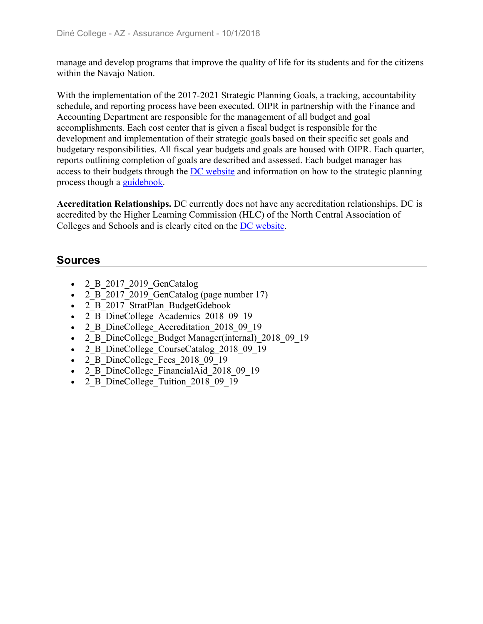manage and develop programs that improve the quality of life for its students and for the citizens within the Navajo Nation.

With the implementation of the 2017-2021 Strategic Planning Goals, a tracking, accountability schedule, and reporting process have been executed. OIPR in partnership with the Finance and Accounting Department are responsible for the management of all budget and goal accomplishments. Each cost center that is given a fiscal budget is responsible for the development and implementation of their strategic goals based on their specific set goals and budgetary responsibilities. All fiscal year budgets and goals are housed with OIPR. Each quarter, reports outlining completion of goals are described and assessed. Each budget manager has access to their budgets through the DC website and information on how to the strategic planning process though a guidebook.

**Accreditation Relationships.** DC currently does not have any accreditation relationships. DC is accredited by the Higher Learning Commission (HLC) of the North Central Association of Colleges and Schools and is clearly cited on the DC website.

- $\bullet$  2 B 2017 2019 GenCatalog
- 2 B 2017 2019 GenCatalog (page number 17)
- 2 B 2017 StratPlan BudgetGdebook
- 2 B DineCollege Academics 2018 09 19
- 2 B DineCollege Accreditation 2018 09 19
- 2 B DineCollege Budget Manager(internal) 2018 09 19
- 2 B DineCollege CourseCatalog 2018 09 19
- 2 B DineCollege Fees 2018 09 19
- 2 B DineCollege FinancialAid 2018 09 19
- 2 B DineCollege Tuition 2018 09 19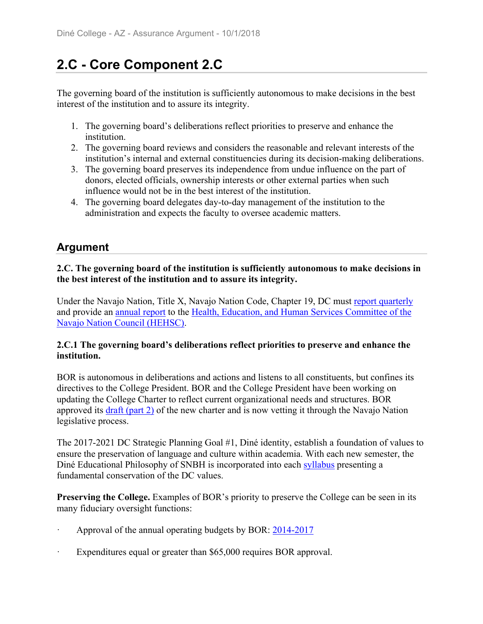# **2.C - Core Component 2.C**

The governing board of the institution is sufficiently autonomous to make decisions in the best interest of the institution and to assure its integrity.

- 1. The governing board's deliberations reflect priorities to preserve and enhance the institution.
- 2. The governing board reviews and considers the reasonable and relevant interests of the institution's internal and external constituencies during its decision-making deliberations.
- 3. The governing board preserves its independence from undue influence on the part of donors, elected officials, ownership interests or other external parties when such influence would not be in the best interest of the institution.
- 4. The governing board delegates day-to-day management of the institution to the administration and expects the faculty to oversee academic matters.

# **Argument**

### **2.C. The governing board of the institution is sufficiently autonomous to make decisions in the best interest of the institution and to assure its integrity.**

Under the Navajo Nation, Title X, Navajo Nation Code, Chapter 19, DC must report quarterly and provide an annual report to the Health, Education, and Human Services Committee of the Navajo Nation Council (HEHSC).

#### **2.C.1 The governing board's deliberations reflect priorities to preserve and enhance the institution.**

BOR is autonomous in deliberations and actions and listens to all constituents, but confines its directives to the College President. BOR and the College President have been working on updating the College Charter to reflect current organizational needs and structures. BOR approved its draft (part 2) of the new charter and is now vetting it through the Navajo Nation legislative process.

The 2017-2021 DC Strategic Planning Goal #1, Diné identity, establish a foundation of values to ensure the preservation of language and culture within academia. With each new semester, the Diné Educational Philosophy of SNBH is incorporated into each syllabus presenting a fundamental conservation of the DC values.

**Preserving the College.** Examples of BOR's priority to preserve the College can be seen in its many fiduciary oversight functions:

- Approval of the annual operating budgets by BOR: 2014-2017
- Expenditures equal or greater than \$65,000 requires BOR approval.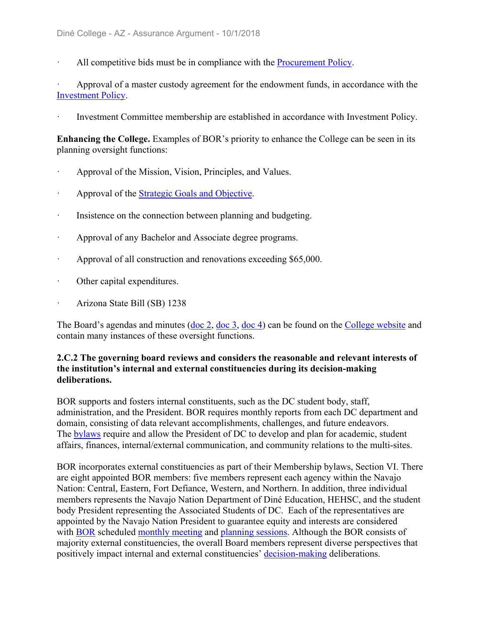All competitive bids must be in compliance with the Procurement Policy.

Approval of a master custody agreement for the endowment funds, in accordance with the Investment Policy.

ꞏ Investment Committee membership are established in accordance with Investment Policy.

**Enhancing the College.** Examples of BOR's priority to enhance the College can be seen in its planning oversight functions:

- ꞏ Approval of the Mission, Vision, Principles, and Values.
- Approval of the Strategic Goals and Objective.
- Insistence on the connection between planning and budgeting.
- ꞏ Approval of any Bachelor and Associate degree programs.
- Approval of all construction and renovations exceeding \$65,000.
- ꞏ Other capital expenditures.
- ꞏ Arizona State Bill (SB) 1238

The Board's agendas and minutes (doc 2, doc 3, doc 4) can be found on the College website and contain many instances of these oversight functions.

#### **2.C.2 The governing board reviews and considers the reasonable and relevant interests of the institution's internal and external constituencies during its decision-making deliberations.**

BOR supports and fosters internal constituents, such as the DC student body, staff, administration, and the President. BOR requires monthly reports from each DC department and domain, consisting of data relevant accomplishments, challenges, and future endeavors. The bylaws require and allow the President of DC to develop and plan for academic, student affairs, finances, internal/external communication, and community relations to the multi-sites.

BOR incorporates external constituencies as part of their Membership bylaws, Section VI. There are eight appointed BOR members: five members represent each agency within the Navajo Nation: Central, Eastern, Fort Defiance, Western, and Northern. In addition, three individual members represents the Navajo Nation Department of Diné Education, HEHSC, and the student body President representing the Associated Students of DC. Each of the representatives are appointed by the Navajo Nation President to guarantee equity and interests are considered with BOR scheduled monthly meeting and planning sessions. Although the BOR consists of majority external constituencies, the overall Board members represent diverse perspectives that positively impact internal and external constituencies' decision-making deliberations.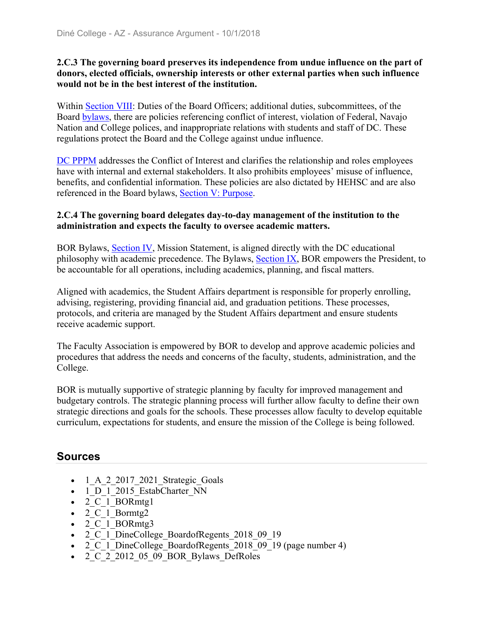#### **2.C.3 The governing board preserves its independence from undue influence on the part of donors, elected officials, ownership interests or other external parties when such influence would not be in the best interest of the institution.**

Within Section VIII: Duties of the Board Officers; additional duties, subcommittees, of the Board bylaws, there are policies referencing conflict of interest, violation of Federal, Navajo Nation and College polices, and inappropriate relations with students and staff of DC. These regulations protect the Board and the College against undue influence.

DC PPPM addresses the Conflict of Interest and clarifies the relationship and roles employees have with internal and external stakeholders. It also prohibits employees' misuse of influence, benefits, and confidential information. These policies are also dictated by HEHSC and are also referenced in the Board bylaws, Section V: Purpose.

#### **2.C.4 The governing board delegates day-to-day management of the institution to the administration and expects the faculty to oversee academic matters.**

BOR Bylaws, Section IV, Mission Statement, is aligned directly with the DC educational philosophy with academic precedence. The Bylaws, Section IX, BOR empowers the President, to be accountable for all operations, including academics, planning, and fiscal matters.

Aligned with academics, the Student Affairs department is responsible for properly enrolling, advising, registering, providing financial aid, and graduation petitions. These processes, protocols, and criteria are managed by the Student Affairs department and ensure students receive academic support.

The Faculty Association is empowered by BOR to develop and approve academic policies and procedures that address the needs and concerns of the faculty, students, administration, and the College.

BOR is mutually supportive of strategic planning by faculty for improved management and budgetary controls. The strategic planning process will further allow faculty to define their own strategic directions and goals for the schools. These processes allow faculty to develop equitable curriculum, expectations for students, and ensure the mission of the College is being followed.

- $-1$  A 2 2017 2021 Strategic Goals
- $\cdot$  1 D 1 2015 EstabCharter NN
- 2 C 1 BORmtg1
- $\bullet$  2<sup>-</sup>C<sup>-1</sup> Bormtg<sub>2</sub><sup>-</sup>
- $\bullet$  2 C 1 BORmtg3
- 2 C 1 DineCollege BoardofRegents 2018 09 19
- 2 C 1 DineCollege BoardofRegents 2018 09 19 (page number 4)
- 2 C 2 2012 05 09 BOR Bylaws DefRoles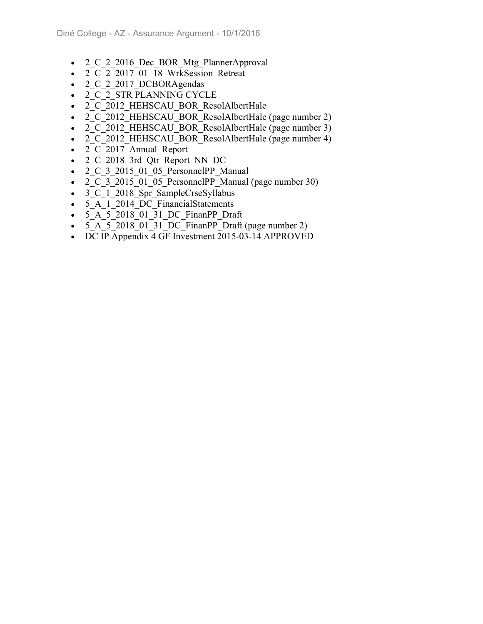- 2 C 2 2016 Dec BOR Mtg PlannerApproval
- 2 C 2 2017 01 18 WrkSession Retreat
- 2 C 2 2017 DCBORAgendas
- 2 C 2 STR PLANNING CYCLE
- 2 C 2012 HEHSCAU BOR ResolAlbertHale
- 2 C 2012 HEHSCAU BOR ResolAlbertHale (page number 2)
- 2 C 2012 HEHSCAU BOR ResolAlbertHale (page number 3)
- 2 C 2012 HEHSCAU BOR ResolAlbertHale (page number 4)
- 2 C 2017 Annual Report
- 2 C 2018 3rd Qtr Report NN DC
- 2 C 3 2015 01 05 PersonnelPP Manual
- 2 C 3 2015 01 05 PersonnelPP Manual (page number 30)
- 3 C 1 2018 Spr SampleCrseSyllabus
- 5\_A\_1\_2014\_DC\_FinancialStatements
- 5 A 5 2018 01 31 DC FinanPP Draft
- $\bullet$  5 A 5 2018 01 31 DC FinanPP Draft (page number 2)
- DC IP Appendix 4 GF Investment 2015-03-14 APPROVED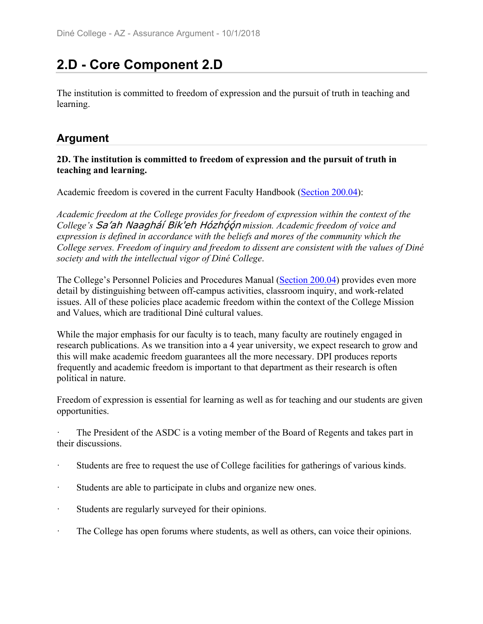# **2.D - Core Component 2.D**

The institution is committed to freedom of expression and the pursuit of truth in teaching and learning.

# **Argument**

### **2D. The institution is committed to freedom of expression and the pursuit of truth in teaching and learning.**

Academic freedom is covered in the current Faculty Handbook (Section 200.04):

*Academic freedom at the College provides for freedom of expression within the context of the College's* Sa'ah Naagháí Bik'eh Hózh==n *mission. Academic freedom of voice and expression is defined in accordance with the beliefs and mores of the community which the College serves. Freedom of inquiry and freedom to dissent are consistent with the values of Diné society and with the intellectual vigor of Diné College*.

The College's Personnel Policies and Procedures Manual (Section 200.04) provides even more detail by distinguishing between off-campus activities, classroom inquiry, and work-related issues. All of these policies place academic freedom within the context of the College Mission and Values, which are traditional Diné cultural values.

While the major emphasis for our faculty is to teach, many faculty are routinely engaged in research publications. As we transition into a 4 year university, we expect research to grow and this will make academic freedom guarantees all the more necessary. DPI produces reports frequently and academic freedom is important to that department as their research is often political in nature.

Freedom of expression is essential for learning as well as for teaching and our students are given opportunities.

The President of the ASDC is a voting member of the Board of Regents and takes part in their discussions.

- Students are free to request the use of College facilities for gatherings of various kinds.
- ꞏ Students are able to participate in clubs and organize new ones.
- ꞏ Students are regularly surveyed for their opinions.
- The College has open forums where students, as well as others, can voice their opinions.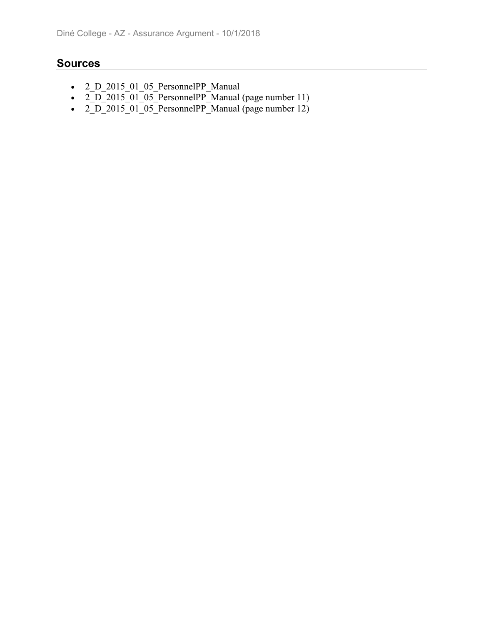- 2\_D\_2015\_01\_05\_PersonnelPP\_Manual
- $2\overline{D}$  $2015\overline{0}1\overline{0}5\overline{P}$  PersonnelPP $\overline{M}$ anual (page number 11)
- $2\overline{D}$  $2015\overline{0}$  $01\overline{0}$  $05\overline{P}$ ersonnelPP $\overline{P}$ Manual (page number 12)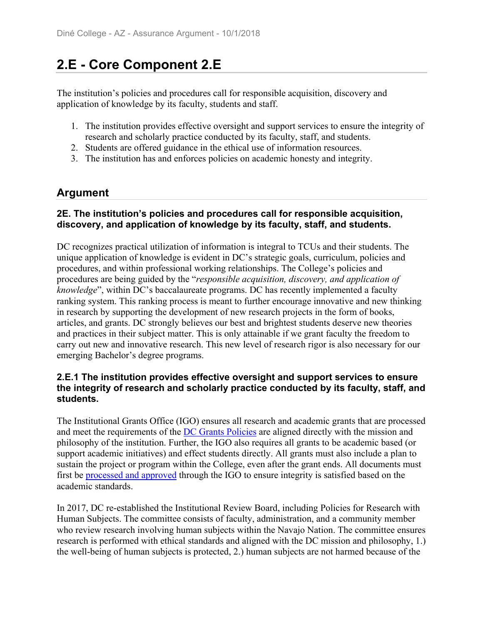# **2.E - Core Component 2.E**

The institution's policies and procedures call for responsible acquisition, discovery and application of knowledge by its faculty, students and staff.

- 1. The institution provides effective oversight and support services to ensure the integrity of research and scholarly practice conducted by its faculty, staff, and students.
- 2. Students are offered guidance in the ethical use of information resources.
- 3. The institution has and enforces policies on academic honesty and integrity.

# **Argument**

### **2E. The institution's policies and procedures call for responsible acquisition, discovery, and application of knowledge by its faculty, staff, and students.**

DC recognizes practical utilization of information is integral to TCUs and their students. The unique application of knowledge is evident in DC's strategic goals, curriculum, policies and procedures, and within professional working relationships. The College's policies and procedures are being guided by the "*responsible acquisition, discovery, and application of knowledge*", within DC's baccalaureate programs. DC has recently implemented a faculty ranking system. This ranking process is meant to further encourage innovative and new thinking in research by supporting the development of new research projects in the form of books, articles, and grants. DC strongly believes our best and brightest students deserve new theories and practices in their subject matter. This is only attainable if we grant faculty the freedom to carry out new and innovative research. This new level of research rigor is also necessary for our emerging Bachelor's degree programs.

### **2.E.1 The institution provides effective oversight and support services to ensure the integrity of research and scholarly practice conducted by its faculty, staff, and students.**

The Institutional Grants Office (IGO) ensures all research and academic grants that are processed and meet the requirements of the DC Grants Policies are aligned directly with the mission and philosophy of the institution. Further, the IGO also requires all grants to be academic based (or support academic initiatives) and effect students directly. All grants must also include a plan to sustain the project or program within the College, even after the grant ends. All documents must first be processed and approved through the IGO to ensure integrity is satisfied based on the academic standards.

In 2017, DC re-established the Institutional Review Board, including Policies for Research with Human Subjects. The committee consists of faculty, administration, and a community member who review research involving human subjects within the Navajo Nation. The committee ensures research is performed with ethical standards and aligned with the DC mission and philosophy, 1.) the well-being of human subjects is protected, 2.) human subjects are not harmed because of the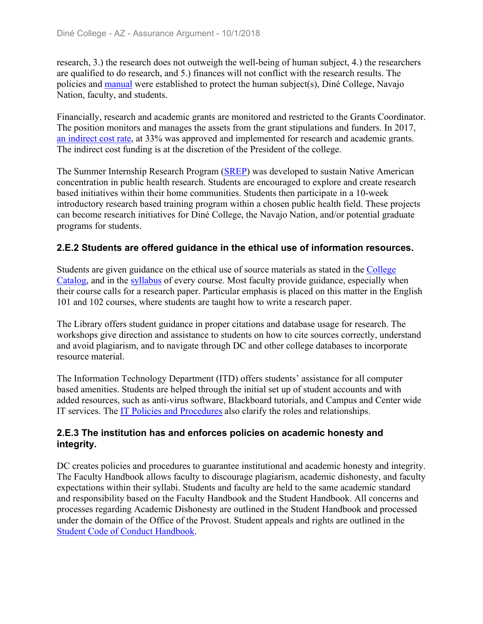research, 3.) the research does not outweigh the well-being of human subject, 4.) the researchers are qualified to do research, and 5.) finances will not conflict with the research results. The policies and manual were established to protect the human subject(s), Diné College, Navajo Nation, faculty, and students.

Financially, research and academic grants are monitored and restricted to the Grants Coordinator. The position monitors and manages the assets from the grant stipulations and funders. In 2017, an indirect cost rate, at 33% was approved and implemented for research and academic grants. The indirect cost funding is at the discretion of the President of the college.

The Summer Internship Research Program (SREP) was developed to sustain Native American concentration in public health research. Students are encouraged to explore and create research based initiatives within their home communities. Students then participate in a 10-week introductory research based training program within a chosen public health field. These projects can become research initiatives for Diné College, the Navajo Nation, and/or potential graduate programs for students.

### **2.E.2 Students are offered guidance in the ethical use of information resources.**

Students are given guidance on the ethical use of source materials as stated in the College Catalog, and in the syllabus of every course. Most faculty provide guidance, especially when their course calls for a research paper. Particular emphasis is placed on this matter in the English 101 and 102 courses, where students are taught how to write a research paper.

The Library offers student guidance in proper citations and database usage for research. The workshops give direction and assistance to students on how to cite sources correctly, understand and avoid plagiarism, and to navigate through DC and other college databases to incorporate resource material.

The Information Technology Department (ITD) offers students' assistance for all computer based amenities. Students are helped through the initial set up of student accounts and with added resources, such as anti-virus software, Blackboard tutorials, and Campus and Center wide IT services. The IT Policies and Procedures also clarify the roles and relationships.

### **2.E.3 The institution has and enforces policies on academic honesty and integrity.**

DC creates policies and procedures to guarantee institutional and academic honesty and integrity. The Faculty Handbook allows faculty to discourage plagiarism, academic dishonesty, and faculty expectations within their syllabi. Students and faculty are held to the same academic standard and responsibility based on the Faculty Handbook and the Student Handbook. All concerns and processes regarding Academic Dishonesty are outlined in the Student Handbook and processed under the domain of the Office of the Provost. Student appeals and rights are outlined in the Student Code of Conduct Handbook.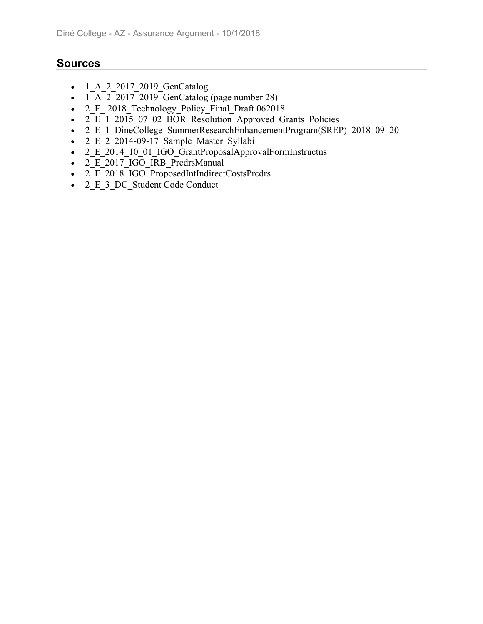- $-1_A_2_2017_2019_GenCatalog$
- $\overline{1\quad A}$  2 2017 2019 GenCatalog (page number 28)
- $2^{\text{ }E}$  2018 Technology Policy Final Draft 062018
- 2\_E\_1\_2015\_07\_02\_BOR\_Resolution\_Approved\_Grants\_Policies
- 2 E 1 DineCollege SummerResearchEnhancementProgram(SREP) 2018 09 20
- $\cdot$   $2\overline{E}$   $2\overline{2}$  2014-09-17 Sample Master Syllabi
- $2E_{2014}$  10 01 IGO GrantProposalApprovalFormInstructns
- $\overline{2}$   $\overline{E}$  2017 IGO IRB PrcdrsManual
- 2 E 2018 IGO ProposedIntIndirectCostsPrcdrs
- 2\_E\_3\_DC\_Student Code Conduct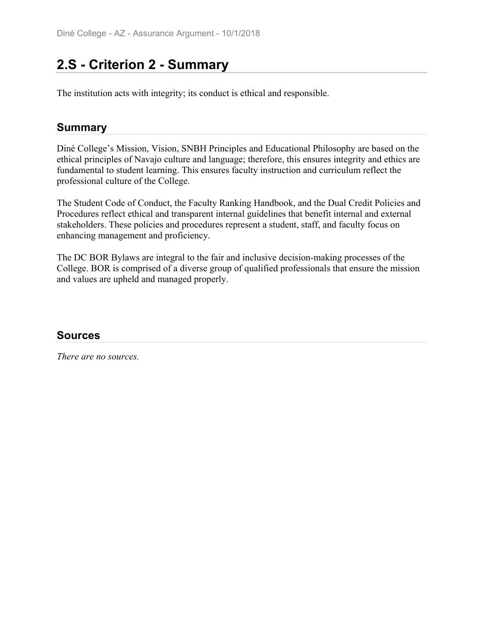## **2.S - Criterion 2 - Summary**

The institution acts with integrity; its conduct is ethical and responsible.

## **Summary**

Diné College's Mission, Vision, SNBH Principles and Educational Philosophy are based on the ethical principles of Navajo culture and language; therefore, this ensures integrity and ethics are fundamental to student learning. This ensures faculty instruction and curriculum reflect the professional culture of the College.

The Student Code of Conduct, the Faculty Ranking Handbook, and the Dual Credit Policies and Procedures reflect ethical and transparent internal guidelines that benefit internal and external stakeholders. These policies and procedures represent a student, staff, and faculty focus on enhancing management and proficiency.

The DC BOR Bylaws are integral to the fair and inclusive decision-making processes of the College. BOR is comprised of a diverse group of qualified professionals that ensure the mission and values are upheld and managed properly.

### **Sources**

*There are no sources.*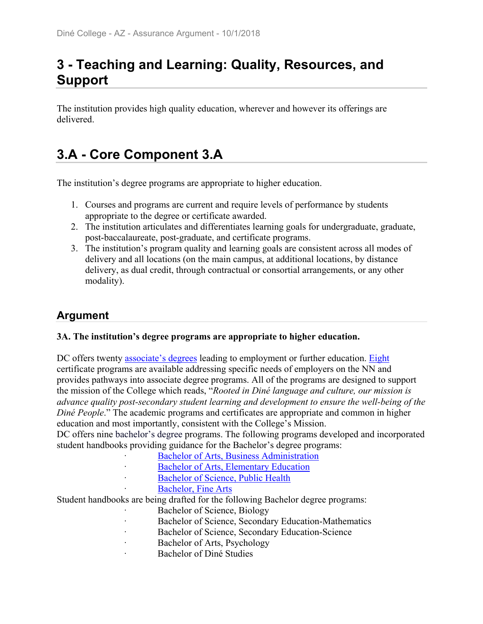# **3 - Teaching and Learning: Quality, Resources, and Support**

The institution provides high quality education, wherever and however its offerings are delivered.

# **3.A - Core Component 3.A**

The institution's degree programs are appropriate to higher education.

- 1. Courses and programs are current and require levels of performance by students appropriate to the degree or certificate awarded.
- 2. The institution articulates and differentiates learning goals for undergraduate, graduate, post-baccalaureate, post-graduate, and certificate programs.
- 3. The institution's program quality and learning goals are consistent across all modes of delivery and all locations (on the main campus, at additional locations, by distance delivery, as dual credit, through contractual or consortial arrangements, or any other modality).

## **Argument**

#### **3A. The institution's degree programs are appropriate to higher education.**

DC offers twenty associate's degrees leading to employment or further education. Eight certificate programs are available addressing specific needs of employers on the NN and provides pathways into associate degree programs. All of the programs are designed to support the mission of the College which reads, "*Rooted in Diné language and culture, our mission is advance quality post-secondary student learning and development to ensure the well-being of the Diné People*." The academic programs and certificates are appropriate and common in higher education and most importantly, consistent with the College's Mission.

DC offers nine bachelor's degree programs. The following programs developed and incorporated student handbooks providing guidance for the Bachelor's degree programs:

- ꞏ Bachelor of Arts, Business Administration
- Bachelor of Arts, Elementary Education
- Bachelor of Science, Public Health
- Bachelor, Fine Arts

Student handbooks are being drafted for the following Bachelor degree programs:

- Bachelor of Science, Biology
- Bachelor of Science, Secondary Education-Mathematics
- Bachelor of Science, Secondary Education-Science
- Bachelor of Arts, Psychology
- ꞏ Bachelor of Diné Studies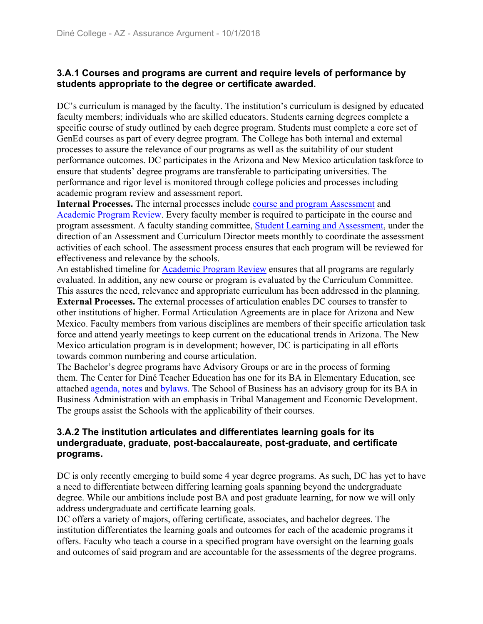#### **3.A.1 Courses and programs are current and require levels of performance by students appropriate to the degree or certificate awarded.**

DC's curriculum is managed by the faculty. The institution's curriculum is designed by educated faculty members; individuals who are skilled educators. Students earning degrees complete a specific course of study outlined by each degree program. Students must complete a core set of GenEd courses as part of every degree program. The College has both internal and external processes to assure the relevance of our programs as well as the suitability of our student performance outcomes. DC participates in the Arizona and New Mexico articulation taskforce to ensure that students' degree programs are transferable to participating universities. The performance and rigor level is monitored through college policies and processes including academic program review and assessment report.

**Internal Processes.** The internal processes include course and program Assessment and Academic Program Review. Every faculty member is required to participate in the course and program assessment. A faculty standing committee, Student Learning and Assessment, under the direction of an Assessment and Curriculum Director meets monthly to coordinate the assessment activities of each school. The assessment process ensures that each program will be reviewed for effectiveness and relevance by the schools.

An established timeline for Academic Program Review ensures that all programs are regularly evaluated. In addition, any new course or program is evaluated by the Curriculum Committee. This assures the need, relevance and appropriate curriculum has been addressed in the planning.

**External Processes.** The external processes of articulation enables DC courses to transfer to other institutions of higher. Formal Articulation Agreements are in place for Arizona and New Mexico. Faculty members from various disciplines are members of their specific articulation task force and attend yearly meetings to keep current on the educational trends in Arizona. The New Mexico articulation program is in development; however, DC is participating in all efforts towards common numbering and course articulation.

The Bachelor's degree programs have Advisory Groups or are in the process of forming them. The Center for Diné Teacher Education has one for its BA in Elementary Education, see attached agenda, notes and bylaws. The School of Business has an advisory group for its BA in Business Administration with an emphasis in Tribal Management and Economic Development. The groups assist the Schools with the applicability of their courses.

#### **3.A.2 The institution articulates and differentiates learning goals for its undergraduate, graduate, post-baccalaureate, post-graduate, and certificate programs.**

DC is only recently emerging to build some 4 year degree programs. As such, DC has yet to have a need to differentiate between differing learning goals spanning beyond the undergraduate degree. While our ambitions include post BA and post graduate learning, for now we will only address undergraduate and certificate learning goals.

DC offers a variety of majors, offering certificate, associates, and bachelor degrees. The institution differentiates the learning goals and outcomes for each of the academic programs it offers. Faculty who teach a course in a specified program have oversight on the learning goals and outcomes of said program and are accountable for the assessments of the degree programs.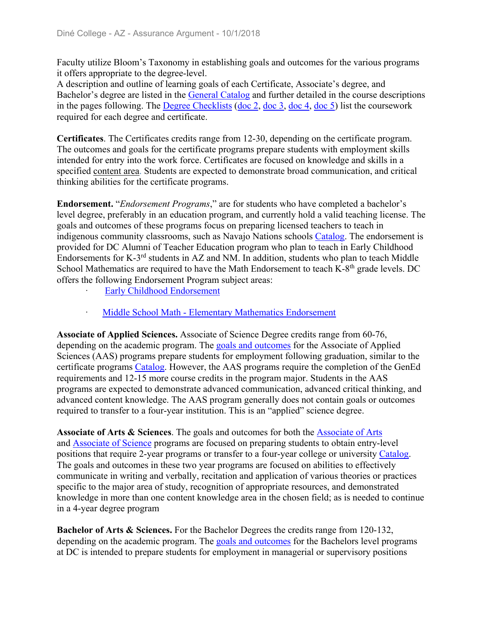Faculty utilize Bloom's Taxonomy in establishing goals and outcomes for the various programs it offers appropriate to the degree-level.

A description and outline of learning goals of each Certificate, Associate's degree, and Bachelor's degree are listed in the General Catalog and further detailed in the course descriptions in the pages following. The Degree Checklists (doc 2, doc 3, doc 4, doc 5) list the coursework required for each degree and certificate.

**Certificates**. The Certificates credits range from 12-30, depending on the certificate program. The outcomes and goals for the certificate programs prepare students with employment skills intended for entry into the work force. Certificates are focused on knowledge and skills in a specified content area. Students are expected to demonstrate broad communication, and critical thinking abilities for the certificate programs.

**Endorsement.** "*Endorsement Programs*," are for students who have completed a bachelor's level degree, preferably in an education program, and currently hold a valid teaching license. The goals and outcomes of these programs focus on preparing licensed teachers to teach in indigenous community classrooms, such as Navajo Nations schools Catalog. The endorsement is provided for DC Alumni of Teacher Education program who plan to teach in Early Childhood Endorsements for K-3rd students in AZ and NM. In addition, students who plan to teach Middle School Mathematics are required to have the Math Endorsement to teach K-8<sup>th</sup> grade levels. DC offers the following Endorsement Program subject areas:

- Early Childhood Endorsement
- ꞏ Middle School Math Elementary Mathematics Endorsement

**Associate of Applied Sciences.** Associate of Science Degree credits range from 60-76, depending on the academic program. The goals and outcomes for the Associate of Applied Sciences (AAS) programs prepare students for employment following graduation, similar to the certificate programs Catalog. However, the AAS programs require the completion of the GenEd requirements and 12-15 more course credits in the program major. Students in the AAS programs are expected to demonstrate advanced communication, advanced critical thinking, and advanced content knowledge. The AAS program generally does not contain goals or outcomes required to transfer to a four-year institution. This is an "applied" science degree.

**Associate of Arts & Sciences**. The goals and outcomes for both the Associate of Arts and Associate of Science programs are focused on preparing students to obtain entry-level positions that require 2-year programs or transfer to a four-year college or university Catalog. The goals and outcomes in these two year programs are focused on abilities to effectively communicate in writing and verbally, recitation and application of various theories or practices specific to the major area of study, recognition of appropriate resources, and demonstrated knowledge in more than one content knowledge area in the chosen field; as is needed to continue in a 4-year degree program

**Bachelor of Arts & Sciences.** For the Bachelor Degrees the credits range from 120-132, depending on the academic program. The goals and outcomes for the Bachelors level programs at DC is intended to prepare students for employment in managerial or supervisory positions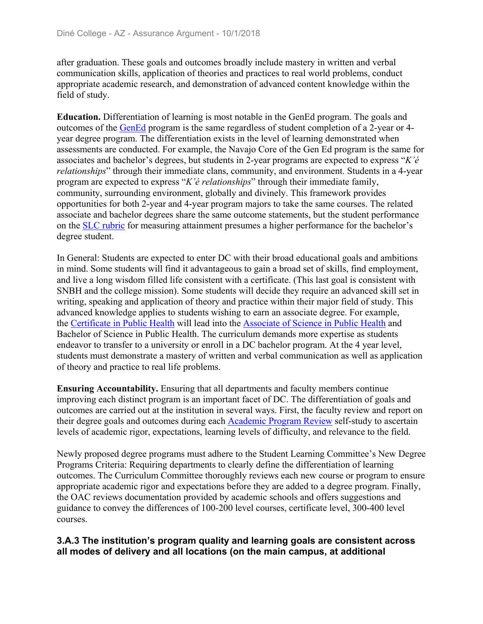after graduation. These goals and outcomes broadly include mastery in written and verbal communication skills, application of theories and practices to real world problems, conduct appropriate academic research, and demonstration of advanced content knowledge within the field of study.

**Education.** Differentiation of learning is most notable in the GenEd program. The goals and outcomes of the GenEd program is the same regardless of student completion of a 2-year or 4 year degree program. The differentiation exists in the level of learning demonstrated when assessments are conducted. For example, the Navajo Core of the Gen Ed program is the same for associates and bachelor's degrees, but students in 2-year programs are expected to express "*K'é relationships*" through their immediate clans, community, and environment. Students in a 4-year program are expected to express "*K'é relationships*" through their immediate family, community, surrounding environment, globally and divinely. This framework provides opportunities for both 2-year and 4-year program majors to take the same courses. The related associate and bachelor degrees share the same outcome statements, but the student performance on the SLC rubric for measuring attainment presumes a higher performance for the bachelor's degree student.

In General: Students are expected to enter DC with their broad educational goals and ambitions in mind. Some students will find it advantageous to gain a broad set of skills, find employment, and live a long wisdom filled life consistent with a certificate. (This last goal is consistent with SNBH and the college mission). Some students will decide they require an advanced skill set in writing, speaking and application of theory and practice within their major field of study. This advanced knowledge applies to students wishing to earn an associate degree. For example, the Certificate in Public Health will lead into the Associate of Science in Public Health and Bachelor of Science in Public Health. The curriculum demands more expertise as students endeavor to transfer to a university or enroll in a DC bachelor program. At the 4 year level, students must demonstrate a mastery of written and verbal communication as well as application of theory and practice to real life problems.

**Ensuring Accountability.** Ensuring that all departments and faculty members continue improving each distinct program is an important facet of DC. The differentiation of goals and outcomes are carried out at the institution in several ways. First, the faculty review and report on their degree goals and outcomes during each Academic Program Review self-study to ascertain levels of academic rigor, expectations, learning levels of difficulty, and relevance to the field.

Newly proposed degree programs must adhere to the Student Learning Committee's New Degree Programs Criteria: Requiring departments to clearly define the differentiation of learning outcomes. The Curriculum Committee thoroughly reviews each new course or program to ensure appropriate academic rigor and expectations before they are added to a degree program. Finally, the OAC reviews documentation provided by academic schools and offers suggestions and guidance to convey the differences of 100-200 level courses, certificate level, 300-400 level courses.

#### **3.A.3 The institution's program quality and learning goals are consistent across all modes of delivery and all locations (on the main campus, at additional**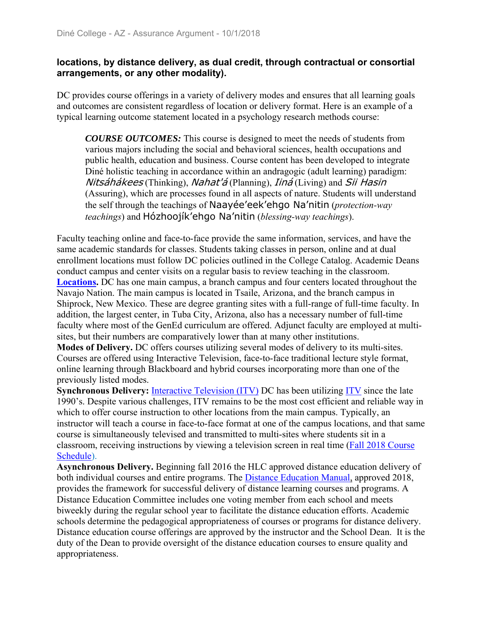#### **locations, by distance delivery, as dual credit, through contractual or consortial arrangements, or any other modality).**

DC provides course offerings in a variety of delivery modes and ensures that all learning goals and outcomes are consistent regardless of location or delivery format. Here is an example of a typical learning outcome statement located in a psychology research methods course:

*COURSE OUTCOMES:* This course is designed to meet the needs of students from various majors including the social and behavioral sciences, health occupations and public health, education and business. Course content has been developed to integrate Diné holistic teaching in accordance within an andragogic (adult learning) paradigm: Nitsáhákees (Thinking), Nahat'á (Planning), *Iiná* (Living) and *Sii Hasin* (Assuring), which are processes found in all aspects of nature. Students will understand the self through the teachings of Naayée'eek'ehgo Na'nitin (*protection-way teachings*) and Hózhoojík'ehgo Na'nitin (*blessing-way teachings*).

Faculty teaching online and face-to-face provide the same information, services, and have the same academic standards for classes. Students taking classes in person, online and at dual enrollment locations must follow DC policies outlined in the College Catalog. Academic Deans conduct campus and center visits on a regular basis to review teaching in the classroom. **Locations.** DC has one main campus, a branch campus and four centers located throughout the Navajo Nation. The main campus is located in Tsaile, Arizona, and the branch campus in Shiprock, New Mexico. These are degree granting sites with a full-range of full-time faculty. In addition, the largest center, in Tuba City, Arizona, also has a necessary number of full-time faculty where most of the GenEd curriculum are offered. Adjunct faculty are employed at multisites, but their numbers are comparatively lower than at many other institutions.

**Modes of Delivery.** DC offers courses utilizing several modes of delivery to its multi-sites. Courses are offered using Interactive Television, face-to-face traditional lecture style format, online learning through Blackboard and hybrid courses incorporating more than one of the previously listed modes.

**Synchronous Delivery:** Interactive Television (ITV) DC has been utilizing ITV since the late 1990's. Despite various challenges, ITV remains to be the most cost efficient and reliable way in which to offer course instruction to other locations from the main campus. Typically, an instructor will teach a course in face-to-face format at one of the campus locations, and that same course is simultaneously televised and transmitted to multi-sites where students sit in a classroom, receiving instructions by viewing a television screen in real time (Fall 2018 Course Schedule).

**Asynchronous Delivery.** Beginning fall 2016 the HLC approved distance education delivery of both individual courses and entire programs. The Distance Education Manual, approved 2018, provides the framework for successful delivery of distance learning courses and programs. A Distance Education Committee includes one voting member from each school and meets biweekly during the regular school year to facilitate the distance education efforts. Academic schools determine the pedagogical appropriateness of courses or programs for distance delivery. Distance education course offerings are approved by the instructor and the School Dean. It is the duty of the Dean to provide oversight of the distance education courses to ensure quality and appropriateness.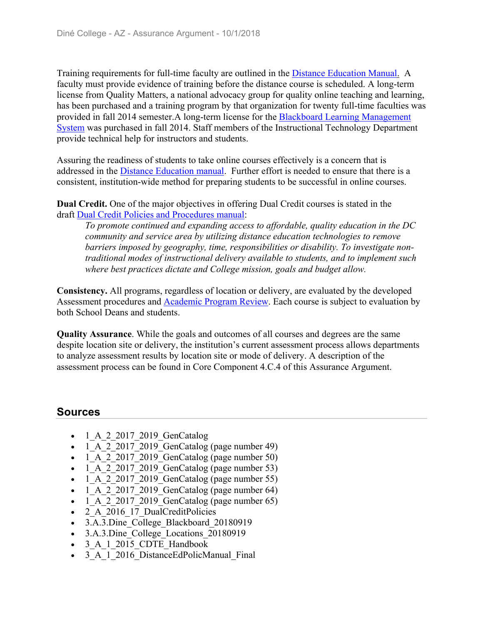Training requirements for full-time faculty are outlined in the Distance Education Manual. A faculty must provide evidence of training before the distance course is scheduled. A long-term license from Quality Matters, a national advocacy group for quality online teaching and learning, has been purchased and a training program by that organization for twenty full-time faculties was provided in fall 2014 semester.A long-term license for the **Blackboard Learning Management** System was purchased in fall 2014. Staff members of the Instructional Technology Department provide technical help for instructors and students.

Assuring the readiness of students to take online courses effectively is a concern that is addressed in the Distance Education manual. Further effort is needed to ensure that there is a consistent, institution-wide method for preparing students to be successful in online courses.

**Dual Credit.** One of the major objectives in offering Dual Credit courses is stated in the draft Dual Credit Policies and Procedures manual:

*To promote continued and expanding access to affordable, quality education in the DC community and service area by utilizing distance education technologies to remove barriers imposed by geography, time, responsibilities or disability. To investigate nontraditional modes of instructional delivery available to students, and to implement such where best practices dictate and College mission, goals and budget allow.*

**Consistency.** All programs, regardless of location or delivery, are evaluated by the developed Assessment procedures and Academic Program Review. Each course is subject to evaluation by both School Deans and students.

**Quality Assurance**. While the goals and outcomes of all courses and degrees are the same despite location site or delivery, the institution's current assessment process allows departments to analyze assessment results by location site or mode of delivery. A description of the assessment process can be found in Core Component 4.C.4 of this Assurance Argument.

## **Sources**

- 1 A 2 2017 2019 GenCatalog
- $\cdot$  1\_A\_2\_2017\_2019\_GenCatalog (page number 49)
- $\bullet$  1 A 2 2017 2019 GenCatalog (page number 50)
- $\bullet$  1 A 2 2017 2019 GenCatalog (page number 53)
- $\bullet$  1 A 2 2017 2019 GenCatalog (page number 55)
- $\bullet$  1 A 2 2017 2019 GenCatalog (page number 64)
- $\bullet$  1 A 2 2017 2019 GenCatalog (page number 65)
- 2 A 2016 17 DualCreditPolicies
- 3.A.3.Dine College Blackboard 20180919
- 3.A.3.Dine College Locations 20180919
- 3 A 1 2015 CDTE Handbook
- 3 A 1 2016 DistanceEdPolicManual Final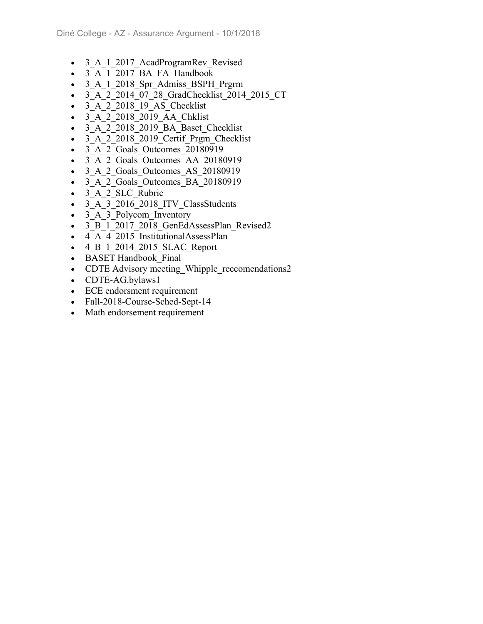- 3 A 1 2017 AcadProgramRev Revised
- 3 A 1 2017 BA FA Handbook
- 3 A 1 2018 Spr Admiss BSPH Prgrm
- 3 A 2 2014 07 28 GradChecklist 2014 2015 CT
- 3 A 2 2018 19 AS Checklist
- 3 A 2 2018 2019 AA Chklist
- 3 A 2 2018 2019 BA Baset Checklist
- 3 A 2 2018 2019 Certif Prgm Checklist
- 3 A 2 Goals Outcomes 20180919
- 3 A 2 Goals Outcomes AA 20180919
- 3 A 2 Goals Outcomes AS 20180919
- 3 A 2 Goals Outcomes BA 20180919
- 3 A 2 SLC Rubric
- 3 A 3 2016 2018 ITV ClassStudents
- 3 A 3 Polycom Inventory
- 3 B 1 2017 2018 GenEdAssessPlan Revised2
- 4 A 4 2015 InstitutionalAssessPlan
- 4 B 1 2014 2015 SLAC Report
- BASET Handbook Final
- CDTE Advisory meeting Whipple reccomendations2
- CDTE-AG.bylaws1
- ECE endorsment requirement
- Fall-2018-Course-Sched-Sept-14
- Math endorsement requirement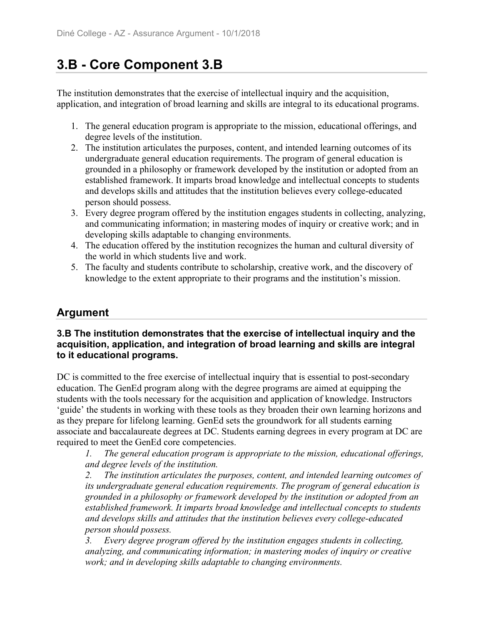# **3.B - Core Component 3.B**

The institution demonstrates that the exercise of intellectual inquiry and the acquisition, application, and integration of broad learning and skills are integral to its educational programs.

- 1. The general education program is appropriate to the mission, educational offerings, and degree levels of the institution.
- 2. The institution articulates the purposes, content, and intended learning outcomes of its undergraduate general education requirements. The program of general education is grounded in a philosophy or framework developed by the institution or adopted from an established framework. It imparts broad knowledge and intellectual concepts to students and develops skills and attitudes that the institution believes every college-educated person should possess.
- 3. Every degree program offered by the institution engages students in collecting, analyzing, and communicating information; in mastering modes of inquiry or creative work; and in developing skills adaptable to changing environments.
- 4. The education offered by the institution recognizes the human and cultural diversity of the world in which students live and work.
- 5. The faculty and students contribute to scholarship, creative work, and the discovery of knowledge to the extent appropriate to their programs and the institution's mission.

## **Argument**

#### **3.B The institution demonstrates that the exercise of intellectual inquiry and the acquisition, application, and integration of broad learning and skills are integral to it educational programs.**

DC is committed to the free exercise of intellectual inquiry that is essential to post-secondary education. The GenEd program along with the degree programs are aimed at equipping the students with the tools necessary for the acquisition and application of knowledge. Instructors 'guide' the students in working with these tools as they broaden their own learning horizons and as they prepare for lifelong learning. GenEd sets the groundwork for all students earning associate and baccalaureate degrees at DC. Students earning degrees in every program at DC are required to meet the GenEd core competencies.

*1. The general education program is appropriate to the mission, educational offerings, and degree levels of the institution.*

*2. The institution articulates the purposes, content, and intended learning outcomes of its undergraduate general education requirements. The program of general education is grounded in a philosophy or framework developed by the institution or adopted from an established framework. It imparts broad knowledge and intellectual concepts to students and develops skills and attitudes that the institution believes every college-educated person should possess.*

*3. Every degree program offered by the institution engages students in collecting, analyzing, and communicating information; in mastering modes of inquiry or creative work; and in developing skills adaptable to changing environments.*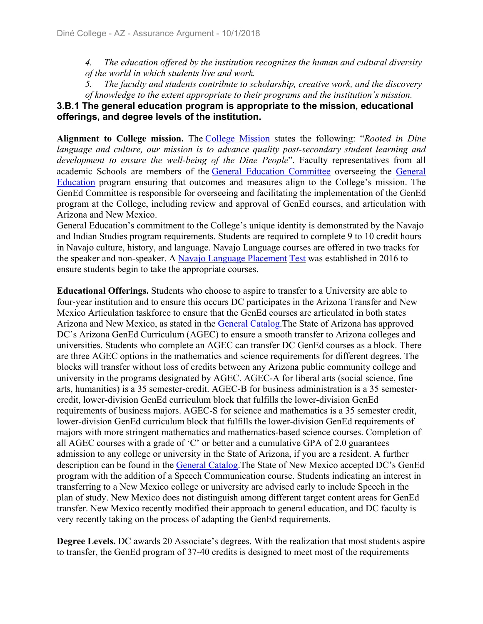*4. The education offered by the institution recognizes the human and cultural diversity of the world in which students live and work.*

*5. The faculty and students contribute to scholarship, creative work, and the discovery of knowledge to the extent appropriate to their programs and the institution's mission.*

#### **3.B.1 The general education program is appropriate to the mission, educational offerings, and degree levels of the institution.**

**Alignment to College mission.** The College Mission states the following: "*Rooted in Dine language and culture, our mission is to advance quality post-secondary student learning and development to ensure the well-being of the Dine People*". Faculty representatives from all academic Schools are members of the General Education Committee overseeing the General Education program ensuring that outcomes and measures align to the College's mission. The GenEd Committee is responsible for overseeing and facilitating the implementation of the GenEd program at the College, including review and approval of GenEd courses, and articulation with Arizona and New Mexico.

General Education's commitment to the College's unique identity is demonstrated by the Navajo and Indian Studies program requirements. Students are required to complete 9 to 10 credit hours in Navajo culture, history, and language. Navajo Language courses are offered in two tracks for the speaker and non-speaker. A Navajo Language Placement Test was established in 2016 to ensure students begin to take the appropriate courses.

**Educational Offerings.** Students who choose to aspire to transfer to a University are able to four-year institution and to ensure this occurs DC participates in the Arizona Transfer and New Mexico Articulation taskforce to ensure that the GenEd courses are articulated in both states Arizona and New Mexico, as stated in the General Catalog.The State of Arizona has approved DC's Arizona GenEd Curriculum (AGEC) to ensure a smooth transfer to Arizona colleges and universities. Students who complete an AGEC can transfer DC GenEd courses as a block. There are three AGEC options in the mathematics and science requirements for different degrees. The blocks will transfer without loss of credits between any Arizona public community college and university in the programs designated by AGEC. AGEC-A for liberal arts (social science, fine arts, humanities) is a 35 semester-credit. AGEC-B for business administration is a 35 semestercredit, lower-division GenEd curriculum block that fulfills the lower-division GenEd requirements of business majors. AGEC-S for science and mathematics is a 35 semester credit, lower-division GenEd curriculum block that fulfills the lower-division GenEd requirements of majors with more stringent mathematics and mathematics-based science courses. Completion of all AGEC courses with a grade of 'C' or better and a cumulative GPA of 2.0 guarantees admission to any college or university in the State of Arizona, if you are a resident. A further description can be found in the General Catalog.The State of New Mexico accepted DC's GenEd program with the addition of a Speech Communication course. Students indicating an interest in transferring to a New Mexico college or university are advised early to include Speech in the plan of study. New Mexico does not distinguish among different target content areas for GenEd transfer. New Mexico recently modified their approach to general education, and DC faculty is very recently taking on the process of adapting the GenEd requirements.

**Degree Levels.** DC awards 20 Associate's degrees. With the realization that most students aspire to transfer, the GenEd program of 37-40 credits is designed to meet most of the requirements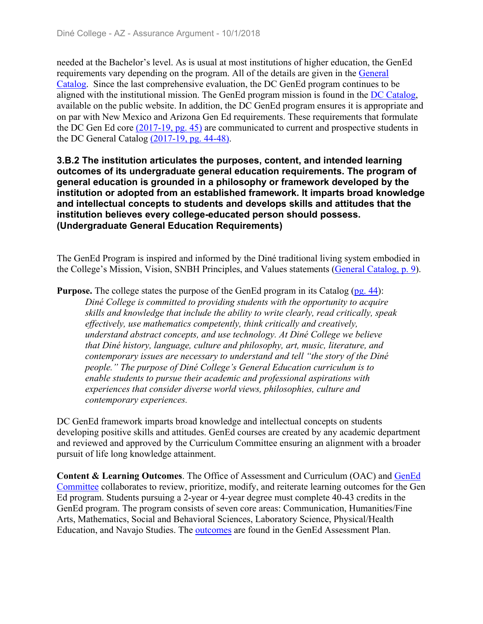needed at the Bachelor's level. As is usual at most institutions of higher education, the GenEd requirements vary depending on the program. All of the details are given in the General Catalog. Since the last comprehensive evaluation, the DC GenEd program continues to be aligned with the institutional mission. The GenEd program mission is found in the DC Catalog, available on the public website. In addition, the DC GenEd program ensures it is appropriate and on par with New Mexico and Arizona Gen Ed requirements. These requirements that formulate the DC Gen Ed core (2017-19, pg. 45) are communicated to current and prospective students in the DC General Catalog (2017-19, pg. 44-48).

**3.B.2 The institution articulates the purposes, content, and intended learning outcomes of its undergraduate general education requirements. The program of general education is grounded in a philosophy or framework developed by the institution or adopted from an established framework. It imparts broad knowledge and intellectual concepts to students and develops skills and attitudes that the institution believes every college-educated person should possess. (Undergraduate General Education Requirements)** 

The GenEd Program is inspired and informed by the Diné traditional living system embodied in the College's Mission, Vision, SNBH Principles, and Values statements (General Catalog, p. 9).

**Purpose.** The college states the purpose of the GenEd program in its Catalog (pg. 44):

*Diné College is committed to providing students with the opportunity to acquire skills and knowledge that include the ability to write clearly, read critically, speak effectively, use mathematics competently, think critically and creatively, understand abstract concepts, and use technology. At Diné College we believe that Diné history, language, culture and philosophy, art, music, literature, and contemporary issues are necessary to understand and tell "the story of the Diné people." The purpose of Diné College's General Education curriculum is to enable students to pursue their academic and professional aspirations with experiences that consider diverse world views, philosophies, culture and contemporary experiences.*

DC GenEd framework imparts broad knowledge and intellectual concepts on students developing positive skills and attitudes. GenEd courses are created by any academic department and reviewed and approved by the Curriculum Committee ensuring an alignment with a broader pursuit of life long knowledge attainment.

**Content & Learning Outcomes**. The Office of Assessment and Curriculum (OAC) and GenEd Committee collaborates to review, prioritize, modify, and reiterate learning outcomes for the Gen Ed program. Students pursuing a 2-year or 4-year degree must complete 40-43 credits in the GenEd program. The program consists of seven core areas: Communication, Humanities/Fine Arts, Mathematics, Social and Behavioral Sciences, Laboratory Science, Physical/Health Education, and Navajo Studies. The outcomes are found in the GenEd Assessment Plan.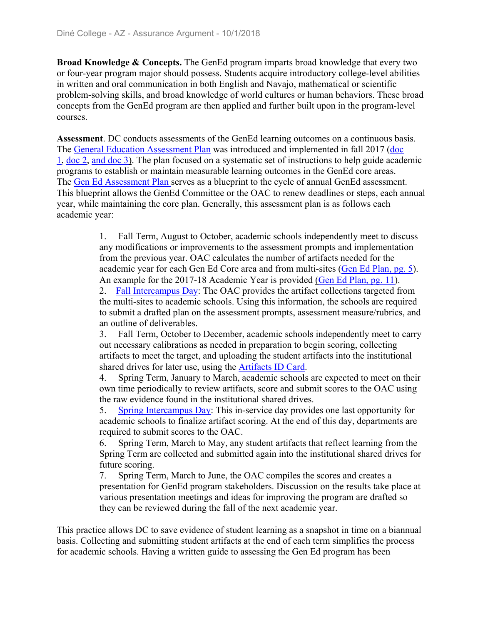**Broad Knowledge & Concepts.** The GenEd program imparts broad knowledge that every two or four-year program major should possess. Students acquire introductory college-level abilities in written and oral communication in both English and Navajo, mathematical or scientific problem-solving skills, and broad knowledge of world cultures or human behaviors. These broad concepts from the GenEd program are then applied and further built upon in the program-level courses.

**Assessment**. DC conducts assessments of the GenEd learning outcomes on a continuous basis. The General Education Assessment Plan was introduced and implemented in fall 2017 (doc 1, doc 2, and doc 3). The plan focused on a systematic set of instructions to help guide academic programs to establish or maintain measurable learning outcomes in the GenEd core areas. The Gen Ed Assessment Plan serves as a blueprint to the cycle of annual GenEd assessment. This blueprint allows the GenEd Committee or the OAC to renew deadlines or steps, each annual year, while maintaining the core plan. Generally, this assessment plan is as follows each academic year:

> 1. Fall Term, August to October, academic schools independently meet to discuss any modifications or improvements to the assessment prompts and implementation from the previous year. OAC calculates the number of artifacts needed for the academic year for each Gen Ed Core area and from multi-sites (Gen Ed Plan, pg. 5). An example for the 2017-18 Academic Year is provided (Gen Ed Plan, pg. 11). 2. Fall Intercampus Day: The OAC provides the artifact collections targeted from

> the multi-sites to academic schools. Using this information, the schools are required to submit a drafted plan on the assessment prompts, assessment measure/rubrics, and an outline of deliverables.

> 3. Fall Term, October to December, academic schools independently meet to carry out necessary calibrations as needed in preparation to begin scoring, collecting artifacts to meet the target, and uploading the student artifacts into the institutional shared drives for later use, using the Artifacts ID Card.

> 4. Spring Term, January to March, academic schools are expected to meet on their own time periodically to review artifacts, score and submit scores to the OAC using the raw evidence found in the institutional shared drives.

> 5. Spring Intercampus Day: This in-service day provides one last opportunity for academic schools to finalize artifact scoring. At the end of this day, departments are required to submit scores to the OAC.

6. Spring Term, March to May, any student artifacts that reflect learning from the Spring Term are collected and submitted again into the institutional shared drives for future scoring.

7. Spring Term, March to June, the OAC compiles the scores and creates a presentation for GenEd program stakeholders. Discussion on the results take place at various presentation meetings and ideas for improving the program are drafted so they can be reviewed during the fall of the next academic year.

This practice allows DC to save evidence of student learning as a snapshot in time on a biannual basis. Collecting and submitting student artifacts at the end of each term simplifies the process for academic schools. Having a written guide to assessing the Gen Ed program has been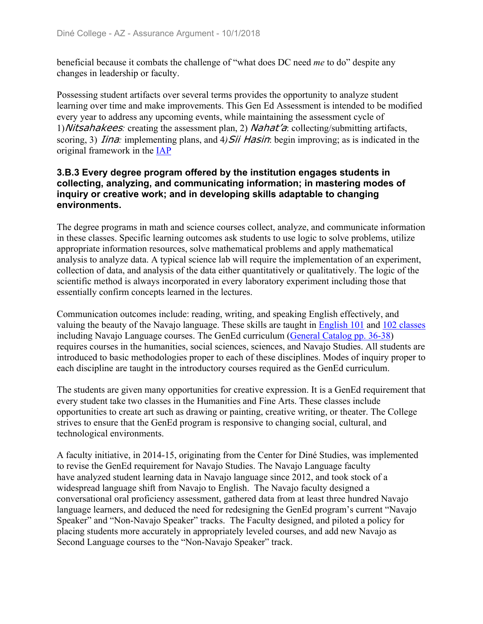beneficial because it combats the challenge of "what does DC need *me* to do" despite any changes in leadership or faculty.

Possessing student artifacts over several terms provides the opportunity to analyze student learning over time and make improvements. This Gen Ed Assessment is intended to be modified every year to address any upcoming events, while maintaining the assessment cycle of 1)Nitsahakees*:* creating the assessment plan, 2) Nahat'a: collecting/submitting artifacts, scoring, 3) *Iina*: implementing plans, and 4) *Sii Hasin*: begin improving; as is indicated in the original framework in the IAP

#### **3.B.3 Every degree program offered by the institution engages students in collecting, analyzing, and communicating information; in mastering modes of inquiry or creative work; and in developing skills adaptable to changing environments.**

The degree programs in math and science courses collect, analyze, and communicate information in these classes. Specific learning outcomes ask students to use logic to solve problems, utilize appropriate information resources, solve mathematical problems and apply mathematical analysis to analyze data. A typical science lab will require the implementation of an experiment, collection of data, and analysis of the data either quantitatively or qualitatively. The logic of the scientific method is always incorporated in every laboratory experiment including those that essentially confirm concepts learned in the lectures.

Communication outcomes include: reading, writing, and speaking English effectively, and valuing the beauty of the Navajo language. These skills are taught in English 101 and 102 classes including Navajo Language courses. The GenEd curriculum (General Catalog pp. 36-38) requires courses in the humanities, social sciences, sciences, and Navajo Studies. All students are introduced to basic methodologies proper to each of these disciplines. Modes of inquiry proper to each discipline are taught in the introductory courses required as the GenEd curriculum.

The students are given many opportunities for creative expression. It is a GenEd requirement that every student take two classes in the Humanities and Fine Arts. These classes include opportunities to create art such as drawing or painting, creative writing, or theater. The College strives to ensure that the GenEd program is responsive to changing social, cultural, and technological environments.

A faculty initiative, in 2014-15, originating from the Center for Diné Studies, was implemented to revise the GenEd requirement for Navajo Studies. The Navajo Language faculty have analyzed student learning data in Navajo language since 2012, and took stock of a widespread language shift from Navajo to English. The Navajo faculty designed a conversational oral proficiency assessment, gathered data from at least three hundred Navajo language learners, and deduced the need for redesigning the GenEd program's current "Navajo Speaker" and "Non-Navajo Speaker" tracks. The Faculty designed, and piloted a policy for placing students more accurately in appropriately leveled courses, and add new Navajo as Second Language courses to the "Non-Navajo Speaker" track.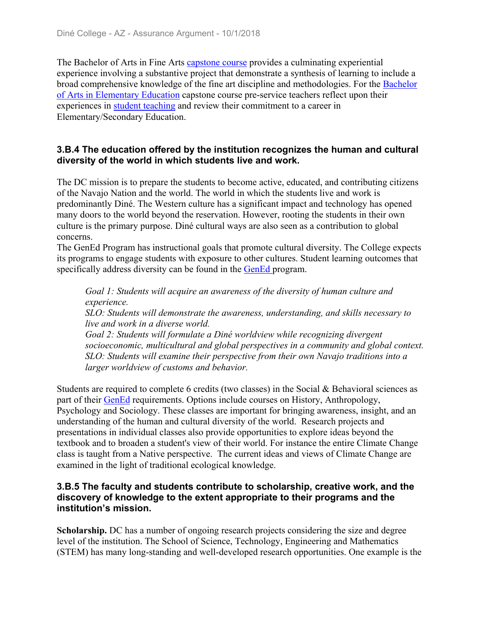The Bachelor of Arts in Fine Arts capstone course provides a culminating experiential experience involving a substantive project that demonstrate a synthesis of learning to include a broad comprehensive knowledge of the fine art discipline and methodologies. For the Bachelor of Arts in Elementary Education capstone course pre-service teachers reflect upon their experiences in student teaching and review their commitment to a career in Elementary/Secondary Education.

#### **3.B.4 The education offered by the institution recognizes the human and cultural diversity of the world in which students live and work.**

The DC mission is to prepare the students to become active, educated, and contributing citizens of the Navajo Nation and the world. The world in which the students live and work is predominantly Diné. The Western culture has a significant impact and technology has opened many doors to the world beyond the reservation. However, rooting the students in their own culture is the primary purpose. Diné cultural ways are also seen as a contribution to global concerns.

The GenEd Program has instructional goals that promote cultural diversity. The College expects its programs to engage students with exposure to other cultures. Student learning outcomes that specifically address diversity can be found in the GenEd program.

*Goal 1: Students will acquire an awareness of the diversity of human culture and experience.*

*SLO: Students will demonstrate the awareness, understanding, and skills necessary to live and work in a diverse world.*

*Goal 2: Students will formulate a Diné worldview while recognizing divergent socioeconomic, multicultural and global perspectives in a community and global context. SLO: Students will examine their perspective from their own Navajo traditions into a larger worldview of customs and behavior.*

Students are required to complete 6 credits (two classes) in the Social & Behavioral sciences as part of their GenEd requirements. Options include courses on History, Anthropology, Psychology and Sociology. These classes are important for bringing awareness, insight, and an understanding of the human and cultural diversity of the world. Research projects and presentations in individual classes also provide opportunities to explore ideas beyond the textbook and to broaden a student's view of their world. For instance the entire Climate Change class is taught from a Native perspective. The current ideas and views of Climate Change are examined in the light of traditional ecological knowledge.

#### **3.B.5 The faculty and students contribute to scholarship, creative work, and the discovery of knowledge to the extent appropriate to their programs and the institution's mission.**

**Scholarship.** DC has a number of ongoing research projects considering the size and degree level of the institution. The School of Science, Technology, Engineering and Mathematics (STEM) has many long-standing and well-developed research opportunities. One example is the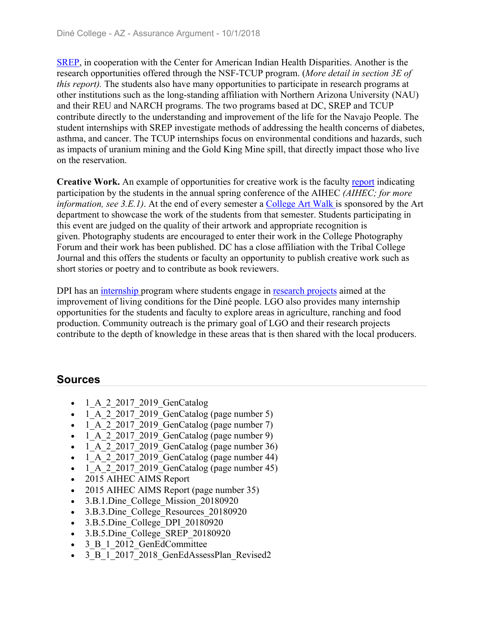SREP, in cooperation with the Center for American Indian Health Disparities. Another is the research opportunities offered through the NSF-TCUP program. (*More detail in section 3E of this report).* The students also have many opportunities to participate in research programs at other institutions such as the long-standing affiliation with Northern Arizona University (NAU) and their REU and NARCH programs. The two programs based at DC, SREP and TCUP contribute directly to the understanding and improvement of the life for the Navajo People. The student internships with SREP investigate methods of addressing the health concerns of diabetes, asthma, and cancer. The TCUP internships focus on environmental conditions and hazards, such as impacts of uranium mining and the Gold King Mine spill, that directly impact those who live on the reservation.

**Creative Work.** An example of opportunities for creative work is the faculty report indicating participation by the students in the annual spring conference of the AIHEC *(AIHEC; for more information, see 3.E.1).* At the end of every semester a College Art Walk is sponsored by the Art department to showcase the work of the students from that semester. Students participating in this event are judged on the quality of their artwork and appropriate recognition is given. Photography students are encouraged to enter their work in the College Photography Forum and their work has been published. DC has a close affiliation with the Tribal College Journal and this offers the students or faculty an opportunity to publish creative work such as short stories or poetry and to contribute as book reviewers.

DPI has an internship program where students engage in research projects aimed at the improvement of living conditions for the Diné people. LGO also provides many internship opportunities for the students and faculty to explore areas in agriculture, ranching and food production. Community outreach is the primary goal of LGO and their research projects contribute to the depth of knowledge in these areas that is then shared with the local producers.

## **Sources**

- 1\_A\_2\_2017\_2019\_GenCatalog
- $\bullet$  1 A 2 2017 2019 GenCatalog (page number 5)
- $\bullet$  1 A 2 2017 2019 GenCatalog (page number 7)
- $\bullet$  1 A 2 2017 2019 GenCatalog (page number 9)
- $\bullet$  1 A 2 2017 2019 GenCatalog (page number 36)
- $\bullet$  1 A 2 2017 2019 GenCatalog (page number 44)
- $\bullet$  1 A 2 2017 2019 GenCatalog (page number 45)
- 2015 AIHEC AIMS Report
- 2015 AIHEC AIMS Report (page number 35)
- 3.B.1.Dine College Mission 20180920
- 3.B.3.Dine College Resources 20180920
- 3.B.5.Dine College DPI 20180920
- 3.B.5.Dine College SREP 20180920
- 3 B 1 2012 GenEdCommittee
- 3 B 1 2017 2018 GenEdAssessPlan Revised2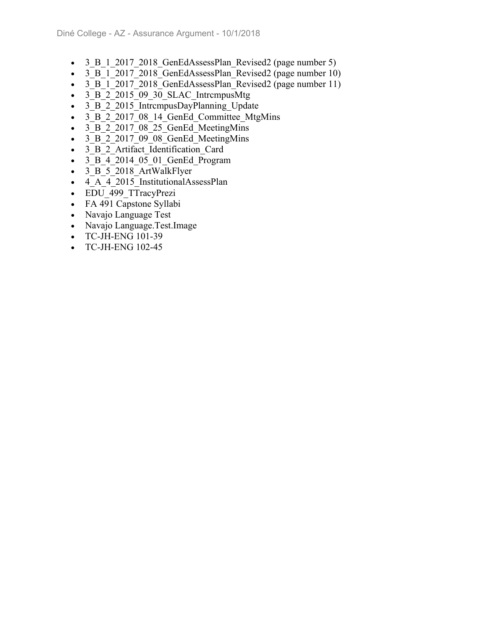- 3 B 1 2017 2018 GenEdAssessPlan Revised2 (page number 5)
- 3 B 1 2017 2018 GenEdAssessPlan Revised2 (page number 10)
- 3 B 1 2017 2018 GenEdAssessPlan Revised2 (page number 11)
- $\bullet$  3 B 2 2015 09 30 SLAC IntrempusMtg
- 3 B 2 2015 IntrcmpusDayPlanning Update
- 3 B 2 2017 08 14 GenEd Committee MtgMins
- 3 B 2 2017 08 25 GenEd MeetingMins
- 3 B 2 2017 09 08 GenEd MeetingMins
- 3 B 2 Artifact Identification Card
- 3 B 4 2014 05 01 GenEd Program
- 3 B 5 2018 ArtWalkFlyer
- 4 A 4 2015 InstitutionalAssessPlan
- EDU 499 TTracyPrezi
- FA 491 Capstone Syllabi
- Navajo Language Test
- Navajo Language.Test.Image
- TC-JH-ENG 101-39
- TC-JH-ENG 102-45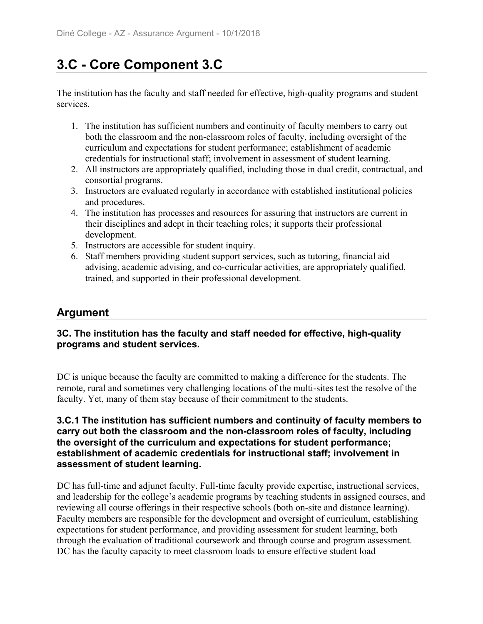# **3.C - Core Component 3.C**

The institution has the faculty and staff needed for effective, high-quality programs and student services.

- 1. The institution has sufficient numbers and continuity of faculty members to carry out both the classroom and the non-classroom roles of faculty, including oversight of the curriculum and expectations for student performance; establishment of academic credentials for instructional staff; involvement in assessment of student learning.
- 2. All instructors are appropriately qualified, including those in dual credit, contractual, and consortial programs.
- 3. Instructors are evaluated regularly in accordance with established institutional policies and procedures.
- 4. The institution has processes and resources for assuring that instructors are current in their disciplines and adept in their teaching roles; it supports their professional development.
- 5. Instructors are accessible for student inquiry.
- 6. Staff members providing student support services, such as tutoring, financial aid advising, academic advising, and co-curricular activities, are appropriately qualified, trained, and supported in their professional development.

## **Argument**

#### **3C. The institution has the faculty and staff needed for effective, high-quality programs and student services.**

DC is unique because the faculty are committed to making a difference for the students. The remote, rural and sometimes very challenging locations of the multi-sites test the resolve of the faculty. Yet, many of them stay because of their commitment to the students.

#### **3.C.1 The institution has sufficient numbers and continuity of faculty members to carry out both the classroom and the non-classroom roles of faculty, including the oversight of the curriculum and expectations for student performance; establishment of academic credentials for instructional staff; involvement in assessment of student learning.**

DC has full-time and adjunct faculty. Full-time faculty provide expertise, instructional services, and leadership for the college's academic programs by teaching students in assigned courses, and reviewing all course offerings in their respective schools (both on-site and distance learning). Faculty members are responsible for the development and oversight of curriculum, establishing expectations for student performance, and providing assessment for student learning, both through the evaluation of traditional coursework and through course and program assessment. DC has the faculty capacity to meet classroom loads to ensure effective student load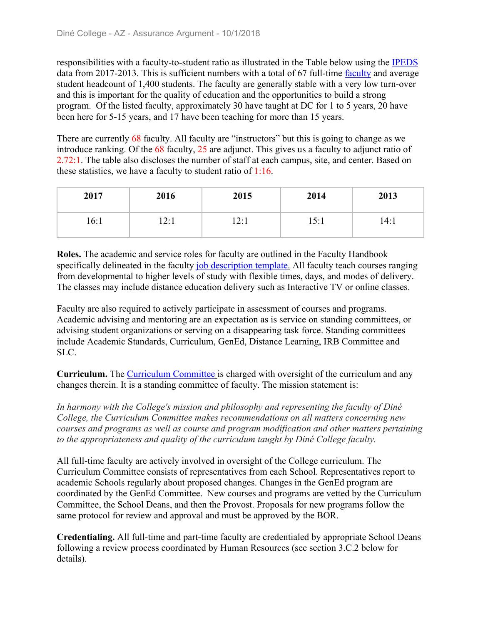responsibilities with a faculty-to-student ratio as illustrated in the Table below using the IPEDS data from 2017-2013. This is sufficient numbers with a total of 67 full-time faculty and average student headcount of 1,400 students. The faculty are generally stable with a very low turn-over and this is important for the quality of education and the opportunities to build a strong program. Of the listed faculty, approximately 30 have taught at DC for 1 to 5 years, 20 have been here for 5-15 years, and 17 have been teaching for more than 15 years.

There are currently 68 faculty. All faculty are "instructors" but this is going to change as we introduce ranking. Of the 68 faculty, 25 are adjunct. This gives us a faculty to adjunct ratio of 2.72:1. The table also discloses the number of staff at each campus, site, and center. Based on these statistics, we have a faculty to student ratio of  $1:16$ .

| 2017 | 2016 | 2015 | 2014 | 2013 |
|------|------|------|------|------|
| 16:1 | 12:1 | 12:1 | 15:1 | 14:1 |

**Roles.** The academic and service roles for faculty are outlined in the Faculty Handbook specifically delineated in the faculty job description template. All faculty teach courses ranging from developmental to higher levels of study with flexible times, days, and modes of delivery. The classes may include distance education delivery such as Interactive TV or online classes.

Faculty are also required to actively participate in assessment of courses and programs. Academic advising and mentoring are an expectation as is service on standing committees, or advising student organizations or serving on a disappearing task force. Standing committees include Academic Standards, Curriculum, GenEd, Distance Learning, IRB Committee and SLC.

**Curriculum.** The Curriculum Committee is charged with oversight of the curriculum and any changes therein. It is a standing committee of faculty. The mission statement is:

*In harmony with the College's mission and philosophy and representing the faculty of Diné College, the Curriculum Committee makes recommendations on all matters concerning new courses and programs as well as course and program modification and other matters pertaining to the appropriateness and quality of the curriculum taught by Diné College faculty.*

All full-time faculty are actively involved in oversight of the College curriculum. The Curriculum Committee consists of representatives from each School. Representatives report to academic Schools regularly about proposed changes. Changes in the GenEd program are coordinated by the GenEd Committee. New courses and programs are vetted by the Curriculum Committee, the School Deans, and then the Provost. Proposals for new programs follow the same protocol for review and approval and must be approved by the BOR.

**Credentialing.** All full-time and part-time faculty are credentialed by appropriate School Deans following a review process coordinated by Human Resources (see section 3.C.2 below for details).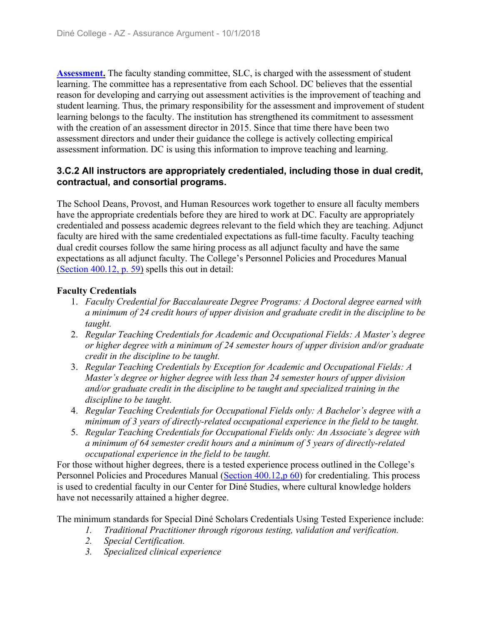**Assessment.** The faculty standing committee, SLC, is charged with the assessment of student learning. The committee has a representative from each School. DC believes that the essential reason for developing and carrying out assessment activities is the improvement of teaching and student learning. Thus, the primary responsibility for the assessment and improvement of student learning belongs to the faculty. The institution has strengthened its commitment to assessment with the creation of an assessment director in 2015. Since that time there have been two assessment directors and under their guidance the college is actively collecting empirical assessment information. DC is using this information to improve teaching and learning.

#### **3.C.2 All instructors are appropriately credentialed, including those in dual credit, contractual, and consortial programs.**

The School Deans, Provost, and Human Resources work together to ensure all faculty members have the appropriate credentials before they are hired to work at DC. Faculty are appropriately credentialed and possess academic degrees relevant to the field which they are teaching. Adjunct faculty are hired with the same credentialed expectations as full-time faculty. Faculty teaching dual credit courses follow the same hiring process as all adjunct faculty and have the same expectations as all adjunct faculty. The College's Personnel Policies and Procedures Manual (Section 400.12, p. 59) spells this out in detail:

#### **Faculty Credentials**

- 1. *Faculty Credential for Baccalaureate Degree Programs: A Doctoral degree earned with a minimum of 24 credit hours of upper division and graduate credit in the discipline to be taught.*
- 2. *Regular Teaching Credentials for Academic and Occupational Fields: A Master's degree or higher degree with a minimum of 24 semester hours of upper division and/or graduate credit in the discipline to be taught.*
- 3. *Regular Teaching Credentials by Exception for Academic and Occupational Fields: A Master's degree or higher degree with less than 24 semester hours of upper division and/or graduate credit in the discipline to be taught and specialized training in the discipline to be taught.*
- 4. *Regular Teaching Credentials for Occupational Fields only: A Bachelor's degree with a minimum of 3 years of directly-related occupational experience in the field to be taught.*
- 5. *Regular Teaching Credentials for Occupational Fields only: An Associate's degree with a minimum of 64 semester credit hours and a minimum of 5 years of directly-related occupational experience in the field to be taught.*

For those without higher degrees, there is a tested experience process outlined in the College's Personnel Policies and Procedures Manual (Section 400.12,p 60) for credentialing. This process is used to credential faculty in our Center for Diné Studies, where cultural knowledge holders have not necessarily attained a higher degree.

The minimum standards for Special Diné Scholars Credentials Using Tested Experience include:

- *1. Traditional Practitioner through rigorous testing, validation and verification.*
- *2. Special Certification.*
- *3. Specialized clinical experience*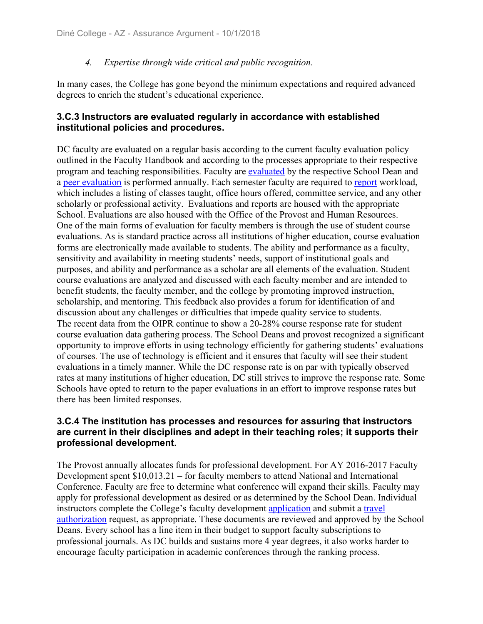#### *4. Expertise through wide critical and public recognition.*

In many cases, the College has gone beyond the minimum expectations and required advanced degrees to enrich the student's educational experience.

#### **3.C.3 Instructors are evaluated regularly in accordance with established institutional policies and procedures.**

DC faculty are evaluated on a regular basis according to the current faculty evaluation policy outlined in the Faculty Handbook and according to the processes appropriate to their respective program and teaching responsibilities. Faculty are evaluated by the respective School Dean and a peer evaluation is performed annually. Each semester faculty are required to report workload, which includes a listing of classes taught, office hours offered, committee service, and any other scholarly or professional activity. Evaluations and reports are housed with the appropriate School. Evaluations are also housed with the Office of the Provost and Human Resources. One of the main forms of evaluation for faculty members is through the use of student course evaluations. As is standard practice across all institutions of higher education, course evaluation forms are electronically made available to students. The ability and performance as a faculty, sensitivity and availability in meeting students' needs, support of institutional goals and purposes, and ability and performance as a scholar are all elements of the evaluation. Student course evaluations are analyzed and discussed with each faculty member and are intended to benefit students, the faculty member, and the college by promoting improved instruction, scholarship, and mentoring. This feedback also provides a forum for identification of and discussion about any challenges or difficulties that impede quality service to students. The recent data from the OIPR continue to show a 20-28% course response rate for student course evaluation data gathering process. The School Deans and provost recognized a significant opportunity to improve efforts in using technology efficiently for gathering students' evaluations of courses. The use of technology is efficient and it ensures that faculty will see their student evaluations in a timely manner. While the DC response rate is on par with typically observed rates at many institutions of higher education, DC still strives to improve the response rate. Some Schools have opted to return to the paper evaluations in an effort to improve response rates but there has been limited responses.

#### **3.C.4 The institution has processes and resources for assuring that instructors are current in their disciplines and adept in their teaching roles; it supports their professional development.**

The Provost annually allocates funds for professional development. For AY 2016-2017 Faculty Development spent \$10,013.21 – for faculty members to attend National and International Conference. Faculty are free to determine what conference will expand their skills. Faculty may apply for professional development as desired or as determined by the School Dean. Individual instructors complete the College's faculty development application and submit a travel authorization request, as appropriate. These documents are reviewed and approved by the School Deans. Every school has a line item in their budget to support faculty subscriptions to professional journals. As DC builds and sustains more 4 year degrees, it also works harder to encourage faculty participation in academic conferences through the ranking process.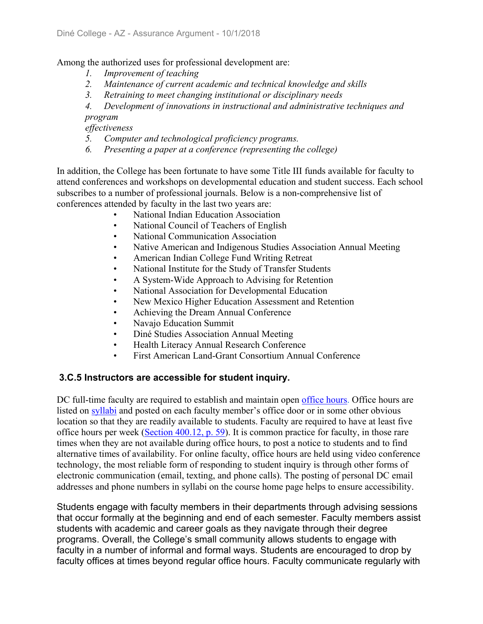Among the authorized uses for professional development are:

- *1. Improvement of teaching*
- *2. Maintenance of current academic and technical knowledge and skills*
- *3. Retraining to meet changing institutional or disciplinary needs*
- *4. Development of innovations in instructional and administrative techniques and*

*program*

*effectiveness*

- *5. Computer and technological proficiency programs.*
- *6. Presenting a paper at a conference (representing the college)*

In addition, the College has been fortunate to have some Title III funds available for faculty to attend conferences and workshops on developmental education and student success. Each school subscribes to a number of professional journals. Below is a non-comprehensive list of conferences attended by faculty in the last two years are:

- National Indian Education Association
- National Council of Teachers of English
- National Communication Association
- Native American and Indigenous Studies Association Annual Meeting
- American Indian College Fund Writing Retreat
- National Institute for the Study of Transfer Students
- A System-Wide Approach to Advising for Retention
- National Association for Developmental Education
- New Mexico Higher Education Assessment and Retention
- Achieving the Dream Annual Conference
- Navajo Education Summit
- Diné Studies Association Annual Meeting
- Health Literacy Annual Research Conference
- First American Land-Grant Consortium Annual Conference

#### **3.C.5 Instructors are accessible for student inquiry.**

DC full-time faculty are required to establish and maintain open office hours. Office hours are listed on syllabi and posted on each faculty member's office door or in some other obvious location so that they are readily available to students. Faculty are required to have at least five office hours per week (Section 400.12, p. 59). It is common practice for faculty, in those rare times when they are not available during office hours, to post a notice to students and to find alternative times of availability. For online faculty, office hours are held using video conference technology, the most reliable form of responding to student inquiry is through other forms of electronic communication (email, texting, and phone calls). The posting of personal DC email addresses and phone numbers in syllabi on the course home page helps to ensure accessibility.

Students engage with faculty members in their departments through advising sessions that occur formally at the beginning and end of each semester. Faculty members assist students with academic and career goals as they navigate through their degree programs. Overall, the College's small community allows students to engage with faculty in a number of informal and formal ways. Students are encouraged to drop by faculty offices at times beyond regular office hours. Faculty communicate regularly with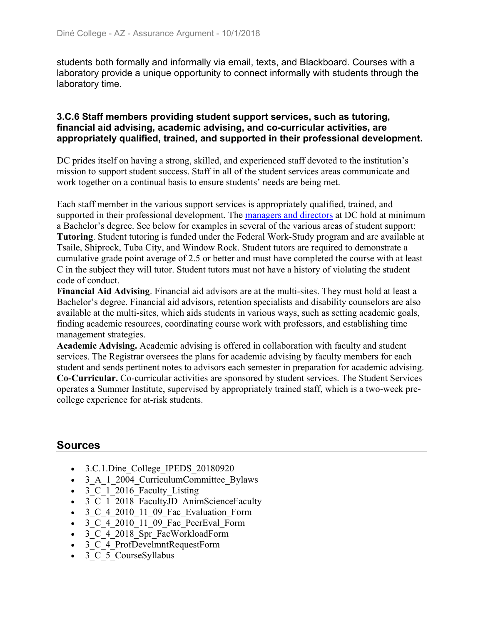students both formally and informally via email, texts, and Blackboard. Courses with a laboratory provide a unique opportunity to connect informally with students through the laboratory time.

#### **3.C.6 Staff members providing student support services, such as tutoring, financial aid advising, academic advising, and co-curricular activities, are appropriately qualified, trained, and supported in their professional development.**

DC prides itself on having a strong, skilled, and experienced staff devoted to the institution's mission to support student success. Staff in all of the student services areas communicate and work together on a continual basis to ensure students' needs are being met.

Each staff member in the various support services is appropriately qualified, trained, and supported in their professional development. The managers and directors at DC hold at minimum a Bachelor's degree. See below for examples in several of the various areas of student support: **Tutoring**. Student tutoring is funded under the Federal Work-Study program and are available at Tsaile, Shiprock, Tuba City, and Window Rock. Student tutors are required to demonstrate a cumulative grade point average of 2.5 or better and must have completed the course with at least C in the subject they will tutor. Student tutors must not have a history of violating the student code of conduct.

**Financial Aid Advising**. Financial aid advisors are at the multi-sites. They must hold at least a Bachelor's degree. Financial aid advisors, retention specialists and disability counselors are also available at the multi-sites, which aids students in various ways, such as setting academic goals, finding academic resources, coordinating course work with professors, and establishing time management strategies.

**Academic Advising.** Academic advising is offered in collaboration with faculty and student services. The Registrar oversees the plans for academic advising by faculty members for each student and sends pertinent notes to advisors each semester in preparation for academic advising. **Co-Curricular.** Co-curricular activities are sponsored by student services. The Student Services operates a Summer Institute, supervised by appropriately trained staff, which is a two-week precollege experience for at-risk students.

## **Sources**

- 3.C.1.Dine College IPEDS 20180920
- 3 A 1 2004 CurriculumCommittee Bylaws
- $\bullet$  3 C 1 2016 Faculty Listing
- 3 C 1 2018 FacultyJD AnimScienceFaculty
- 3 C 4 2010 11 09 Fac Evaluation Form
- $\bullet$  3 C 4 2010 11 09 Fac PeerEval Form
- 3 C 4 2018 Spr FacWorkloadForm
- 3 C 4 ProfDevelmntRequestForm
- 3 C 5 CourseSyllabus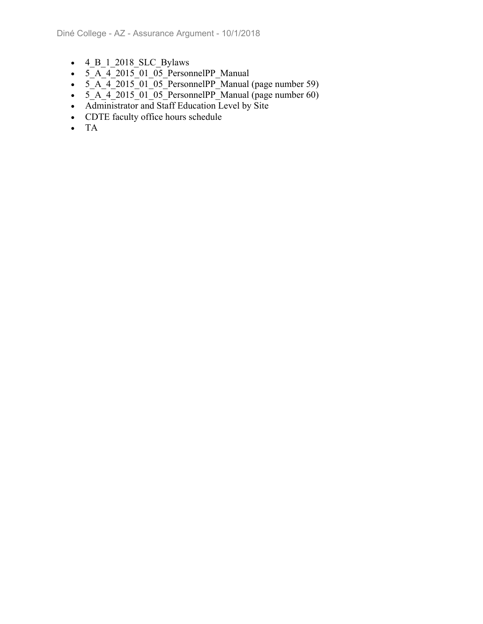- $\bullet$  4 B 1 2018 SLC Bylaws
- $\cdot$  5  $\overline{A}$  4 2015 01 05 PersonnelPP Manual
- $\overline{5_A}$   $\overline{4}$  2015 $\overline{01}$   $\overline{05}$  PersonnelPP Manual (page number 59)
- $\bullet$  5  $\overline{A}$  4 2015 01 05 PersonnelPP Manual (page number 60)
- Administrator and Staff Education Level by Site
- CDTE faculty office hours schedule
- TA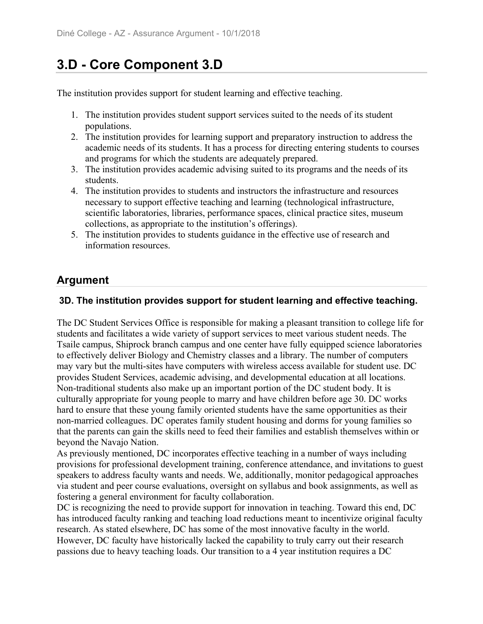# **3.D - Core Component 3.D**

The institution provides support for student learning and effective teaching.

- 1. The institution provides student support services suited to the needs of its student populations.
- 2. The institution provides for learning support and preparatory instruction to address the academic needs of its students. It has a process for directing entering students to courses and programs for which the students are adequately prepared.
- 3. The institution provides academic advising suited to its programs and the needs of its students.
- 4. The institution provides to students and instructors the infrastructure and resources necessary to support effective teaching and learning (technological infrastructure, scientific laboratories, libraries, performance spaces, clinical practice sites, museum collections, as appropriate to the institution's offerings).
- 5. The institution provides to students guidance in the effective use of research and information resources.

## **Argument**

## **3D. The institution provides support for student learning and effective teaching.**

The DC Student Services Office is responsible for making a pleasant transition to college life for students and facilitates a wide variety of support services to meet various student needs. The Tsaile campus, Shiprock branch campus and one center have fully equipped science laboratories to effectively deliver Biology and Chemistry classes and a library. The number of computers may vary but the multi-sites have computers with wireless access available for student use. DC provides Student Services, academic advising, and developmental education at all locations. Non-traditional students also make up an important portion of the DC student body. It is culturally appropriate for young people to marry and have children before age 30. DC works hard to ensure that these young family oriented students have the same opportunities as their non-married colleagues. DC operates family student housing and dorms for young families so that the parents can gain the skills need to feed their families and establish themselves within or beyond the Navajo Nation.

As previously mentioned, DC incorporates effective teaching in a number of ways including provisions for professional development training, conference attendance, and invitations to guest speakers to address faculty wants and needs. We, additionally, monitor pedagogical approaches via student and peer course evaluations, oversight on syllabus and book assignments, as well as fostering a general environment for faculty collaboration.

DC is recognizing the need to provide support for innovation in teaching. Toward this end, DC has introduced faculty ranking and teaching load reductions meant to incentivize original faculty research. As stated elsewhere, DC has some of the most innovative faculty in the world. However, DC faculty have historically lacked the capability to truly carry out their research passions due to heavy teaching loads. Our transition to a 4 year institution requires a DC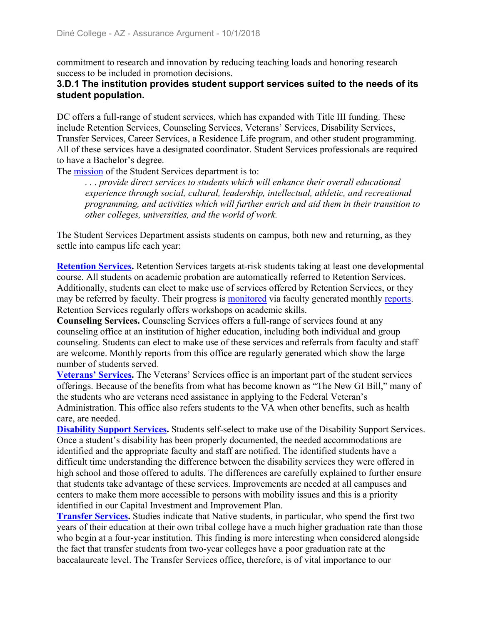commitment to research and innovation by reducing teaching loads and honoring research success to be included in promotion decisions.

#### **3.D.1 The institution provides student support services suited to the needs of its student population.**

DC offers a full-range of student services, which has expanded with Title III funding. These include Retention Services, Counseling Services, Veterans' Services, Disability Services, Transfer Services, Career Services, a Residence Life program, and other student programming. All of these services have a designated coordinator. Student Services professionals are required to have a Bachelor's degree.

The mission of the Student Services department is to:

*. . . provide direct services to students which will enhance their overall educational experience through social, cultural, leadership, intellectual, athletic, and recreational programming, and activities which will further enrich and aid them in their transition to other colleges, universities, and the world of work.*

The Student Services Department assists students on campus, both new and returning, as they settle into campus life each year:

**Retention Services.** Retention Services targets at-risk students taking at least one developmental course. All students on academic probation are automatically referred to Retention Services. Additionally, students can elect to make use of services offered by Retention Services, or they may be referred by faculty. Their progress is monitored via faculty generated monthly reports. Retention Services regularly offers workshops on academic skills.

**Counseling Services.** Counseling Services offers a full-range of services found at any counseling office at an institution of higher education, including both individual and group counseling. Students can elect to make use of these services and referrals from faculty and staff are welcome. Monthly reports from this office are regularly generated which show the large number of students served.

**Veterans' Services.** The Veterans' Services office is an important part of the student services offerings. Because of the benefits from what has become known as "The New GI Bill," many of the students who are veterans need assistance in applying to the Federal Veteran's Administration. This office also refers students to the VA when other benefits, such as health care, are needed.

**Disability Support Services.** Students self-select to make use of the Disability Support Services. Once a student's disability has been properly documented, the needed accommodations are identified and the appropriate faculty and staff are notified. The identified students have a difficult time understanding the difference between the disability services they were offered in high school and those offered to adults. The differences are carefully explained to further ensure that students take advantage of these services. Improvements are needed at all campuses and centers to make them more accessible to persons with mobility issues and this is a priority identified in our Capital Investment and Improvement Plan.

**Transfer Services.** Studies indicate that Native students, in particular, who spend the first two years of their education at their own tribal college have a much higher graduation rate than those who begin at a four-year institution. This finding is more interesting when considered alongside the fact that transfer students from two-year colleges have a poor graduation rate at the baccalaureate level. The Transfer Services office, therefore, is of vital importance to our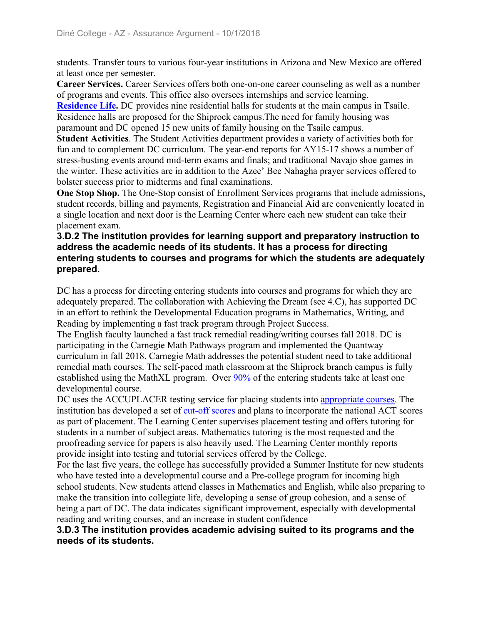students. Transfer tours to various four-year institutions in Arizona and New Mexico are offered at least once per semester.

**Career Services.** Career Services offers both one-on-one career counseling as well as a number of programs and events. This office also oversees internships and service learning.

**Residence Life.** DC provides nine residential halls for students at the main campus in Tsaile. Residence halls are proposed for the Shiprock campus.The need for family housing was paramount and DC opened 15 new units of family housing on the Tsaile campus.

**Student Activities**. The Student Activities department provides a variety of activities both for fun and to complement DC curriculum. The year-end reports for AY15-17 shows a number of stress-busting events around mid-term exams and finals; and traditional Navajo shoe games in the winter. These activities are in addition to the Azee' Bee Nahagha prayer services offered to bolster success prior to midterms and final examinations.

**One Stop Shop.** The One-Stop consist of Enrollment Services programs that include admissions, student records, billing and payments, Registration and Financial Aid are conveniently located in a single location and next door is the Learning Center where each new student can take their placement exam.

#### **3.D.2 The institution provides for learning support and preparatory instruction to address the academic needs of its students. It has a process for directing entering students to courses and programs for which the students are adequately prepared.**

DC has a process for directing entering students into courses and programs for which they are adequately prepared. The collaboration with Achieving the Dream (see 4.C), has supported DC in an effort to rethink the Developmental Education programs in Mathematics, Writing, and Reading by implementing a fast track program through Project Success.

The English faculty launched a fast track remedial reading/writing courses fall 2018. DC is participating in the Carnegie Math Pathways program and implemented the Quantway curriculum in fall 2018. Carnegie Math addresses the potential student need to take additional remedial math courses. The self-paced math classroom at the Shiprock branch campus is fully established using the MathXL program. Over 90% of the entering students take at least one developmental course.

DC uses the ACCUPLACER testing service for placing students into appropriate courses. The institution has developed a set of cut-off scores and plans to incorporate the national ACT scores as part of placement. The Learning Center supervises placement testing and offers tutoring for students in a number of subject areas. Mathematics tutoring is the most requested and the proofreading service for papers is also heavily used. The Learning Center monthly reports provide insight into testing and tutorial services offered by the College.

For the last five years, the college has successfully provided a Summer Institute for new students who have tested into a developmental course and a Pre-college program for incoming high school students. New students attend classes in Mathematics and English, while also preparing to make the transition into collegiate life, developing a sense of group cohesion, and a sense of being a part of DC. The data indicates significant improvement, especially with developmental reading and writing courses, and an increase in student confidence

#### **3.D.3 The institution provides academic advising suited to its programs and the needs of its students.**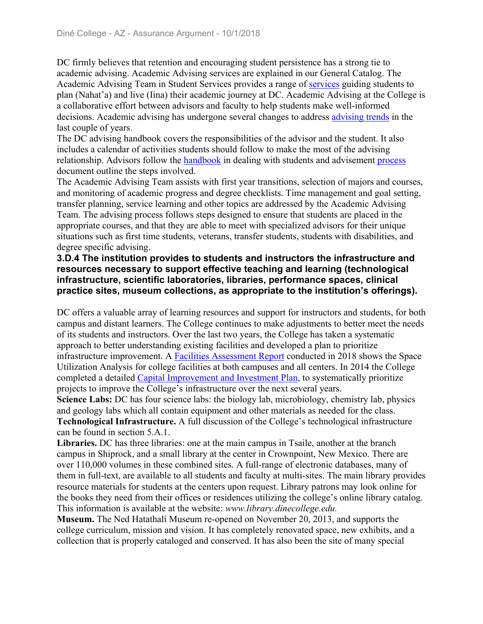DC firmly believes that retention and encouraging student persistence has a strong tie to academic advising. Academic Advising services are explained in our General Catalog. The Academic Advising Team in Student Services provides a range of services guiding students to plan (Nahat'a) and live (Iina) their academic journey at DC. Academic Advising at the College is a collaborative effort between advisors and faculty to help students make well-informed decisions. Academic advising has undergone several changes to address advising trends in the last couple of years.

The DC advising handbook covers the responsibilities of the advisor and the student. It also includes a calendar of activities students should follow to make the most of the advising relationship. Advisors follow the handbook in dealing with students and advisement process document outline the steps involved.

The Academic Advising Team assists with first year transitions, selection of majors and courses, and monitoring of academic progress and degree checklists. Time management and goal setting, transfer planning, service learning and other topics are addressed by the Academic Advising Team. The advising process follows steps designed to ensure that students are placed in the appropriate courses, and that they are able to meet with specialized advisors for their unique situations such as first time students, veterans, transfer students, students with disabilities, and degree specific advising.

#### **3.D.4 The institution provides to students and instructors the infrastructure and resources necessary to support effective teaching and learning (technological infrastructure, scientific laboratories, libraries, performance spaces, clinical practice sites, museum collections, as appropriate to the institution's offerings).**

DC offers a valuable array of learning resources and support for instructors and students, for both campus and distant learners. The College continues to make adjustments to better meet the needs of its students and instructors. Over the last two years, the College has taken a systematic approach to better understanding existing facilities and developed a plan to prioritize infrastructure improvement. A Facilities Assessment Report conducted in 2018 shows the Space Utilization Analysis for college facilities at both campuses and all centers. In 2014 the College completed a detailed Capital Improvement and Investment Plan, to systematically prioritize projects to improve the College's infrastructure over the next several years. **Science Labs:** DC has four science labs: the biology lab, microbiology, chemistry lab, physics and geology labs which all contain equipment and other materials as needed for the class. **Technological Infrastructure.** A full discussion of the College's technological infrastructure

can be found in section 5.A.1.

**Libraries.** DC has three libraries: one at the main campus in Tsaile, another at the branch campus in Shiprock, and a small library at the center in Crownpoint, New Mexico. There are over 110,000 volumes in these combined sites. A full-range of electronic databases, many of them in full-text, are available to all students and faculty at multi-sites. The main library provides resource materials for students at the centers upon request. Library patrons may look online for the books they need from their offices or residences utilizing the college's online library catalog. This information is available at the website: *www.library.dinecollege.edu.*

**Museum.** The Ned Hatathalí Museum re-opened on November 20, 2013, and supports the college curriculum, mission and vision. It has completely renovated space, new exhibits, and a collection that is properly cataloged and conserved. It has also been the site of many special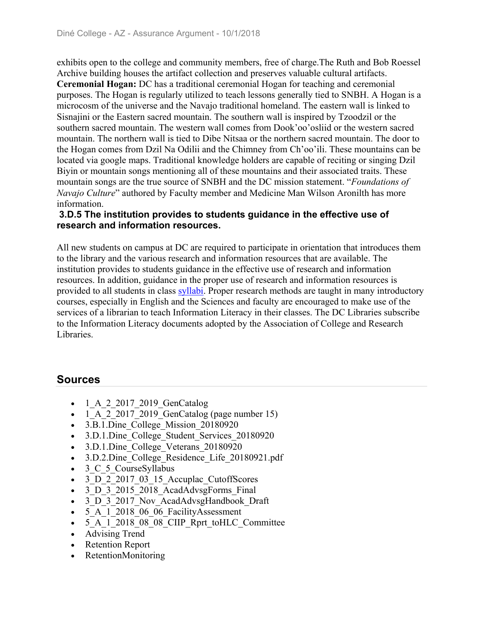exhibits open to the college and community members, free of charge.The Ruth and Bob Roessel Archive building houses the artifact collection and preserves valuable cultural artifacts. **Ceremonial Hogan:** DC has a traditional ceremonial Hogan for teaching and ceremonial purposes. The Hogan is regularly utilized to teach lessons generally tied to SNBH. A Hogan is a microcosm of the universe and the Navajo traditional homeland. The eastern wall is linked to Sisnajini or the Eastern sacred mountain. The southern wall is inspired by Tzoodzil or the southern sacred mountain. The western wall comes from Dook'oo'osliid or the western sacred mountain. The northern wall is tied to Dibe Nitsaa or the northern sacred mountain. The door to the Hogan comes from Dzil Na Odilii and the Chimney from Ch'oo'ili. These mountains can be located via google maps. Traditional knowledge holders are capable of reciting or singing Dzil Biyin or mountain songs mentioning all of these mountains and their associated traits. These mountain songs are the true source of SNBH and the DC mission statement. "*Foundations of Navajo Culture*" authored by Faculty member and Medicine Man Wilson Aronilth has more information.

#### **3.D.5 The institution provides to students guidance in the effective use of research and information resources.**

All new students on campus at DC are required to participate in orientation that introduces them to the library and the various research and information resources that are available. The institution provides to students guidance in the effective use of research and information resources. In addition, guidance in the proper use of research and information resources is provided to all students in class syllabi. Proper research methods are taught in many introductory courses, especially in English and the Sciences and faculty are encouraged to make use of the services of a librarian to teach Information Literacy in their classes. The DC Libraries subscribe to the Information Literacy documents adopted by the Association of College and Research Libraries.

## **Sources**

- 1 A 2 2017 2019 GenCatalog
- $\bullet$  1 A 2 2017 2019 GenCatalog (page number 15)
- 3.B.1.Dine College Mission 20180920
- 3.D.1.Dine College Student Services 20180920
- 3.D.1.Dine College Veterans 20180920
- 3.D.2.Dine College Residence Life 20180921.pdf
- 3 C 5 CourseSyllabus
- 3 D 2 2017 03 15 Accuplac CutoffScores
- 3 D 3 2015 2018 AcadAdvsgForms Final
- 3 D 3 2017 Nov AcadAdvsgHandbook Draft
- 5 A 1 2018 06 06 FacilityAssessment
- $-5$  A 1 2018 08 08 CIIP Rprt toHLC Committee
- Advising Trend
- Retention Report
- RetentionMonitoring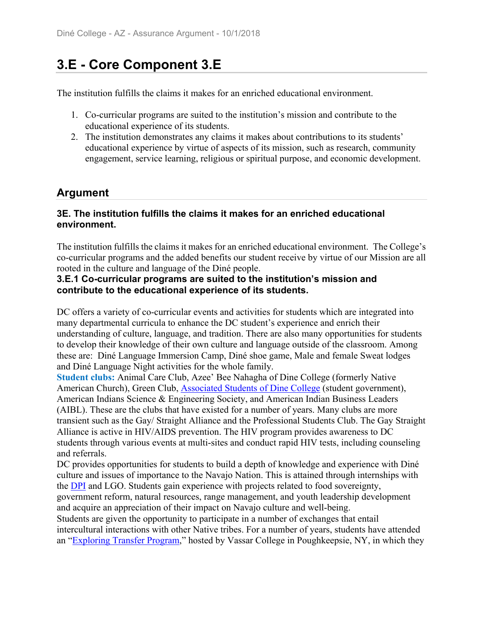## **3.E - Core Component 3.E**

The institution fulfills the claims it makes for an enriched educational environment.

- 1. Co-curricular programs are suited to the institution's mission and contribute to the educational experience of its students.
- 2. The institution demonstrates any claims it makes about contributions to its students' educational experience by virtue of aspects of its mission, such as research, community engagement, service learning, religious or spiritual purpose, and economic development.

### **Argument**

#### **3E. The institution fulfills the claims it makes for an enriched educational environment.**

The institution fulfills the claims it makes for an enriched educational environment. The College's co-curricular programs and the added benefits our student receive by virtue of our Mission are all rooted in the culture and language of the Diné people.

#### **3.E.1 Co-curricular programs are suited to the institution's mission and contribute to the educational experience of its students.**

DC offers a variety of co-curricular events and activities for students which are integrated into many departmental curricula to enhance the DC student's experience and enrich their understanding of culture, language, and tradition. There are also many opportunities for students to develop their knowledge of their own culture and language outside of the classroom. Among these are: Diné Language Immersion Camp, Diné shoe game, Male and female Sweat lodges and Diné Language Night activities for the whole family.

**Student clubs:** Animal Care Club, Azee' Bee Nahagha of Dine College (formerly Native American Church), Green Club, Associated Students of Dine College (student government), American Indians Science & Engineering Society, and American Indian Business Leaders (AIBL). These are the clubs that have existed for a number of years. Many clubs are more transient such as the Gay/ Straight Alliance and the Professional Students Club. The Gay Straight Alliance is active in HIV/AIDS prevention. The HIV program provides awareness to DC students through various events at multi-sites and conduct rapid HIV tests, including counseling and referrals.

DC provides opportunities for students to build a depth of knowledge and experience with Diné culture and issues of importance to the Navajo Nation. This is attained through internships with the DPI and LGO. Students gain experience with projects related to food sovereignty, government reform, natural resources, range management, and youth leadership development

and acquire an appreciation of their impact on Navajo culture and well-being.

Students are given the opportunity to participate in a number of exchanges that entail intercultural interactions with other Native tribes. For a number of years, students have attended an "Exploring Transfer Program," hosted by Vassar College in Poughkeepsie, NY, in which they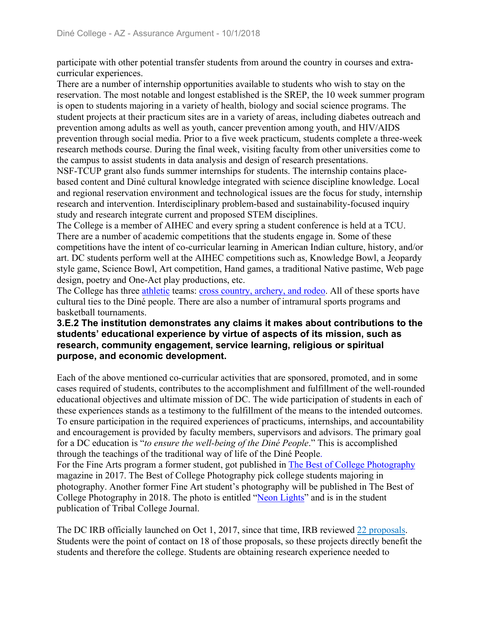participate with other potential transfer students from around the country in courses and extracurricular experiences.

There are a number of internship opportunities available to students who wish to stay on the reservation. The most notable and longest established is the SREP, the 10 week summer program is open to students majoring in a variety of health, biology and social science programs. The student projects at their practicum sites are in a variety of areas, including diabetes outreach and prevention among adults as well as youth, cancer prevention among youth, and HIV/AIDS prevention through social media. Prior to a five week practicum, students complete a three-week research methods course. During the final week, visiting faculty from other universities come to the campus to assist students in data analysis and design of research presentations.

NSF-TCUP grant also funds summer internships for students. The internship contains placebased content and Diné cultural knowledge integrated with science discipline knowledge. Local and regional reservation environment and technological issues are the focus for study, internship research and intervention. Interdisciplinary problem-based and sustainability-focused inquiry study and research integrate current and proposed STEM disciplines.

The College is a member of AIHEC and every spring a student conference is held at a TCU. There are a number of academic competitions that the students engage in. Some of these competitions have the intent of co-curricular learning in American Indian culture, history, and/or art. DC students perform well at the AIHEC competitions such as, Knowledge Bowl, a Jeopardy style game, Science Bowl, Art competition, Hand games, a traditional Native pastime, Web page design, poetry and One-Act play productions, etc.

The College has three athletic teams: cross country, archery, and rodeo. All of these sports have cultural ties to the Diné people. There are also a number of intramural sports programs and basketball tournaments.

#### **3.E.2 The institution demonstrates any claims it makes about contributions to the students' educational experience by virtue of aspects of its mission, such as research, community engagement, service learning, religious or spiritual purpose, and economic development.**

Each of the above mentioned co-curricular activities that are sponsored, promoted, and in some cases required of students, contributes to the accomplishment and fulfillment of the well-rounded educational objectives and ultimate mission of DC. The wide participation of students in each of these experiences stands as a testimony to the fulfillment of the means to the intended outcomes. To ensure participation in the required experiences of practicums, internships, and accountability and encouragement is provided by faculty members, supervisors and advisors. The primary goal for a DC education is "*to ensure the well-being of the Diné People*." This is accomplished through the teachings of the traditional way of life of the Diné People. For the Fine Arts program a former student, got published in The Best of College Photography magazine in 2017. The Best of College Photography pick college students majoring in photography. Another former Fine Art student's photography will be published in The Best of College Photography in 2018. The photo is entitled "Neon Lights" and is in the student publication of Tribal College Journal.

The DC IRB officially launched on Oct 1, 2017, since that time, IRB reviewed 22 proposals. Students were the point of contact on 18 of those proposals, so these projects directly benefit the students and therefore the college. Students are obtaining research experience needed to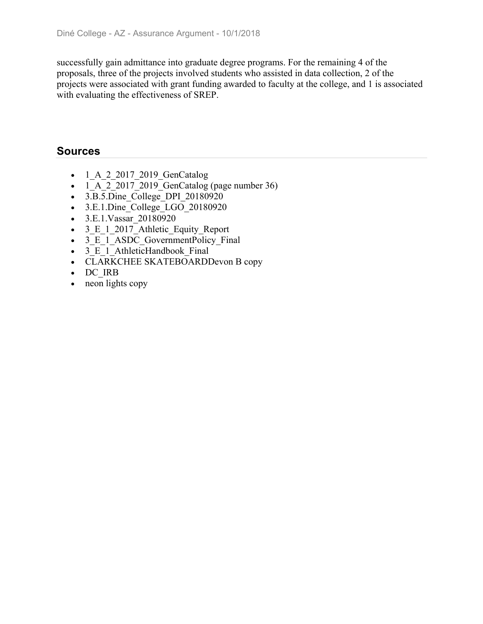successfully gain admittance into graduate degree programs. For the remaining 4 of the proposals, three of the projects involved students who assisted in data collection, 2 of the projects were associated with grant funding awarded to faculty at the college, and 1 is associated with evaluating the effectiveness of SREP.

### **Sources**

- 1 A 2 2017 2019 GenCatalog
- $\bullet$  1 A 2 2017 2019 GenCatalog (page number 36)
- 3.B.5.Dine College DPI 20180920
- $\bullet$  3.E.1.Dine College LGO 20180920
- 3.E.1. Vassar 20180920
- 3 E 1 2017 Athletic Equity Report
- 3 E 1 ASDC GovernmentPolicy Final
- 3 E 1 AthleticHandbook Final
- CLARKCHEE SKATEBOARDDevon B copy
- DC\_IRB
- neon lights copy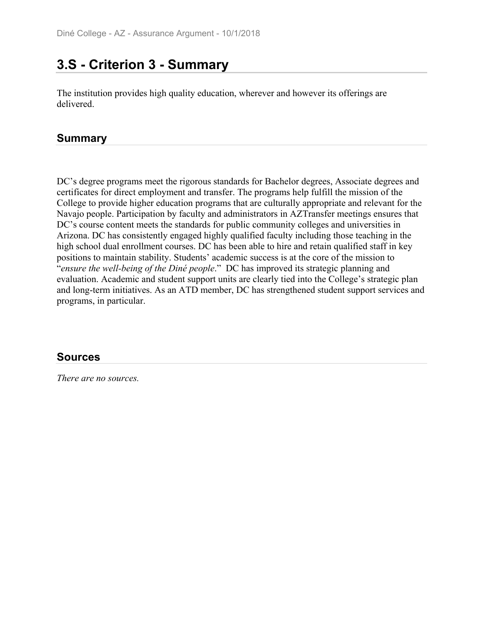## **3.S - Criterion 3 - Summary**

The institution provides high quality education, wherever and however its offerings are delivered.

### **Summary**

DC's degree programs meet the rigorous standards for Bachelor degrees, Associate degrees and certificates for direct employment and transfer. The programs help fulfill the mission of the College to provide higher education programs that are culturally appropriate and relevant for the Navajo people. Participation by faculty and administrators in AZTransfer meetings ensures that DC's course content meets the standards for public community colleges and universities in Arizona. DC has consistently engaged highly qualified faculty including those teaching in the high school dual enrollment courses. DC has been able to hire and retain qualified staff in key positions to maintain stability. Students' academic success is at the core of the mission to "*ensure the well-being of the Diné people*." DC has improved its strategic planning and evaluation. Academic and student support units are clearly tied into the College's strategic plan and long-term initiatives. As an ATD member, DC has strengthened student support services and programs, in particular.

### **Sources**

*There are no sources.*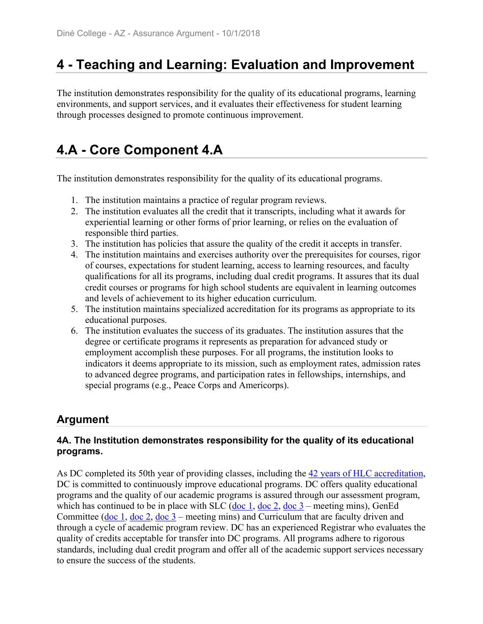## **4 - Teaching and Learning: Evaluation and Improvement**

The institution demonstrates responsibility for the quality of its educational programs, learning environments, and support services, and it evaluates their effectiveness for student learning through processes designed to promote continuous improvement.

# **4.A - Core Component 4.A**

The institution demonstrates responsibility for the quality of its educational programs.

- 1. The institution maintains a practice of regular program reviews.
- 2. The institution evaluates all the credit that it transcripts, including what it awards for experiential learning or other forms of prior learning, or relies on the evaluation of responsible third parties.
- 3. The institution has policies that assure the quality of the credit it accepts in transfer.
- 4. The institution maintains and exercises authority over the prerequisites for courses, rigor of courses, expectations for student learning, access to learning resources, and faculty qualifications for all its programs, including dual credit programs. It assures that its dual credit courses or programs for high school students are equivalent in learning outcomes and levels of achievement to its higher education curriculum.
- 5. The institution maintains specialized accreditation for its programs as appropriate to its educational purposes.
- 6. The institution evaluates the success of its graduates. The institution assures that the degree or certificate programs it represents as preparation for advanced study or employment accomplish these purposes. For all programs, the institution looks to indicators it deems appropriate to its mission, such as employment rates, admission rates to advanced degree programs, and participation rates in fellowships, internships, and special programs (e.g., Peace Corps and Americorps).

## **Argument**

#### **4A. The Institution demonstrates responsibility for the quality of its educational programs.**

As DC completed its 50th year of providing classes, including the 42 years of HLC accreditation, DC is committed to continuously improve educational programs. DC offers quality educational programs and the quality of our academic programs is assured through our assessment program, which has continued to be in place with SLC (doc 1, doc 2, doc  $3$  – meeting mins), GenEd Committee (doc 1, doc 2, doc 3 – meeting mins) and Curriculum that are faculty driven and through a cycle of academic program review. DC has an experienced Registrar who evaluates the quality of credits acceptable for transfer into DC programs. All programs adhere to rigorous standards, including dual credit program and offer all of the academic support services necessary to ensure the success of the students.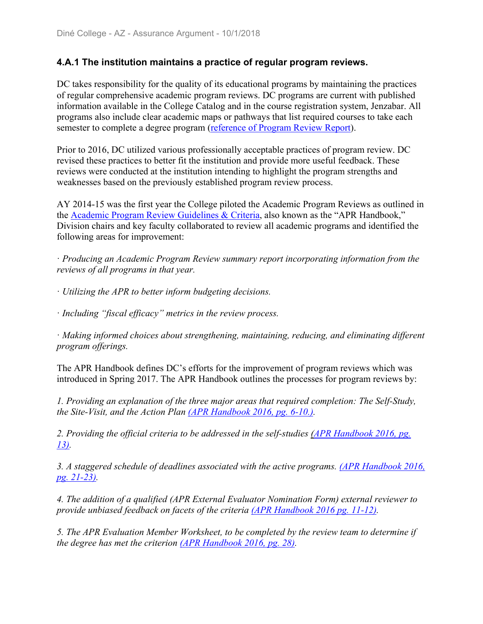#### **4.A.1 The institution maintains a practice of regular program reviews.**

DC takes responsibility for the quality of its educational programs by maintaining the practices of regular comprehensive academic program reviews. DC programs are current with published information available in the College Catalog and in the course registration system, Jenzabar. All programs also include clear academic maps or pathways that list required courses to take each semester to complete a degree program (reference of Program Review Report).

Prior to 2016, DC utilized various professionally acceptable practices of program review. DC revised these practices to better fit the institution and provide more useful feedback. These reviews were conducted at the institution intending to highlight the program strengths and weaknesses based on the previously established program review process.

AY 2014-15 was the first year the College piloted the Academic Program Reviews as outlined in the Academic Program Review Guidelines & Criteria, also known as the "APR Handbook," Division chairs and key faculty collaborated to review all academic programs and identified the following areas for improvement:

ꞏ *Producing an Academic Program Review summary report incorporating information from the reviews of all programs in that year.*

ꞏ *Utilizing the APR to better inform budgeting decisions.*

ꞏ *Including "fiscal efficacy" metrics in the review process.*

ꞏ *Making informed choices about strengthening, maintaining, reducing, and eliminating different program offerings.*

The APR Handbook defines DC's efforts for the improvement of program reviews which was introduced in Spring 2017. The APR Handbook outlines the processes for program reviews by:

*1. Providing an explanation of the three major areas that required completion: The Self-Study, the Site-Visit, and the Action Plan (APR Handbook 2016, pg. 6-10.).*

*2. Providing the official criteria to be addressed in the self-studies (APR Handbook 2016, pg. 13).*

*3. A staggered schedule of deadlines associated with the active programs. (APR Handbook 2016, pg. 21-23).*

*4. The addition of a qualified (APR External Evaluator Nomination Form) external reviewer to provide unbiased feedback on facets of the criteria (APR Handbook 2016 pg. 11-12).*

*5. The APR Evaluation Member Worksheet, to be completed by the review team to determine if the degree has met the criterion (APR Handbook 2016, pg. 28).*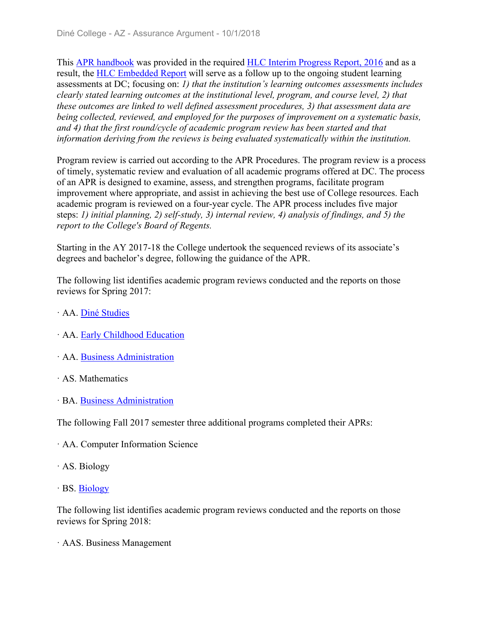This APR handbook was provided in the required HLC Interim Progress Report, 2016 and as a result, the HLC Embedded Report will serve as a follow up to the ongoing student learning assessments at DC; focusing on: *1) that the institution's learning outcomes assessments includes clearly stated learning outcomes at the institutional level, program, and course level, 2) that these outcomes are linked to well defined assessment procedures, 3) that assessment data are being collected, reviewed, and employed for the purposes of improvement on a systematic basis, and 4) that the first round/cycle of academic program review has been started and that information deriving from the reviews is being evaluated systematically within the institution.* 

Program review is carried out according to the APR Procedures. The program review is a process of timely, systematic review and evaluation of all academic programs offered at DC. The process of an APR is designed to examine, assess, and strengthen programs, facilitate program improvement where appropriate, and assist in achieving the best use of College resources. Each academic program is reviewed on a four-year cycle. The APR process includes five major steps: *1) initial planning, 2) self-study, 3) internal review, 4) analysis of findings, and 5) the report to the College's Board of Regents.*

Starting in the AY 2017-18 the College undertook the sequenced reviews of its associate's degrees and bachelor's degree, following the guidance of the APR.

The following list identifies academic program reviews conducted and the reports on those reviews for Spring 2017:

- ꞏ AA. Diné Studies
- ꞏ AA. Early Childhood Education
- ꞏ AA. Business Administration
- ꞏ AS. Mathematics
- ꞏ BA. Business Administration

The following Fall 2017 semester three additional programs completed their APRs:

- ꞏ AA. Computer Information Science
- ꞏ AS. Biology
- $\cdot$  BS. Biology

The following list identifies academic program reviews conducted and the reports on those reviews for Spring 2018:

ꞏ AAS. Business Management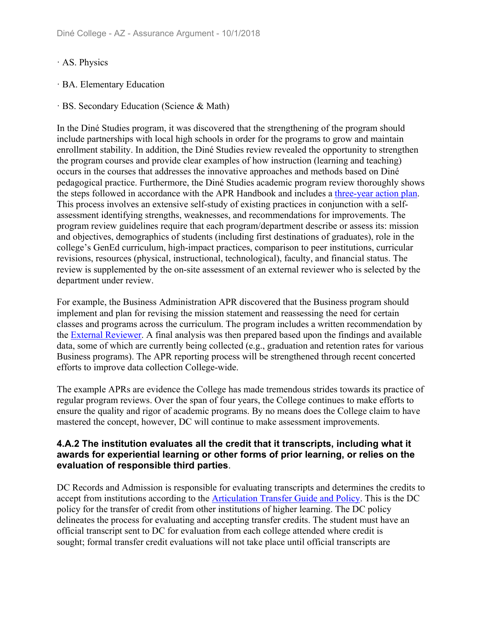- ꞏ AS. Physics
- ꞏ BA. Elementary Education
- ꞏ BS. Secondary Education (Science & Math)

In the Diné Studies program, it was discovered that the strengthening of the program should include partnerships with local high schools in order for the programs to grow and maintain enrollment stability. In addition, the Diné Studies review revealed the opportunity to strengthen the program courses and provide clear examples of how instruction (learning and teaching) occurs in the courses that addresses the innovative approaches and methods based on Diné pedagogical practice. Furthermore, the Diné Studies academic program review thoroughly shows the steps followed in accordance with the APR Handbook and includes a three-year action plan. This process involves an extensive self-study of existing practices in conjunction with a selfassessment identifying strengths, weaknesses, and recommendations for improvements. The program review guidelines require that each program/department describe or assess its: mission and objectives, demographics of students (including first destinations of graduates), role in the college's GenEd curriculum, high-impact practices, comparison to peer institutions, curricular revisions, resources (physical, instructional, technological), faculty, and financial status. The review is supplemented by the on-site assessment of an external reviewer who is selected by the department under review.

For example, the Business Administration APR discovered that the Business program should implement and plan for revising the mission statement and reassessing the need for certain classes and programs across the curriculum. The program includes a written recommendation by the External Reviewer. A final analysis was then prepared based upon the findings and available data, some of which are currently being collected (e.g., graduation and retention rates for various Business programs). The APR reporting process will be strengthened through recent concerted efforts to improve data collection College-wide.

The example APRs are evidence the College has made tremendous strides towards its practice of regular program reviews. Over the span of four years, the College continues to make efforts to ensure the quality and rigor of academic programs. By no means does the College claim to have mastered the concept, however, DC will continue to make assessment improvements.

#### **4.A.2 The institution evaluates all the credit that it transcripts, including what it awards for experiential learning or other forms of prior learning, or relies on the evaluation of responsible third parties**.

DC Records and Admission is responsible for evaluating transcripts and determines the credits to accept from institutions according to the Articulation Transfer Guide and Policy. This is the DC policy for the transfer of credit from other institutions of higher learning. The DC policy delineates the process for evaluating and accepting transfer credits. The student must have an official transcript sent to DC for evaluation from each college attended where credit is sought; formal transfer credit evaluations will not take place until official transcripts are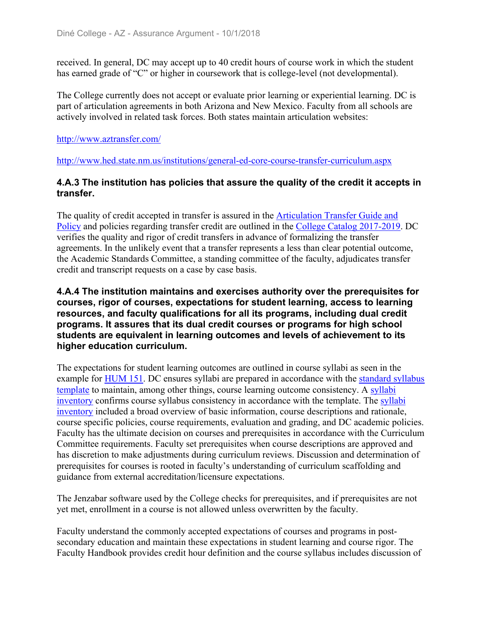received. In general, DC may accept up to 40 credit hours of course work in which the student has earned grade of "C" or higher in coursework that is college-level (not developmental).

The College currently does not accept or evaluate prior learning or experiential learning. DC is part of articulation agreements in both Arizona and New Mexico. Faculty from all schools are actively involved in related task forces. Both states maintain articulation websites:

#### http://www.aztransfer.com/

http://www.hed.state.nm.us/institutions/general-ed-core-course-transfer-curriculum.aspx

#### **4.A.3 The institution has policies that assure the quality of the credit it accepts in transfer.**

The quality of credit accepted in transfer is assured in the Articulation Transfer Guide and Policy and policies regarding transfer credit are outlined in the College Catalog 2017-2019. DC verifies the quality and rigor of credit transfers in advance of formalizing the transfer agreements. In the unlikely event that a transfer represents a less than clear potential outcome, the Academic Standards Committee, a standing committee of the faculty, adjudicates transfer credit and transcript requests on a case by case basis.

#### **4.A.4 The institution maintains and exercises authority over the prerequisites for courses, rigor of courses, expectations for student learning, access to learning resources, and faculty qualifications for all its programs, including dual credit programs. It assures that its dual credit courses or programs for high school students are equivalent in learning outcomes and levels of achievement to its higher education curriculum.**

The expectations for student learning outcomes are outlined in course syllabi as seen in the example for HUM 151. DC ensures syllabi are prepared in accordance with the standard syllabus template to maintain, among other things, course learning outcome consistency. A syllabi inventory confirms course syllabus consistency in accordance with the template. The syllabi inventory included a broad overview of basic information, course descriptions and rationale, course specific policies, course requirements, evaluation and grading, and DC academic policies. Faculty has the ultimate decision on courses and prerequisites in accordance with the Curriculum Committee requirements. Faculty set prerequisites when course descriptions are approved and has discretion to make adjustments during curriculum reviews. Discussion and determination of prerequisites for courses is rooted in faculty's understanding of curriculum scaffolding and guidance from external accreditation/licensure expectations.

The Jenzabar software used by the College checks for prerequisites, and if prerequisites are not yet met, enrollment in a course is not allowed unless overwritten by the faculty.

Faculty understand the commonly accepted expectations of courses and programs in postsecondary education and maintain these expectations in student learning and course rigor. The Faculty Handbook provides credit hour definition and the course syllabus includes discussion of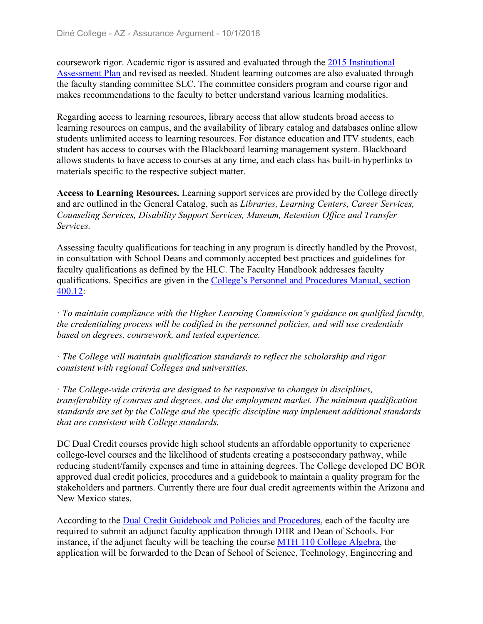coursework rigor. Academic rigor is assured and evaluated through the 2015 Institutional Assessment Plan and revised as needed. Student learning outcomes are also evaluated through the faculty standing committee SLC. The committee considers program and course rigor and makes recommendations to the faculty to better understand various learning modalities.

Regarding access to learning resources, library access that allow students broad access to learning resources on campus, and the availability of library catalog and databases online allow students unlimited access to learning resources. For distance education and ITV students, each student has access to courses with the Blackboard learning management system. Blackboard allows students to have access to courses at any time, and each class has built-in hyperlinks to materials specific to the respective subject matter.

**Access to Learning Resources.** Learning support services are provided by the College directly and are outlined in the General Catalog, such as *Libraries, Learning Centers, Career Services, Counseling Services, Disability Support Services, Museum, Retention Office and Transfer Services.*

Assessing faculty qualifications for teaching in any program is directly handled by the Provost, in consultation with School Deans and commonly accepted best practices and guidelines for faculty qualifications as defined by the HLC. The Faculty Handbook addresses faculty qualifications. Specifics are given in the College's Personnel and Procedures Manual, section 400.12:

ꞏ *To maintain compliance with the Higher Learning Commission's guidance on qualified faculty, the credentialing process will be codified in the personnel policies, and will use credentials based on degrees, coursework, and tested experience.*

ꞏ *The College will maintain qualification standards to reflect the scholarship and rigor consistent with regional Colleges and universities.*

ꞏ *The College-wide criteria are designed to be responsive to changes in disciplines, transferability of courses and degrees, and the employment market. The minimum qualification standards are set by the College and the specific discipline may implement additional standards that are consistent with College standards.*

DC Dual Credit courses provide high school students an affordable opportunity to experience college-level courses and the likelihood of students creating a postsecondary pathway, while reducing student/family expenses and time in attaining degrees. The College developed DC BOR approved dual credit policies, procedures and a guidebook to maintain a quality program for the stakeholders and partners. Currently there are four dual credit agreements within the Arizona and New Mexico states.

According to the Dual Credit Guidebook and Policies and Procedures, each of the faculty are required to submit an adjunct faculty application through DHR and Dean of Schools. For instance, if the adjunct faculty will be teaching the course MTH 110 College Algebra, the application will be forwarded to the Dean of School of Science, Technology, Engineering and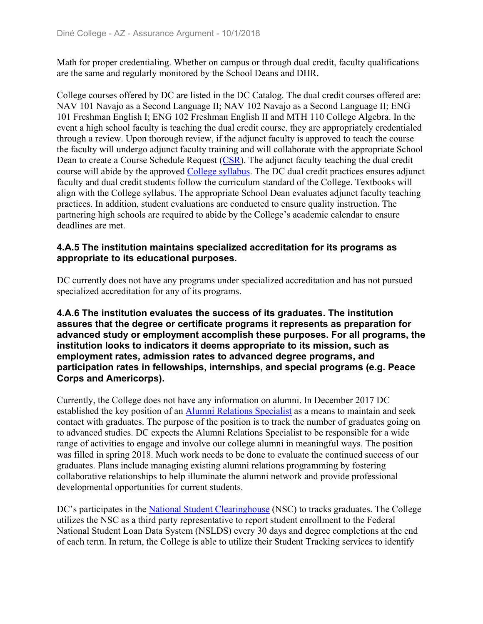Math for proper credentialing. Whether on campus or through dual credit, faculty qualifications are the same and regularly monitored by the School Deans and DHR.

College courses offered by DC are listed in the DC Catalog. The dual credit courses offered are: NAV 101 Navajo as a Second Language II; NAV 102 Navajo as a Second Language II; ENG 101 Freshman English I; ENG 102 Freshman English II and MTH 110 College Algebra. In the event a high school faculty is teaching the dual credit course, they are appropriately credentialed through a review. Upon thorough review, if the adjunct faculty is approved to teach the course the faculty will undergo adjunct faculty training and will collaborate with the appropriate School Dean to create a Course Schedule Request (CSR). The adjunct faculty teaching the dual credit course will abide by the approved College syllabus. The DC dual credit practices ensures adjunct faculty and dual credit students follow the curriculum standard of the College. Textbooks will align with the College syllabus. The appropriate School Dean evaluates adjunct faculty teaching practices. In addition, student evaluations are conducted to ensure quality instruction. The partnering high schools are required to abide by the College's academic calendar to ensure deadlines are met.

#### **4.A.5 The institution maintains specialized accreditation for its programs as appropriate to its educational purposes.**

DC currently does not have any programs under specialized accreditation and has not pursued specialized accreditation for any of its programs.

#### **4.A.6 The institution evaluates the success of its graduates. The institution assures that the degree or certificate programs it represents as preparation for advanced study or employment accomplish these purposes. For all programs, the institution looks to indicators it deems appropriate to its mission, such as employment rates, admission rates to advanced degree programs, and participation rates in fellowships, internships, and special programs (e.g. Peace Corps and Americorps).**

Currently, the College does not have any information on alumni. In December 2017 DC established the key position of an Alumni Relations Specialist as a means to maintain and seek contact with graduates. The purpose of the position is to track the number of graduates going on to advanced studies. DC expects the Alumni Relations Specialist to be responsible for a wide range of activities to engage and involve our college alumni in meaningful ways. The position was filled in spring 2018. Much work needs to be done to evaluate the continued success of our graduates. Plans include managing existing alumni relations programming by fostering collaborative relationships to help illuminate the alumni network and provide professional developmental opportunities for current students.

DC's participates in the National Student Clearinghouse (NSC) to tracks graduates. The College utilizes the NSC as a third party representative to report student enrollment to the Federal National Student Loan Data System (NSLDS) every 30 days and degree completions at the end of each term. In return, the College is able to utilize their Student Tracking services to identify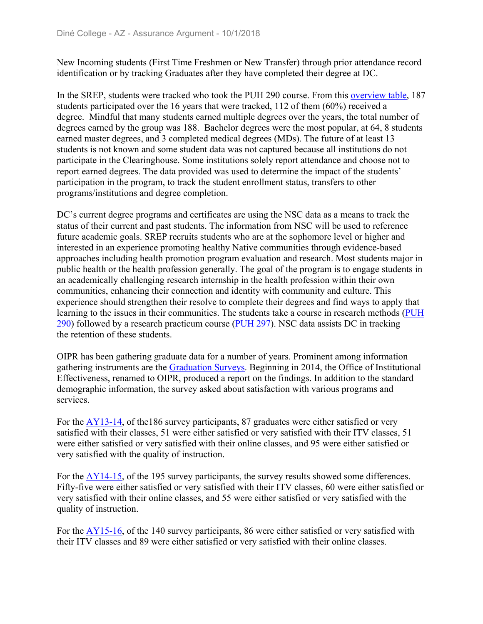New Incoming students (First Time Freshmen or New Transfer) through prior attendance record identification or by tracking Graduates after they have completed their degree at DC.

In the SREP, students were tracked who took the PUH 290 course. From this overview table, 187 students participated over the 16 years that were tracked, 112 of them (60%) received a degree. Mindful that many students earned multiple degrees over the years, the total number of degrees earned by the group was 188. Bachelor degrees were the most popular, at 64, 8 students earned master degrees, and 3 completed medical degrees (MDs). The future of at least 13 students is not known and some student data was not captured because all institutions do not participate in the Clearinghouse. Some institutions solely report attendance and choose not to report earned degrees. The data provided was used to determine the impact of the students' participation in the program, to track the student enrollment status, transfers to other programs/institutions and degree completion.

DC's current degree programs and certificates are using the NSC data as a means to track the status of their current and past students. The information from NSC will be used to reference future academic goals. SREP recruits students who are at the sophomore level or higher and interested in an experience promoting healthy Native communities through evidence-based approaches including health promotion program evaluation and research. Most students major in public health or the health profession generally. The goal of the program is to engage students in an academically challenging research internship in the health profession within their own communities, enhancing their connection and identity with community and culture. This experience should strengthen their resolve to complete their degrees and find ways to apply that learning to the issues in their communities. The students take a course in research methods (PUH 290) followed by a research practicum course (PUH 297). NSC data assists DC in tracking the retention of these students.

OIPR has been gathering graduate data for a number of years. Prominent among information gathering instruments are the Graduation Surveys. Beginning in 2014, the Office of Institutional Effectiveness, renamed to OIPR, produced a report on the findings. In addition to the standard demographic information, the survey asked about satisfaction with various programs and services.

For the AY13-14, of the186 survey participants, 87 graduates were either satisfied or very satisfied with their classes, 51 were either satisfied or very satisfied with their ITV classes, 51 were either satisfied or very satisfied with their online classes, and 95 were either satisfied or very satisfied with the quality of instruction.

For the AY14-15, of the 195 survey participants, the survey results showed some differences. Fifty-five were either satisfied or very satisfied with their ITV classes, 60 were either satisfied or very satisfied with their online classes, and 55 were either satisfied or very satisfied with the quality of instruction.

For the AY15-16, of the 140 survey participants, 86 were either satisfied or very satisfied with their ITV classes and 89 were either satisfied or very satisfied with their online classes.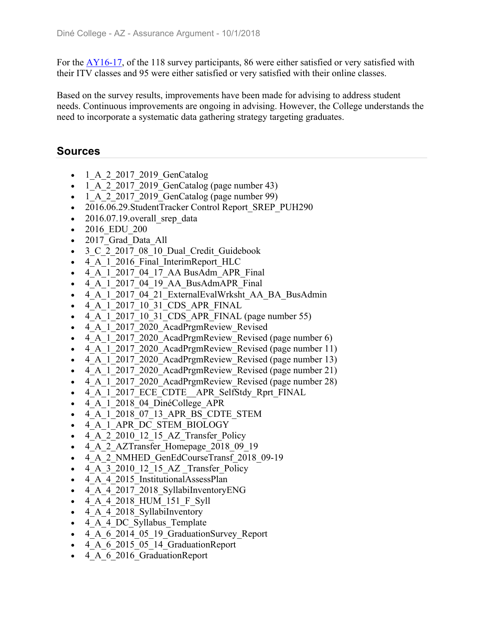For the AY16-17, of the 118 survey participants, 86 were either satisfied or very satisfied with their ITV classes and 95 were either satisfied or very satisfied with their online classes.

Based on the survey results, improvements have been made for advising to address student needs. Continuous improvements are ongoing in advising. However, the College understands the need to incorporate a systematic data gathering strategy targeting graduates.

### **Sources**

- $-1$  A 2 2017 2019 GenCatalog
- $\bullet$  1 A 2 2017 2019 GenCatalog (page number 43)
- $\bullet$  1 A 2 2017 2019 GenCatalog (page number 99)
- 2016.06.29.StudentTracker Control Report SREP\_PUH290
- $\bullet$  2016.07.19. overall srep data
- 2016 EDU 200
- 2017 Grad Data All
- 3 C 2 2017 08 10 Dual Credit Guidebook
- 4 A 1 2016 Final InterimReport HLC
- 4 A 1 2017 04 17 AA BusAdm APR Final
- 4 A 1 2017 04 19 AA BusAdmAPR Final
- 4 A 1 2017 04 21 ExternalEvalWrksht AA BA BusAdmin
- 4\_A\_1\_2017\_10\_31\_CDS\_APR\_FINAL
- $\bullet$  4 A 1 2017 10 31 CDS APR FINAL (page number 55)
- 4 A 1 2017 2020 AcadPrgmReview Revised
- 4 A 1 2017 2020 AcadPrgmReview Revised (page number 6)
- 4 A 1 2017 2020 AcadPrgmReview Revised (page number 11)
- 4 A 1 2017 2020 AcadPrgmReview Revised (page number 13)
- 4 A 1 2017 2020 AcadPrgmReview Revised (page number 21)
- 4 A 1 2017 2020 AcadPrgmReview Revised (page number 28)
- 4 A 1 2017 ECE CDTE APR SelfStdy Rprt FINAL
- 4 A 1 2018 04 DinéCollege APR
- 4\_A\_1\_2018\_07\_13\_APR\_BS\_CDTE\_STEM
- 4 A 1 APR DC STEM BIOLOGY
- 4 A 2 2010 12 15 AZ Transfer Policy
- 4 A 2 AZTransfer Homepage 2018 09 19
- 4\_A\_2\_NMHED\_GenEdCourseTransf\_2018\_09-19
- 4 A 3 2010 12 15 AZ Transfer Policy
- 4 A 4 2015 InstitutionalAssessPlan
- 4 A 4 2017 2018 SyllabiInventoryENG
- 4 A 4 2018 HUM 151 F Syll
- 4 A 4 2018 SyllabiInventory
- 4 A 4 DC Syllabus Template
- 4 A 6 2014 05 19 GraduationSurvey Report
- 4 A 6 2015 05 14 GraduationReport
- 4 A 6 2016 GraduationReport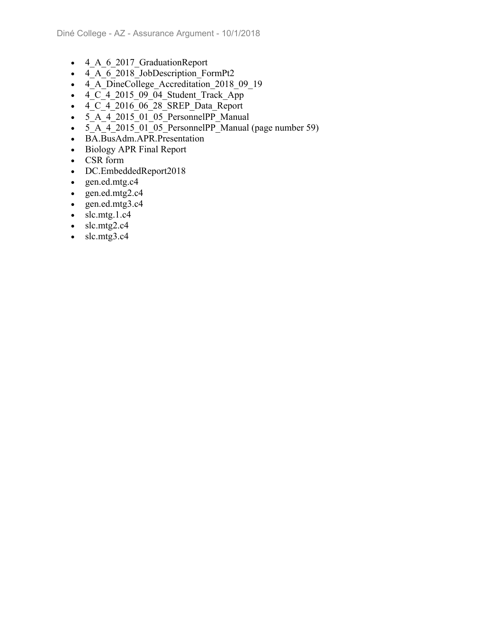- 4 A 6 2017 GraduationReport
- $\overline{4\phantom{1}}\phantom{1}A\phantom{1}6\phantom{1}2018\overline{0}$  JobDescription FormPt2
- 4\_A\_DineCollege\_Accreditation 2018 09 19
- $\bullet$  4 C 4 2015 09 04 Student Track App
- $\overline{4}$   $\overline{C}$   $\overline{4}$  2016 $\overline{06}$  28 $\overline{S}$  SREP Data Report
- 5 A 4 2015 01 05 PersonnelPP Manual
- $\overline{5_A}$   $\overline{4}$  2015 $\overline{01}$   $\overline{05}$  PersonnelPP Manual (page number 59)
- BA.BusAdm.APR.Presentation
- Biology APR Final Report
- CSR form
- DC.EmbeddedReport2018
- gen.ed.mtg.c4
- $\bullet$  gen.ed.mtg2.c4
- gen.ed.mtg3.c4
- $\bullet$  slc.mtg.1.c4
- $\bullet$  slc.mtg2.c4
- $\bullet$  slc.mtg3.c4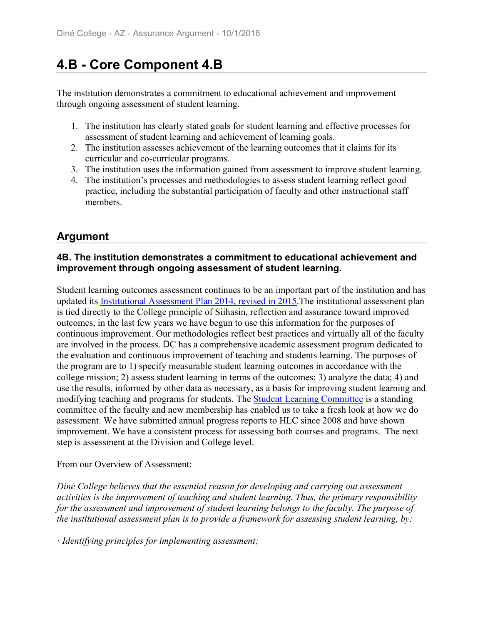# **4.B - Core Component 4.B**

The institution demonstrates a commitment to educational achievement and improvement through ongoing assessment of student learning.

- 1. The institution has clearly stated goals for student learning and effective processes for assessment of student learning and achievement of learning goals.
- 2. The institution assesses achievement of the learning outcomes that it claims for its curricular and co-curricular programs.
- 3. The institution uses the information gained from assessment to improve student learning.
- 4. The institution's processes and methodologies to assess student learning reflect good practice, including the substantial participation of faculty and other instructional staff members.

## **Argument**

#### **4B. The institution demonstrates a commitment to educational achievement and improvement through ongoing assessment of student learning.**

Student learning outcomes assessment continues to be an important part of the institution and has updated its Institutional Assessment Plan 2014, revised in 2015.The institutional assessment plan is tied directly to the College principle of Siihasin, reflection and assurance toward improved outcomes, in the last few years we have begun to use this information for the purposes of continuous improvement. Our methodologies reflect best practices and virtually all of the faculty are involved in the process. DC has a comprehensive academic assessment program dedicated to the evaluation and continuous improvement of teaching and students learning. The purposes of the program are to 1) specify measurable student learning outcomes in accordance with the college mission; 2) assess student learning in terms of the outcomes; 3) analyze the data; 4) and use the results, informed by other data as necessary, as a basis for improving student learning and modifying teaching and programs for students. The Student Learning Committee is a standing committee of the faculty and new membership has enabled us to take a fresh look at how we do assessment. We have submitted annual progress reports to HLC since 2008 and have shown improvement. We have a consistent process for assessing both courses and programs. The next step is assessment at the Division and College level.

#### From our Overview of Assessment:

*Diné College believes that the essential reason for developing and carrying out assessment activities is the improvement of teaching and student learning. Thus, the primary responsibility for the assessment and improvement of student learning belongs to the faculty. The purpose of the institutional assessment plan is to provide a framework for assessing student learning, by:*

ꞏ *Identifying principles for implementing assessment;*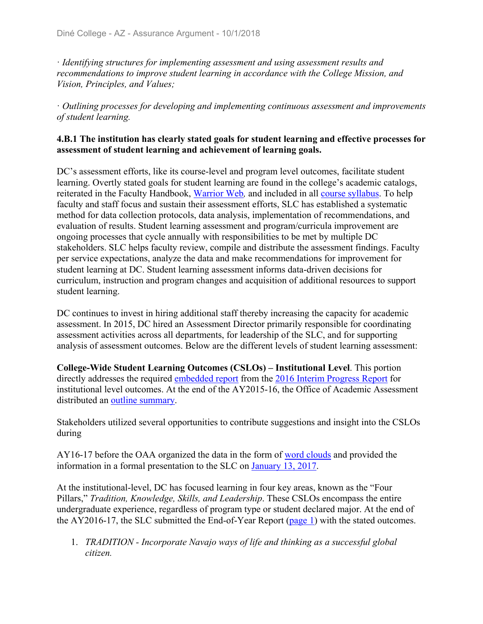ꞏ *Identifying structures for implementing assessment and using assessment results and recommendations to improve student learning in accordance with the College Mission, and Vision, Principles, and Values;*

ꞏ *Outlining processes for developing and implementing continuous assessment and improvements of student learning.*

#### **4.B.1 The institution has clearly stated goals for student learning and effective processes for assessment of student learning and achievement of learning goals.**

DC's assessment efforts, like its course-level and program level outcomes, facilitate student learning. Overtly stated goals for student learning are found in the college's academic catalogs, reiterated in the Faculty Handbook, Warrior Web*,* and included in all course syllabus. To help faculty and staff focus and sustain their assessment efforts, SLC has established a systematic method for data collection protocols, data analysis, implementation of recommendations, and evaluation of results. Student learning assessment and program/curricula improvement are ongoing processes that cycle annually with responsibilities to be met by multiple DC stakeholders. SLC helps faculty review, compile and distribute the assessment findings. Faculty per service expectations, analyze the data and make recommendations for improvement for student learning at DC. Student learning assessment informs data-driven decisions for curriculum, instruction and program changes and acquisition of additional resources to support student learning.

DC continues to invest in hiring additional staff thereby increasing the capacity for academic assessment. In 2015, DC hired an Assessment Director primarily responsible for coordinating assessment activities across all departments, for leadership of the SLC, and for supporting analysis of assessment outcomes. Below are the different levels of student learning assessment:

**College-Wide Student Learning Outcomes (CSLOs) – Institutional Level**. This portion directly addresses the required embedded report from the 2016 Interim Progress Report for institutional level outcomes. At the end of the AY2015-16, the Office of Academic Assessment distributed an outline summary.

Stakeholders utilized several opportunities to contribute suggestions and insight into the CSLOs during

AY16-17 before the OAA organized the data in the form of word clouds and provided the information in a formal presentation to the SLC on January 13, 2017.

At the institutional-level, DC has focused learning in four key areas, known as the "Four Pillars," *Tradition, Knowledge, Skills, and Leadership*. These CSLOs encompass the entire undergraduate experience, regardless of program type or student declared major. At the end of the AY2016-17, the SLC submitted the End-of-Year Report (page 1) with the stated outcomes.

1. *TRADITION - Incorporate Navajo ways of life and thinking as a successful global citizen.*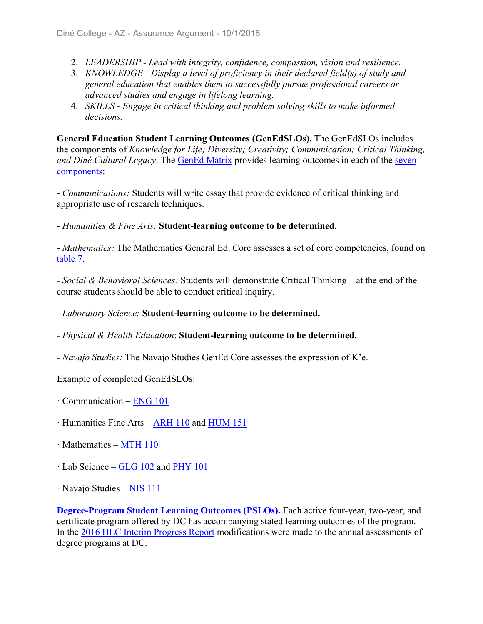- 2. *LEADERSHIP Lead with integrity, confidence, compassion, vision and resilience.*
- 3. *KNOWLEDGE Display a level of proficiency in their declared field(s) of study and general education that enables them to successfully pursue professional careers or advanced studies and engage in lifelong learning.*
- 4. *SKILLS Engage in critical thinking and problem solving skills to make informed decisions.*

**General Education Student Learning Outcomes (GenEdSLOs).** The GenEdSLOs includes the components of *Knowledge for Life; Diversity; Creativity; Communication; Critical Thinking, and Diné Cultural Legacy*. The GenEd Matrix provides learning outcomes in each of the seven components:

- *Communications:* Students will write essay that provide evidence of critical thinking and appropriate use of research techniques.

- *Humanities & Fine Arts:* **Student-learning outcome to be determined.**

- *Mathematics:* The Mathematics General Ed. Core assesses a set of core competencies, found on table 7.

- *Social & Behavioral Sciences:* Students will demonstrate Critical Thinking – at the end of the course students should be able to conduct critical inquiry.

- *Laboratory Science:* **Student-learning outcome to be determined.**

- *Physical & Health Education*: **Student-learning outcome to be determined.**

- *Navajo Studies:* The Navajo Studies GenEd Core assesses the expression of K'e.

Example of completed GenEdSLOs:

- $\cdot$  Communication ENG 101
- ꞏ Humanities Fine Arts ARH 110 and HUM 151
- $\cdot$  Mathematics MTH 110
- $\cdot$  Lab Science GLG 102 and PHY 101
- · Navajo Studies NIS 111

**Degree-Program Student Learning Outcomes (PSLOs).** Each active four-year, two-year, and certificate program offered by DC has accompanying stated learning outcomes of the program. In the 2016 HLC Interim Progress Report modifications were made to the annual assessments of degree programs at DC.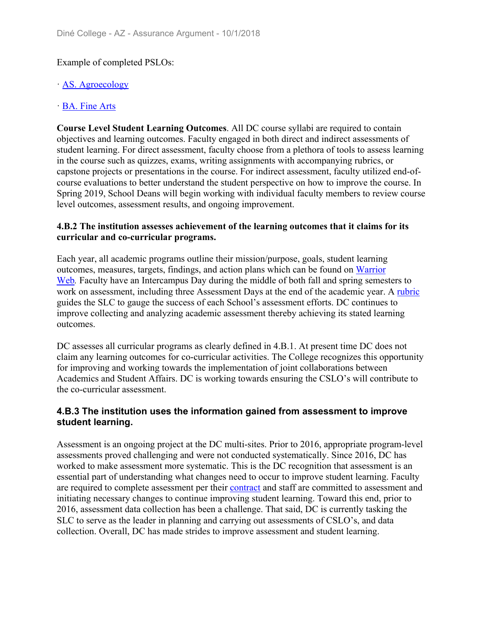#### Example of completed PSLOs:

#### ꞏ AS. Agroecology

#### BA. Fine Arts

**Course Level Student Learning Outcomes**. All DC course syllabi are required to contain objectives and learning outcomes. Faculty engaged in both direct and indirect assessments of student learning. For direct assessment, faculty choose from a plethora of tools to assess learning in the course such as quizzes, exams, writing assignments with accompanying rubrics, or capstone projects or presentations in the course. For indirect assessment, faculty utilized end-ofcourse evaluations to better understand the student perspective on how to improve the course. In Spring 2019, School Deans will begin working with individual faculty members to review course level outcomes, assessment results, and ongoing improvement.

#### **4.B.2 The institution assesses achievement of the learning outcomes that it claims for its curricular and co-curricular programs.**

Each year, all academic programs outline their mission/purpose, goals, student learning outcomes, measures, targets, findings, and action plans which can be found on Warrior Web*.* Faculty have an Intercampus Day during the middle of both fall and spring semesters to work on assessment, including three Assessment Days at the end of the academic year. A rubric guides the SLC to gauge the success of each School's assessment efforts. DC continues to improve collecting and analyzing academic assessment thereby achieving its stated learning outcomes.

DC assesses all curricular programs as clearly defined in 4.B.1. At present time DC does not claim any learning outcomes for co-curricular activities. The College recognizes this opportunity for improving and working towards the implementation of joint collaborations between Academics and Student Affairs. DC is working towards ensuring the CSLO's will contribute to the co-curricular assessment.

#### **4.B.3 The institution uses the information gained from assessment to improve student learning.**

Assessment is an ongoing project at the DC multi-sites. Prior to 2016, appropriate program-level assessments proved challenging and were not conducted systematically. Since 2016, DC has worked to make assessment more systematic. This is the DC recognition that assessment is an essential part of understanding what changes need to occur to improve student learning. Faculty are required to complete assessment per their contract and staff are committed to assessment and initiating necessary changes to continue improving student learning. Toward this end, prior to 2016, assessment data collection has been a challenge. That said, DC is currently tasking the SLC to serve as the leader in planning and carrying out assessments of CSLO's, and data collection. Overall, DC has made strides to improve assessment and student learning.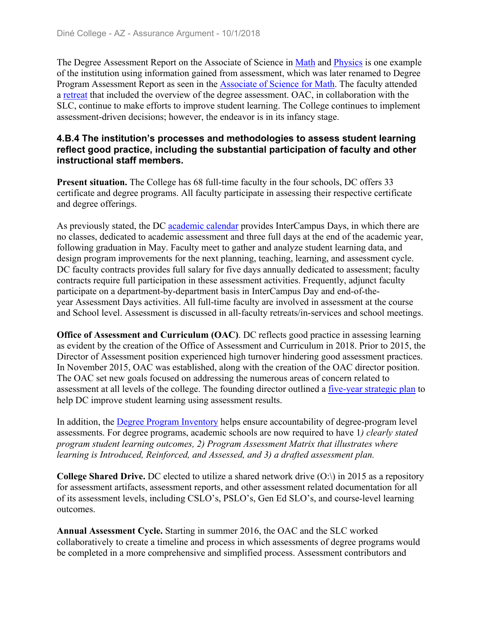The Degree Assessment Report on the Associate of Science in Math and Physics is one example of the institution using information gained from assessment, which was later renamed to Degree Program Assessment Report as seen in the Associate of Science for Math. The faculty attended a retreat that included the overview of the degree assessment. OAC, in collaboration with the SLC, continue to make efforts to improve student learning. The College continues to implement assessment-driven decisions; however, the endeavor is in its infancy stage.

#### **4.B.4 The institution's processes and methodologies to assess student learning reflect good practice, including the substantial participation of faculty and other instructional staff members.**

**Present situation.** The College has 68 full-time faculty in the four schools, DC offers 33 certificate and degree programs. All faculty participate in assessing their respective certificate and degree offerings.

As previously stated, the DC academic calendar provides InterCampus Days, in which there are no classes, dedicated to academic assessment and three full days at the end of the academic year, following graduation in May. Faculty meet to gather and analyze student learning data, and design program improvements for the next planning, teaching, learning, and assessment cycle. DC faculty contracts provides full salary for five days annually dedicated to assessment; faculty contracts require full participation in these assessment activities. Frequently, adjunct faculty participate on a department-by-department basis in InterCampus Day and end-of-theyear Assessment Days activities. All full-time faculty are involved in assessment at the course and School level. Assessment is discussed in all-faculty retreats/in-services and school meetings.

**Office of Assessment and Curriculum (OAC).** DC reflects good practice in assessing learning as evident by the creation of the Office of Assessment and Curriculum in 2018. Prior to 2015, the Director of Assessment position experienced high turnover hindering good assessment practices. In November 2015, OAC was established, along with the creation of the OAC director position. The OAC set new goals focused on addressing the numerous areas of concern related to assessment at all levels of the college. The founding director outlined a five-year strategic plan to help DC improve student learning using assessment results.

In addition, the Degree Program Inventory helps ensure accountability of degree-program level assessments. For degree programs, academic schools are now required to have 1*) clearly stated program student learning outcomes, 2) Program Assessment Matrix that illustrates where learning is Introduced, Reinforced, and Assessed, and 3) a drafted assessment plan.*

**College Shared Drive.** DC elected to utilize a shared network drive (O:\) in 2015 as a repository for assessment artifacts, assessment reports, and other assessment related documentation for all of its assessment levels, including CSLO's, PSLO's, Gen Ed SLO's, and course-level learning outcomes.

**Annual Assessment Cycle.** Starting in summer 2016, the OAC and the SLC worked collaboratively to create a timeline and process in which assessments of degree programs would be completed in a more comprehensive and simplified process. Assessment contributors and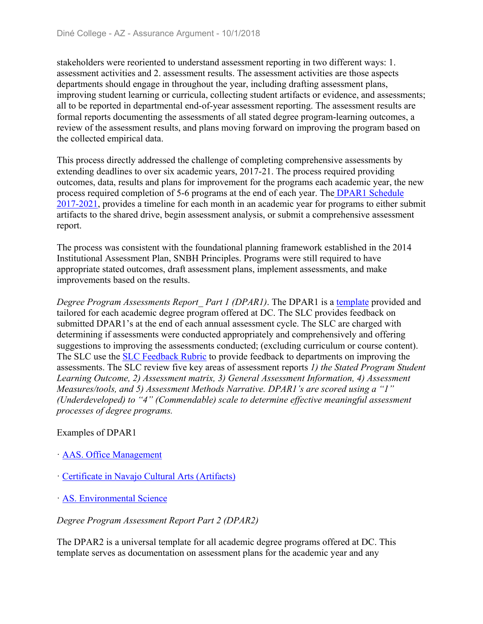stakeholders were reoriented to understand assessment reporting in two different ways: 1. assessment activities and 2. assessment results. The assessment activities are those aspects departments should engage in throughout the year, including drafting assessment plans, improving student learning or curricula, collecting student artifacts or evidence, and assessments; all to be reported in departmental end-of-year assessment reporting. The assessment results are formal reports documenting the assessments of all stated degree program-learning outcomes, a review of the assessment results, and plans moving forward on improving the program based on the collected empirical data.

This process directly addressed the challenge of completing comprehensive assessments by extending deadlines to over six academic years, 2017-21. The process required providing outcomes, data, results and plans for improvement for the programs each academic year, the new process required completion of 5-6 programs at the end of each year. The DPAR1 Schedule 2017-2021, provides a timeline for each month in an academic year for programs to either submit artifacts to the shared drive, begin assessment analysis, or submit a comprehensive assessment report.

The process was consistent with the foundational planning framework established in the 2014 Institutional Assessment Plan, SNBH Principles. Programs were still required to have appropriate stated outcomes, draft assessment plans, implement assessments, and make improvements based on the results.

*Degree Program Assessments Report Part 1 (DPAR1)*. The DPAR1 is a template provided and tailored for each academic degree program offered at DC. The SLC provides feedback on submitted DPAR1's at the end of each annual assessment cycle. The SLC are charged with determining if assessments were conducted appropriately and comprehensively and offering suggestions to improving the assessments conducted; (excluding curriculum or course content). The SLC use the SLC Feedback Rubric to provide feedback to departments on improving the assessments. The SLC review five key areas of assessment reports *1) the Stated Program Student Learning Outcome, 2) Assessment matrix, 3) General Assessment Information, 4) Assessment Measures/tools, and 5) Assessment Methods Narrative. DPAR1's are scored using a "1" (Underdeveloped) to "4" (Commendable) scale to determine effective meaningful assessment processes of degree programs.*

#### Examples of DPAR1

- ꞏ AAS. Office Management
- ꞏ Certificate in Navajo Cultural Arts (Artifacts)
- ꞏ AS. Environmental Science

#### *Degree Program Assessment Report Part 2 (DPAR2)*

The DPAR2 is a universal template for all academic degree programs offered at DC. This template serves as documentation on assessment plans for the academic year and any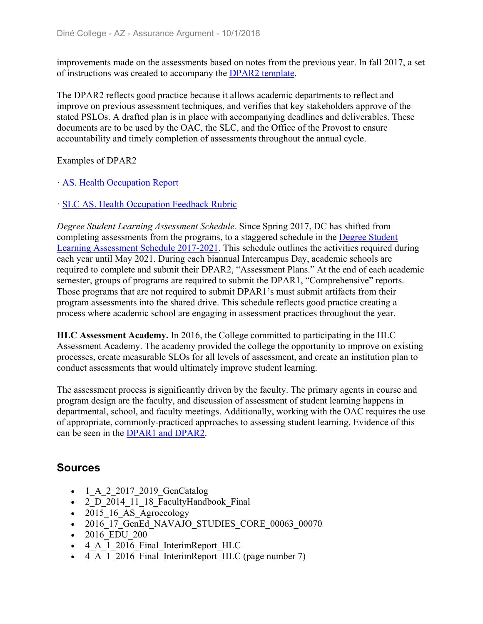improvements made on the assessments based on notes from the previous year. In fall 2017, a set of instructions was created to accompany the DPAR2 template.

The DPAR2 reflects good practice because it allows academic departments to reflect and improve on previous assessment techniques, and verifies that key stakeholders approve of the stated PSLOs. A drafted plan is in place with accompanying deadlines and deliverables. These documents are to be used by the OAC, the SLC, and the Office of the Provost to ensure accountability and timely completion of assessments throughout the annual cycle.

Examples of DPAR2

#### ꞏ AS. Health Occupation Report

#### ꞏ SLC AS. Health Occupation Feedback Rubric

*Degree Student Learning Assessment Schedule.* Since Spring 2017, DC has shifted from completing assessments from the programs, to a staggered schedule in the Degree Student Learning Assessment Schedule 2017-2021. This schedule outlines the activities required during each year until May 2021. During each biannual Intercampus Day, academic schools are required to complete and submit their DPAR2, "Assessment Plans." At the end of each academic semester, groups of programs are required to submit the DPAR1, "Comprehensive" reports. Those programs that are not required to submit DPAR1's must submit artifacts from their program assessments into the shared drive. This schedule reflects good practice creating a process where academic school are engaging in assessment practices throughout the year.

**HLC Assessment Academy.** In 2016, the College committed to participating in the HLC Assessment Academy. The academy provided the college the opportunity to improve on existing processes, create measurable SLOs for all levels of assessment, and create an institution plan to conduct assessments that would ultimately improve student learning.

The assessment process is significantly driven by the faculty. The primary agents in course and program design are the faculty, and discussion of assessment of student learning happens in departmental, school, and faculty meetings. Additionally, working with the OAC requires the use of appropriate, commonly-practiced approaches to assessing student learning. Evidence of this can be seen in the DPAR1 and DPAR2.

### **Sources**

- 1 A 2 2017 2019 GenCatalog
- 2 D 2014 11 18 FacultyHandbook Final
- 2015 16 AS Agroecology
- 2016 17 GenEd NAVAJO STUDIES CORE 00063 00070
- 2016 EDU 200
- 4 A 1 2016 Final InterimReport HLC
- 4 A 1 2016 Final InterimReport HLC (page number 7)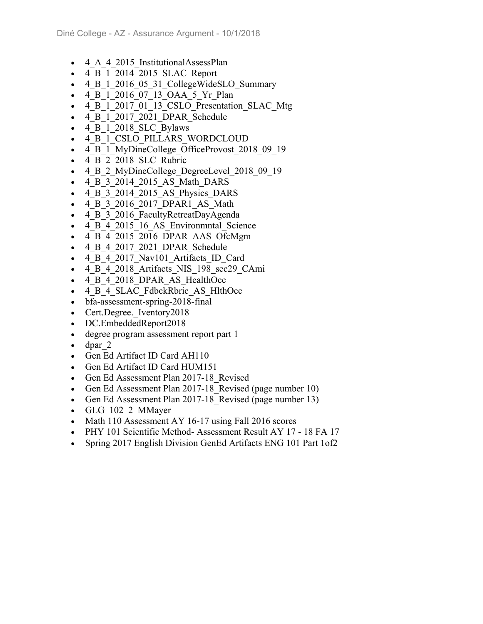- 4 A 4 2015 InstitutionalAssessPlan
- 4\_B\_1\_2014\_2015\_SLAC\_Report
- 4 B 1 2016 05 31 CollegeWideSLO Summary
- 4 B 1 2016 07 13 OAA 5 Yr Plan
- 4 B 1 2017 01 13 CSLO Presentation SLAC Mtg
- 4 B 1 2017 2021 DPAR Schedule
- 4 B 1 2018 SLC Bylaws
- 4 B 1 CSLO PILLARS WORDCLOUD
- 4 B 1 MyDineCollege OfficeProvost 2018 09 19
- 4 B 2 2018 SLC Rubric
- 4 B 2 MyDineCollege DegreeLevel 2018 09 19
- 4 B 3 2014 2015 AS Math DARS
- 4 B 3 2014 2015 AS Physics DARS
- 4 B 3 2016 2017 DPAR1 AS Math
- 4 B 3 2016 FacultyRetreatDayAgenda
- 4 B 4 2015 16 AS Environmntal Science
- 4 B 4 2015 2016 DPAR AAS OfcMgm
- 4 B 4 2017 2021 DPAR Schedule
- 4\_B\_4\_2017\_Nav101\_Artifacts\_ID\_Card
- 4 B 4 2018 Artifacts NIS 198 sec29 CAmi
- 4 B 4 2018 DPAR AS HealthOcc
- 4 B 4 SLAC FdbckRbric AS HlthOcc
- bfa-assessment-spring-2018-final
- Cert.Degree. Iventory2018
- DC.EmbeddedReport2018
- degree program assessment report part 1
- $\bullet$  dpar 2
- Gen Ed Artifact ID Card AH110
- Gen Ed Artifact ID Card HUM151
- Gen Ed Assessment Plan 2017-18 Revised
- Gen Ed Assessment Plan 2017-18 Revised (page number 10)
- Gen Ed Assessment Plan 2017-18 Revised (page number 13)
- GLG 102 2 MMayer
- Math 110 Assessment AY 16-17 using Fall 2016 scores
- PHY 101 Scientific Method- Assessment Result AY 17 18 FA 17
- Spring 2017 English Division GenEd Artifacts ENG 101 Part 1of2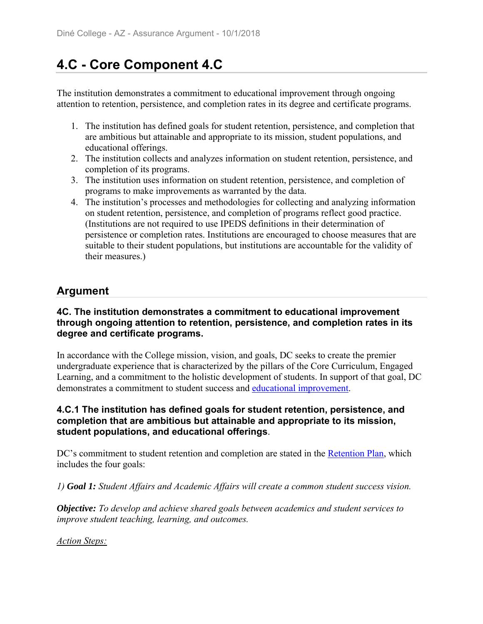# **4.C - Core Component 4.C**

The institution demonstrates a commitment to educational improvement through ongoing attention to retention, persistence, and completion rates in its degree and certificate programs.

- 1. The institution has defined goals for student retention, persistence, and completion that are ambitious but attainable and appropriate to its mission, student populations, and educational offerings.
- 2. The institution collects and analyzes information on student retention, persistence, and completion of its programs.
- 3. The institution uses information on student retention, persistence, and completion of programs to make improvements as warranted by the data.
- 4. The institution's processes and methodologies for collecting and analyzing information on student retention, persistence, and completion of programs reflect good practice. (Institutions are not required to use IPEDS definitions in their determination of persistence or completion rates. Institutions are encouraged to choose measures that are suitable to their student populations, but institutions are accountable for the validity of their measures.)

## **Argument**

#### **4C. The institution demonstrates a commitment to educational improvement through ongoing attention to retention, persistence, and completion rates in its degree and certificate programs.**

In accordance with the College mission, vision, and goals, DC seeks to create the premier undergraduate experience that is characterized by the pillars of the Core Curriculum, Engaged Learning, and a commitment to the holistic development of students. In support of that goal, DC demonstrates a commitment to student success and educational improvement.

#### **4.C.1 The institution has defined goals for student retention, persistence, and completion that are ambitious but attainable and appropriate to its mission, student populations, and educational offerings**.

DC's commitment to student retention and completion are stated in the Retention Plan, which includes the four goals:

*1) Goal 1: Student Affairs and Academic Affairs will create a common student success vision.*

*Objective: To develop and achieve shared goals between academics and student services to improve student teaching, learning, and outcomes.*

*Action Steps:*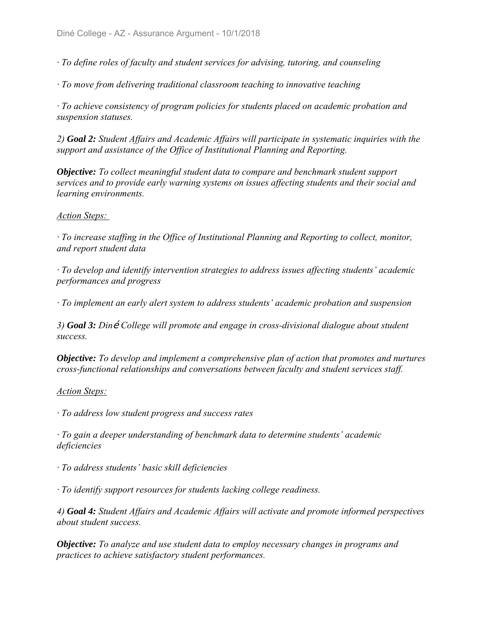*ꞏ To define roles of faculty and student services for advising, tutoring, and counseling*

*ꞏ To move from delivering traditional classroom teaching to innovative teaching*

*ꞏ To achieve consistency of program policies for students placed on academic probation and suspension statuses.*

*2) Goal 2: Student Affairs and Academic Affairs will participate in systematic inquiries with the support and assistance of the Office of Institutional Planning and Reporting.*

*Objective: To collect meaningful student data to compare and benchmark student support services and to provide early warning systems on issues affecting students and their social and learning environments.*

#### *Action Steps:*

*ꞏ To increase staffing in the Office of Institutional Planning and Reporting to collect, monitor, and report student data*

*ꞏ To develop and identify intervention strategies to address issues affecting students' academic performances and progress*

*ꞏ To implement an early alert system to address students' academic probation and suspension*

3) *Goal 3: Diné* College will promote and engage in cross-divisional dialogue about student *success.*

*Objective: To develop and implement a comprehensive plan of action that promotes and nurtures cross-functional relationships and conversations between faculty and student services staff.*

#### *Action Steps:*

*ꞏ To address low student progress and success rates*

*ꞏ To gain a deeper understanding of benchmark data to determine students' academic deficiencies*

*ꞏ To address students' basic skill deficiencies*

*ꞏ To identify support resources for students lacking college readiness.*

*4) Goal 4: Student Affairs and Academic Affairs will activate and promote informed perspectives about student success.*

*Objective: To analyze and use student data to employ necessary changes in programs and practices to achieve satisfactory student performances.*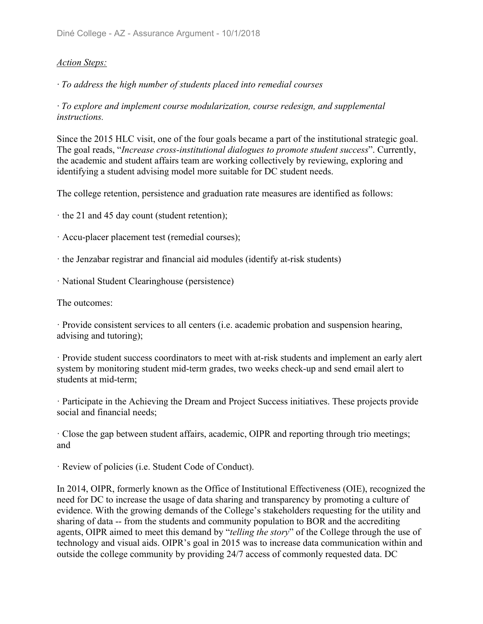#### *Action Steps:*

*ꞏ To address the high number of students placed into remedial courses*

*ꞏ To explore and implement course modularization, course redesign, and supplemental instructions.*

Since the 2015 HLC visit, one of the four goals became a part of the institutional strategic goal. The goal reads, "*Increase cross-institutional dialogues to promote student success*". Currently, the academic and student affairs team are working collectively by reviewing, exploring and identifying a student advising model more suitable for DC student needs.

The college retention, persistence and graduation rate measures are identified as follows:

ꞏ the 21 and 45 day count (student retention);

- ꞏ Accu-placer placement test (remedial courses);
- ꞏ the Jenzabar registrar and financial aid modules (identify at-risk students)
- ꞏ National Student Clearinghouse (persistence)

The outcomes:

ꞏ Provide consistent services to all centers (i.e. academic probation and suspension hearing, advising and tutoring);

ꞏ Provide student success coordinators to meet with at-risk students and implement an early alert system by monitoring student mid-term grades, two weeks check-up and send email alert to students at mid-term;

ꞏ Participate in the Achieving the Dream and Project Success initiatives. These projects provide social and financial needs;

ꞏ Close the gap between student affairs, academic, OIPR and reporting through trio meetings; and

ꞏ Review of policies (i.e. Student Code of Conduct).

In 2014, OIPR, formerly known as the Office of Institutional Effectiveness (OIE), recognized the need for DC to increase the usage of data sharing and transparency by promoting a culture of evidence. With the growing demands of the College's stakeholders requesting for the utility and sharing of data -- from the students and community population to BOR and the accrediting agents, OIPR aimed to meet this demand by "*telling the story*" of the College through the use of technology and visual aids. OIPR's goal in 2015 was to increase data communication within and outside the college community by providing 24/7 access of commonly requested data. DC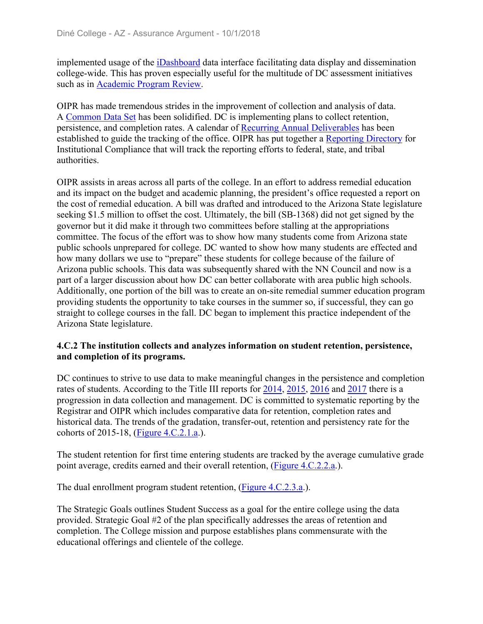implemented usage of the iDashboard data interface facilitating data display and dissemination college-wide. This has proven especially useful for the multitude of DC assessment initiatives such as in Academic Program Review.

OIPR has made tremendous strides in the improvement of collection and analysis of data. A Common Data Set has been solidified. DC is implementing plans to collect retention, persistence, and completion rates. A calendar of Recurring Annual Deliverables has been established to guide the tracking of the office. OIPR has put together a Reporting Directory for Institutional Compliance that will track the reporting efforts to federal, state, and tribal authorities.

OIPR assists in areas across all parts of the college. In an effort to address remedial education and its impact on the budget and academic planning, the president's office requested a report on the cost of remedial education. A bill was drafted and introduced to the Arizona State legislature seeking \$1.5 million to offset the cost. Ultimately, the bill (SB-1368) did not get signed by the governor but it did make it through two committees before stalling at the appropriations committee. The focus of the effort was to show how many students come from Arizona state public schools unprepared for college. DC wanted to show how many students are effected and how many dollars we use to "prepare" these students for college because of the failure of Arizona public schools. This data was subsequently shared with the NN Council and now is a part of a larger discussion about how DC can better collaborate with area public high schools. Additionally, one portion of the bill was to create an on-site remedial summer education program providing students the opportunity to take courses in the summer so, if successful, they can go straight to college courses in the fall. DC began to implement this practice independent of the Arizona State legislature.

#### **4.C.2 The institution collects and analyzes information on student retention, persistence, and completion of its programs.**

DC continues to strive to use data to make meaningful changes in the persistence and completion rates of students. According to the Title III reports for 2014, 2015, 2016 and 2017 there is a progression in data collection and management. DC is committed to systematic reporting by the Registrar and OIPR which includes comparative data for retention, completion rates and historical data. The trends of the gradation, transfer-out, retention and persistency rate for the cohorts of 2015-18, (Figure 4.C.2.1.a.).

The student retention for first time entering students are tracked by the average cumulative grade point average, credits earned and their overall retention, (Figure 4.C.2.2.a.).

The dual enrollment program student retention, (Figure 4.C.2.3.a.).

The Strategic Goals outlines Student Success as a goal for the entire college using the data provided. Strategic Goal #2 of the plan specifically addresses the areas of retention and completion. The College mission and purpose establishes plans commensurate with the educational offerings and clientele of the college.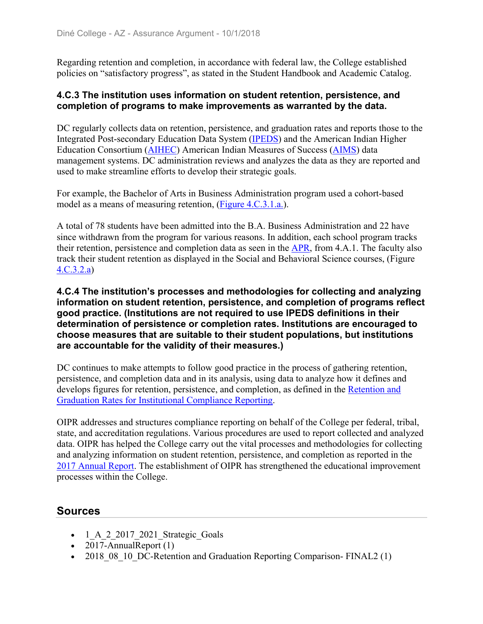Regarding retention and completion, in accordance with federal law, the College established policies on "satisfactory progress", as stated in the Student Handbook and Academic Catalog.

#### **4.C.3 The institution uses information on student retention, persistence, and completion of programs to make improvements as warranted by the data.**

DC regularly collects data on retention, persistence, and graduation rates and reports those to the Integrated Post-secondary Education Data System (IPEDS) and the American Indian Higher Education Consortium (AIHEC) American Indian Measures of Success (AIMS) data management systems. DC administration reviews and analyzes the data as they are reported and used to make streamline efforts to develop their strategic goals.

For example, the Bachelor of Arts in Business Administration program used a cohort-based model as a means of measuring retention, (Figure 4.C.3.1.a.).

A total of 78 students have been admitted into the B.A. Business Administration and 22 have since withdrawn from the program for various reasons. In addition, each school program tracks their retention, persistence and completion data as seen in the APR, from 4.A.1. The faculty also track their student retention as displayed in the Social and Behavioral Science courses, (Figure 4.C.3.2.a)

**4.C.4 The institution's processes and methodologies for collecting and analyzing information on student retention, persistence, and completion of programs reflect good practice. (Institutions are not required to use IPEDS definitions in their determination of persistence or completion rates. Institutions are encouraged to choose measures that are suitable to their student populations, but institutions are accountable for the validity of their measures.)**

DC continues to make attempts to follow good practice in the process of gathering retention, persistence, and completion data and in its analysis, using data to analyze how it defines and develops figures for retention, persistence, and completion, as defined in the Retention and Graduation Rates for Institutional Compliance Reporting.

OIPR addresses and structures compliance reporting on behalf of the College per federal, tribal, state, and accreditation regulations. Various procedures are used to report collected and analyzed data. OIPR has helped the College carry out the vital processes and methodologies for collecting and analyzing information on student retention, persistence, and completion as reported in the 2017 Annual Report. The establishment of OIPR has strengthened the educational improvement processes within the College.

## **Sources**

- $-1$  A 2 2017 2021 Strategic Goals
- $2017$ -AnnualReport  $(1)$
- 2018 08 10 DC-Retention and Graduation Reporting Comparison- FINAL2 (1)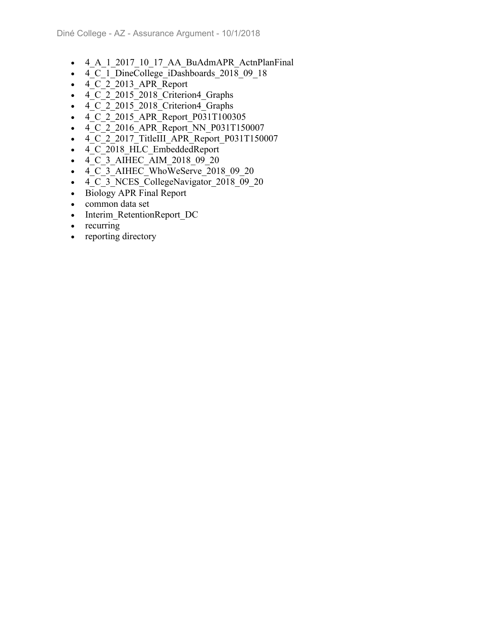- 4 A 1 2017 10 17 AA BuAdmAPR ActnPlanFinal
- $4\overline{C}$  1 DineCollege iDashboards 2018 09 18
- $\bullet$  4 C 2 2013 APR Report
- 4 C 2 2015 2018 Criterion4 Graphs
- $\overline{4}$   $\overline{C}$   $\overline{2}$  2015 2018 Criterion4 Graphs
- 4 C 2 2015 APR Report P031T100305
- $\overline{4}$   $\overline{C}$   $\overline{2}$  2016 APR Report NN P031T150007
- 4 C 2 2017 TitleIII APR Report P031T150007
- 4\_C\_2018\_HLC\_EmbeddedReport
- $\bullet$   $\overline{4}$  C  $\overline{3}$  AIHEC AIM 2018 09 20
- $\bullet$  4 C 3 AIHEC WhoWeServe 2018 09 20
- $\bullet$  4 C 3 NCES CollegeNavigator 2018 09 20
- Biology APR Final Report
- common data set
- Interim RetentionReport DC
- $\bullet$  recurring
- reporting directory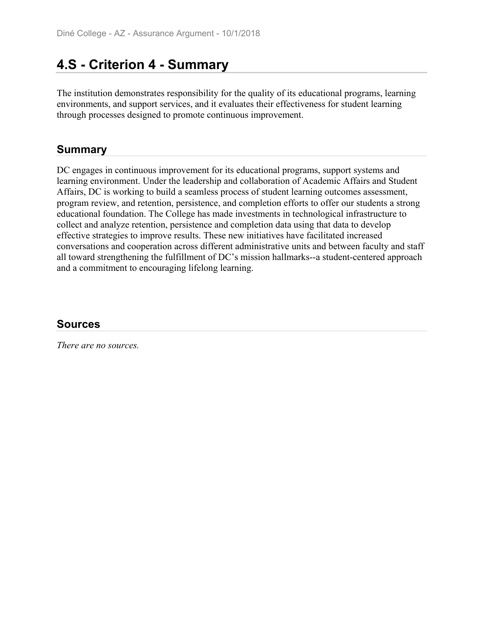# **4.S - Criterion 4 - Summary**

The institution demonstrates responsibility for the quality of its educational programs, learning environments, and support services, and it evaluates their effectiveness for student learning through processes designed to promote continuous improvement.

### **Summary**

DC engages in continuous improvement for its educational programs, support systems and learning environment. Under the leadership and collaboration of Academic Affairs and Student Affairs, DC is working to build a seamless process of student learning outcomes assessment, program review, and retention, persistence, and completion efforts to offer our students a strong educational foundation. The College has made investments in technological infrastructure to collect and analyze retention, persistence and completion data using that data to develop effective strategies to improve results. These new initiatives have facilitated increased conversations and cooperation across different administrative units and between faculty and staff all toward strengthening the fulfillment of DC's mission hallmarks--a student-centered approach and a commitment to encouraging lifelong learning.

### **Sources**

*There are no sources.*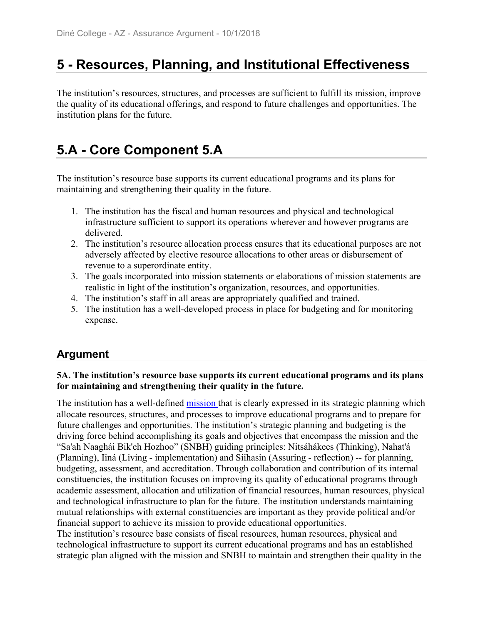# **5 - Resources, Planning, and Institutional Effectiveness**

The institution's resources, structures, and processes are sufficient to fulfill its mission, improve the quality of its educational offerings, and respond to future challenges and opportunities. The institution plans for the future.

# **5.A - Core Component 5.A**

The institution's resource base supports its current educational programs and its plans for maintaining and strengthening their quality in the future.

- 1. The institution has the fiscal and human resources and physical and technological infrastructure sufficient to support its operations wherever and however programs are delivered.
- 2. The institution's resource allocation process ensures that its educational purposes are not adversely affected by elective resource allocations to other areas or disbursement of revenue to a superordinate entity.
- 3. The goals incorporated into mission statements or elaborations of mission statements are realistic in light of the institution's organization, resources, and opportunities.
- 4. The institution's staff in all areas are appropriately qualified and trained.
- 5. The institution has a well-developed process in place for budgeting and for monitoring expense.

## **Argument**

#### **5A. The institution's resource base supports its current educational programs and its plans for maintaining and strengthening their quality in the future.**

The institution has a well-defined mission that is clearly expressed in its strategic planning which allocate resources, structures, and processes to improve educational programs and to prepare for future challenges and opportunities. The institution's strategic planning and budgeting is the driving force behind accomplishing its goals and objectives that encompass the mission and the "Sa'ah Naaghái Bik'eh Hozhoo" (SNBH) guiding principles: Nitsáhákees (Thinking), Nahat'á (Planning), Iiná (Living - implementation) and Siihasin (Assuring - reflection) -- for planning, budgeting, assessment, and accreditation. Through collaboration and contribution of its internal constituencies, the institution focuses on improving its quality of educational programs through academic assessment, allocation and utilization of financial resources, human resources, physical and technological infrastructure to plan for the future. The institution understands maintaining mutual relationships with external constituencies are important as they provide political and/or financial support to achieve its mission to provide educational opportunities.

The institution's resource base consists of fiscal resources, human resources, physical and technological infrastructure to support its current educational programs and has an established strategic plan aligned with the mission and SNBH to maintain and strengthen their quality in the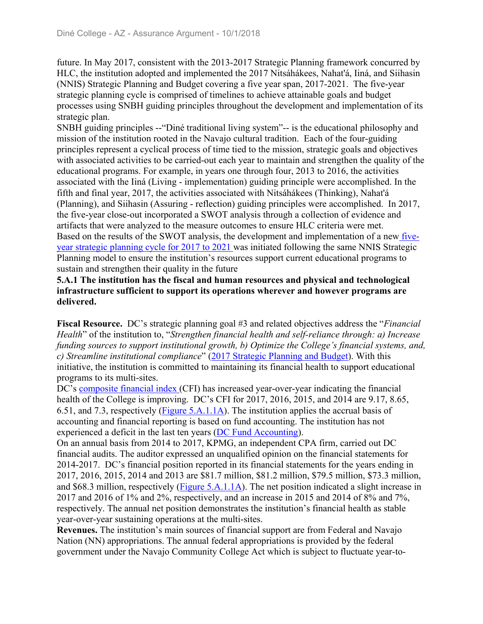future. In May 2017, consistent with the 2013-2017 Strategic Planning framework concurred by HLC, the institution adopted and implemented the 2017 Nitsáhákees, Nahat'á, Iiná, and Siihasin (NNIS) Strategic Planning and Budget covering a five year span, 2017-2021. The five-year strategic planning cycle is comprised of timelines to achieve attainable goals and budget processes using SNBH guiding principles throughout the development and implementation of its strategic plan.

SNBH guiding principles --"Diné traditional living system"-- is the educational philosophy and mission of the institution rooted in the Navajo cultural tradition. Each of the four-guiding principles represent a cyclical process of time tied to the mission, strategic goals and objectives with associated activities to be carried-out each year to maintain and strengthen the quality of the educational programs. For example, in years one through four, 2013 to 2016, the activities associated with the Iiná (Living - implementation) guiding principle were accomplished. In the fifth and final year, 2017, the activities associated with Nitsáhákees (Thinking), Nahat'á (Planning), and Siihasin (Assuring - reflection) guiding principles were accomplished. In 2017, the five-year close-out incorporated a SWOT analysis through a collection of evidence and artifacts that were analyzed to the measure outcomes to ensure HLC criteria were met. Based on the results of the SWOT analysis, the development and implementation of a new fiveyear strategic planning cycle for 2017 to 2021 was initiated following the same NNIS Strategic Planning model to ensure the institution's resources support current educational programs to sustain and strengthen their quality in the future

#### **5.A.1 The institution has the fiscal and human resources and physical and technological infrastructure sufficient to support its operations wherever and however programs are delivered.**

**Fiscal Resource.** DC's strategic planning goal #3 and related objectives address the "*Financial Health*" of the institution to, "*Strengthen financial health and self-reliance through: a) Increase funding sources to support institutional growth, b) Optimize the College's financial systems, and, c) Streamline institutional compliance*" (2017 Strategic Planning and Budget). With this initiative, the institution is committed to maintaining its financial health to support educational programs to its multi-sites.

DC's composite financial index (CFI) has increased year-over-year indicating the financial health of the College is improving. DC's CFI for 2017, 2016, 2015, and 2014 are 9.17, 8.65, 6.51, and 7.3, respectively (Figure 5.A.1.1A). The institution applies the accrual basis of accounting and financial reporting is based on fund accounting. The institution has not experienced a deficit in the last ten years (DC Fund Accounting).

On an annual basis from 2014 to 2017, KPMG, an independent CPA firm, carried out DC financial audits. The auditor expressed an unqualified opinion on the financial statements for 2014-2017. DC's financial position reported in its financial statements for the years ending in 2017, 2016, 2015, 2014 and 2013 are \$81.7 million, \$81.2 million, \$79.5 million, \$73.3 million, and \$68.3 million, respectively (Figure 5.A.1.1A). The net position indicated a slight increase in 2017 and 2016 of 1% and 2%, respectively, and an increase in 2015 and 2014 of 8% and 7%, respectively. The annual net position demonstrates the institution's financial health as stable year-over-year sustaining operations at the multi-sites.

**Revenues.** The institution's main sources of financial support are from Federal and Navajo Nation (NN) appropriations. The annual federal appropriations is provided by the federal government under the Navajo Community College Act which is subject to fluctuate year-to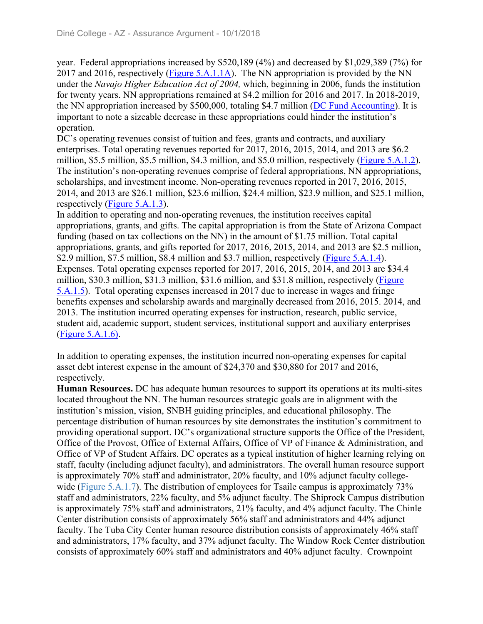year. Federal appropriations increased by \$520,189 (4%) and decreased by \$1,029,389 (7%) for 2017 and 2016, respectively (Figure 5.A.1.1A). The NN appropriation is provided by the NN under the *Navajo Higher Education Act of 2004,* which, beginning in 2006, funds the institution for twenty years. NN appropriations remained at \$4.2 million for 2016 and 2017. In 2018-2019, the NN appropriation increased by \$500,000, totaling \$4.7 million (DC Fund Accounting). It is important to note a sizeable decrease in these appropriations could hinder the institution's operation.

DC's operating revenues consist of tuition and fees, grants and contracts, and auxiliary enterprises. Total operating revenues reported for 2017, 2016, 2015, 2014, and 2013 are \$6.2 million, \$5.5 million, \$5.5 million, \$4.3 million, and \$5.0 million, respectively (Figure 5.A.1.2). The institution's non-operating revenues comprise of federal appropriations, NN appropriations, scholarships, and investment income. Non-operating revenues reported in 2017, 2016, 2015, 2014, and 2013 are \$26.1 million, \$23.6 million, \$24.4 million, \$23.9 million, and \$25.1 million, respectively (Figure 5.A.1.3).

In addition to operating and non-operating revenues, the institution receives capital appropriations, grants, and gifts. The capital appropriation is from the State of Arizona Compact funding (based on tax collections on the NN) in the amount of \$1.75 million. Total capital appropriations, grants, and gifts reported for 2017, 2016, 2015, 2014, and 2013 are \$2.5 million, \$2.9 million, \$7.5 million, \$8.4 million and \$3.7 million, respectively (Figure 5.A.1.4). Expenses. Total operating expenses reported for 2017, 2016, 2015, 2014, and 2013 are \$34.4 million, \$30.3 million, \$31.3 million, \$31.6 million, and \$31.8 million, respectively (Figure 5.A.1.5). Total operating expenses increased in 2017 due to increase in wages and fringe benefits expenses and scholarship awards and marginally decreased from 2016, 2015. 2014, and 2013. The institution incurred operating expenses for instruction, research, public service, student aid, academic support, student services, institutional support and auxiliary enterprises (Figure 5.A.1.6).

In addition to operating expenses, the institution incurred non-operating expenses for capital asset debt interest expense in the amount of \$24,370 and \$30,880 for 2017 and 2016, respectively.

**Human Resources.** DC has adequate human resources to support its operations at its multi-sites located throughout the NN. The human resources strategic goals are in alignment with the institution's mission, vision, SNBH guiding principles, and educational philosophy. The percentage distribution of human resources by site demonstrates the institution's commitment to providing operational support. DC's organizational structure supports the Office of the President, Office of the Provost, Office of External Affairs, Office of VP of Finance & Administration, and Office of VP of Student Affairs. DC operates as a typical institution of higher learning relying on staff, faculty (including adjunct faculty), and administrators. The overall human resource support is approximately 70% staff and administrator, 20% faculty, and 10% adjunct faculty collegewide (Figure 5.A.1.7). The distribution of employees for Tsaile campus is approximately 73% staff and administrators, 22% faculty, and 5% adjunct faculty. The Shiprock Campus distribution is approximately 75% staff and administrators, 21% faculty, and 4% adjunct faculty. The Chinle Center distribution consists of approximately 56% staff and administrators and 44% adjunct faculty. The Tuba City Center human resource distribution consists of approximately 46% staff and administrators, 17% faculty, and 37% adjunct faculty. The Window Rock Center distribution consists of approximately 60% staff and administrators and 40% adjunct faculty. Crownpoint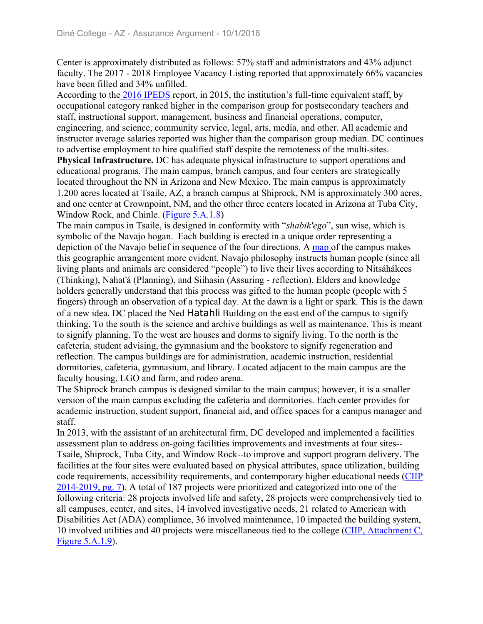Center is approximately distributed as follows: 57% staff and administrators and 43% adjunct faculty. The 2017 - 2018 Employee Vacancy Listing reported that approximately 66% vacancies have been filled and 34% unfilled.

According to the 2016 IPEDS report, in 2015, the institution's full-time equivalent staff, by occupational category ranked higher in the comparison group for postsecondary teachers and staff, instructional support, management, business and financial operations, computer, engineering, and science, community service, legal, arts, media, and other. All academic and instructor average salaries reported was higher than the comparison group median. DC continues to advertise employment to hire qualified staff despite the remoteness of the multi-sites. **Physical Infrastructure.** DC has adequate physical infrastructure to support operations and educational programs. The main campus, branch campus, and four centers are strategically located throughout the NN in Arizona and New Mexico. The main campus is approximately 1,200 acres located at Tsaile, AZ, a branch campus at Shiprock, NM is approximately 300 acres, and one center at Crownpoint, NM, and the other three centers located in Arizona at Tuba City, Window Rock, and Chinle. (Figure 5.A.1.8)

The main campus in Tsaile, is designed in conformity with "*shabik'ego*", sun wise, which is symbolic of the Navajo hogan. Each building is erected in a unique order representing a depiction of the Navajo belief in sequence of the four directions. A map of the campus makes this geographic arrangement more evident. Navajo philosophy instructs human people (since all living plants and animals are considered "people") to live their lives according to Nitsáhákees (Thinking), Nahat'á (Planning), and Siihasin (Assuring - reflection). Elders and knowledge holders generally understand that this process was gifted to the human people (people with 5 fingers) through an observation of a typical day. At the dawn is a light or spark. This is the dawn of a new idea. DC placed the Ned Hatahli Building on the east end of the campus to signify thinking. To the south is the science and archive buildings as well as maintenance. This is meant to signify planning. To the west are houses and dorms to signify living. To the north is the cafeteria, student advising, the gymnasium and the bookstore to signify regeneration and reflection. The campus buildings are for administration, academic instruction, residential dormitories, cafeteria, gymnasium, and library. Located adjacent to the main campus are the faculty housing, LGO and farm, and rodeo arena.

The Shiprock branch campus is designed similar to the main campus; however, it is a smaller version of the main campus excluding the cafeteria and dormitories. Each center provides for academic instruction, student support, financial aid, and office spaces for a campus manager and staff.

In 2013, with the assistant of an architectural firm, DC developed and implemented a facilities assessment plan to address on-going facilities improvements and investments at four sites-- Tsaile, Shiprock, Tuba City, and Window Rock--to improve and support program delivery. The facilities at the four sites were evaluated based on physical attributes, space utilization, building code requirements, accessibility requirements, and contemporary higher educational needs (CIIP 2014-2019, pg. 7). A total of 187 projects were prioritized and categorized into one of the following criteria: 28 projects involved life and safety, 28 projects were comprehensively tied to all campuses, center, and sites, 14 involved investigative needs, 21 related to American with Disabilities Act (ADA) compliance, 36 involved maintenance, 10 impacted the building system, 10 involved utilities and 40 projects were miscellaneous tied to the college (CIIP, Attachment C, Figure 5.A.1.9).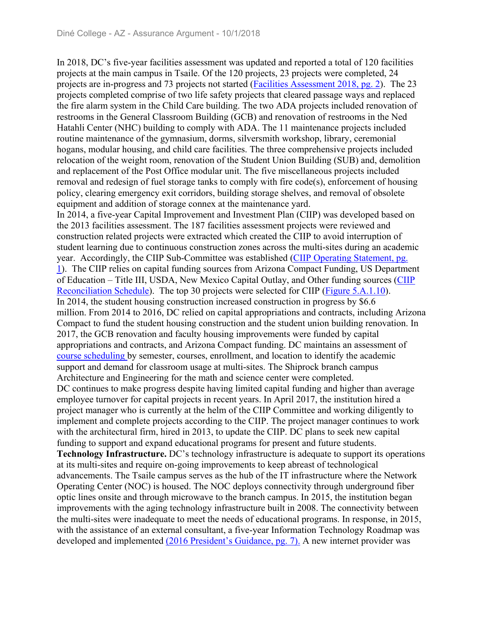In 2018, DC's five-year facilities assessment was updated and reported a total of 120 facilities projects at the main campus in Tsaile. Of the 120 projects, 23 projects were completed, 24 projects are in-progress and 73 projects not started (Facilities Assessment 2018, pg. 2). The 23 projects completed comprise of two life safety projects that cleared passage ways and replaced the fire alarm system in the Child Care building. The two ADA projects included renovation of restrooms in the General Classroom Building (GCB) and renovation of restrooms in the Ned Hatahli Center (NHC) building to comply with ADA. The 11 maintenance projects included routine maintenance of the gymnasium, dorms, silversmith workshop, library, ceremonial hogans, modular housing, and child care facilities. The three comprehensive projects included relocation of the weight room, renovation of the Student Union Building (SUB) and, demolition and replacement of the Post Office modular unit. The five miscellaneous projects included removal and redesign of fuel storage tanks to comply with fire code(s), enforcement of housing policy, clearing emergency exit corridors, building storage shelves, and removal of obsolete equipment and addition of storage connex at the maintenance yard. In 2014, a five-year Capital Improvement and Investment Plan (CIIP) was developed based on the 2013 facilities assessment. The 187 facilities assessment projects were reviewed and construction related projects were extracted which created the CIIP to avoid interruption of student learning due to continuous construction zones across the multi-sites during an academic year. Accordingly, the CIIP Sub-Committee was established (CIIP Operating Statement, pg. 1). The CIIP relies on capital funding sources from Arizona Compact Funding, US Department of Education – Title III, USDA, New Mexico Capital Outlay, and Other funding sources (CIIP Reconciliation Schedule). The top 30 projects were selected for CIIP (Figure 5.A.1.10). In 2014, the student housing construction increased construction in progress by \$6.6 million. From 2014 to 2016, DC relied on capital appropriations and contracts, including Arizona Compact to fund the student housing construction and the student union building renovation. In 2017, the GCB renovation and faculty housing improvements were funded by capital appropriations and contracts, and Arizona Compact funding. DC maintains an assessment of course scheduling by semester, courses, enrollment, and location to identify the academic support and demand for classroom usage at multi-sites. The Shiprock branch campus Architecture and Engineering for the math and science center were completed. DC continues to make progress despite having limited capital funding and higher than average employee turnover for capital projects in recent years. In April 2017, the institution hired a project manager who is currently at the helm of the CIIP Committee and working diligently to implement and complete projects according to the CIIP. The project manager continues to work with the architectural firm, hired in 2013, to update the CIIP. DC plans to seek new capital funding to support and expand educational programs for present and future students. **Technology Infrastructure.** DC's technology infrastructure is adequate to support its operations at its multi-sites and require on-going improvements to keep abreast of technological advancements. The Tsaile campus serves as the hub of the IT infrastructure where the Network Operating Center (NOC) is housed. The NOC deploys connectivity through underground fiber optic lines onsite and through microwave to the branch campus. In 2015, the institution began improvements with the aging technology infrastructure built in 2008. The connectivity between the multi-sites were inadequate to meet the needs of educational programs. In response, in 2015, with the assistance of an external consultant, a five-year Information Technology Roadmap was developed and implemented (2016 President's Guidance, pg. 7). A new internet provider was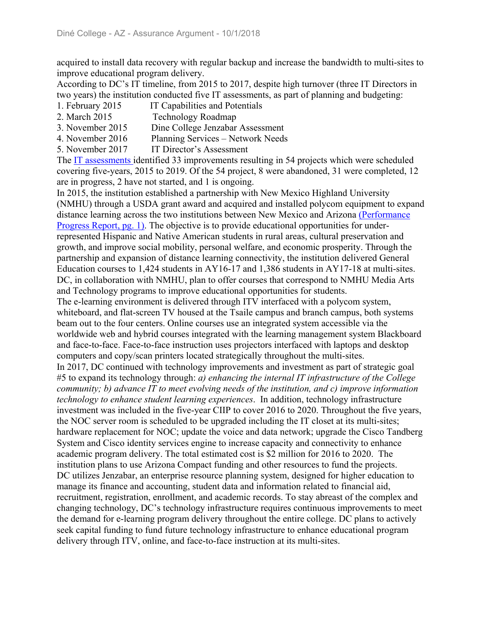acquired to install data recovery with regular backup and increase the bandwidth to multi-sites to improve educational program delivery.

According to DC's IT timeline, from 2015 to 2017, despite high turnover (three IT Directors in two years) the institution conducted five IT assessments, as part of planning and budgeting:

- 1. February 2015 IT Capabilities and Potentials
- 2. March 2015 Technology Roadmap
- 3. November 2015 Dine College Jenzabar Assessment
- 4. November 2016 Planning Services Network Needs
- 5. November 2017 IT Director's Assessment

The IT assessments identified 33 improvements resulting in 54 projects which were scheduled covering five-years, 2015 to 2019. Of the 54 project, 8 were abandoned, 31 were completed, 12 are in progress, 2 have not started, and 1 is ongoing.

In 2015, the institution established a partnership with New Mexico Highland University (NMHU) through a USDA grant award and acquired and installed polycom equipment to expand distance learning across the two institutions between New Mexico and Arizona (Performance Progress Report, pg. 1). The objective is to provide educational opportunities for underrepresented Hispanic and Native American students in rural areas, cultural preservation and growth, and improve social mobility, personal welfare, and economic prosperity. Through the partnership and expansion of distance learning connectivity, the institution delivered General Education courses to 1,424 students in AY16-17 and 1,386 students in AY17-18 at multi-sites. DC, in collaboration with NMHU, plan to offer courses that correspond to NMHU Media Arts and Technology programs to improve educational opportunities for students.

The e-learning environment is delivered through ITV interfaced with a polycom system, whiteboard, and flat-screen TV housed at the Tsaile campus and branch campus, both systems beam out to the four centers. Online courses use an integrated system accessible via the worldwide web and hybrid courses integrated with the learning management system Blackboard and face-to-face. Face-to-face instruction uses projectors interfaced with laptops and desktop computers and copy/scan printers located strategically throughout the multi-sites.

In 2017, DC continued with technology improvements and investment as part of strategic goal #5 to expand its technology through: *a) enhancing the internal IT infrastructure of the College community; b) advance IT to meet evolving needs of the institution, and c) improve information technology to enhance student learning experiences*. In addition, technology infrastructure investment was included in the five-year CIIP to cover 2016 to 2020. Throughout the five years, the NOC server room is scheduled to be upgraded including the IT closet at its multi-sites; hardware replacement for NOC; update the voice and data network; upgrade the Cisco Tandberg System and Cisco identity services engine to increase capacity and connectivity to enhance academic program delivery. The total estimated cost is \$2 million for 2016 to 2020. The institution plans to use Arizona Compact funding and other resources to fund the projects. DC utilizes Jenzabar, an enterprise resource planning system, designed for higher education to manage its finance and accounting, student data and information related to financial aid, recruitment, registration, enrollment, and academic records. To stay abreast of the complex and changing technology, DC's technology infrastructure requires continuous improvements to meet the demand for e-learning program delivery throughout the entire college. DC plans to actively seek capital funding to fund future technology infrastructure to enhance educational program delivery through ITV, online, and face-to-face instruction at its multi-sites.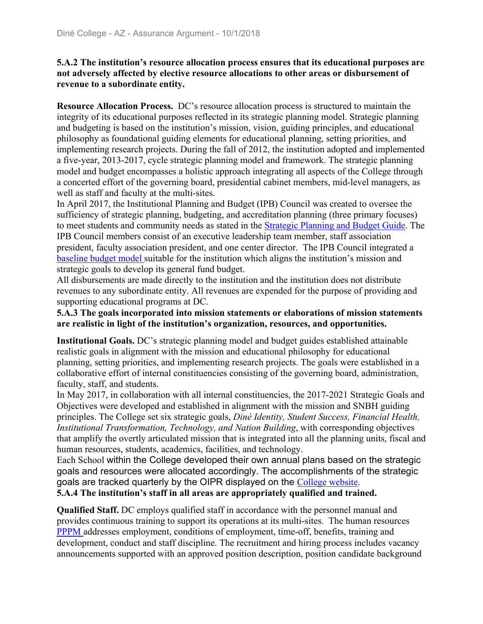#### **5.A.2 The institution's resource allocation process ensures that its educational purposes are not adversely affected by elective resource allocations to other areas or disbursement of revenue to a subordinate entity.**

**Resource Allocation Process.** DC's resource allocation process is structured to maintain the integrity of its educational purposes reflected in its strategic planning model. Strategic planning and budgeting is based on the institution's mission, vision, guiding principles, and educational philosophy as foundational guiding elements for educational planning, setting priorities, and implementing research projects. During the fall of 2012, the institution adopted and implemented a five-year, 2013-2017, cycle strategic planning model and framework. The strategic planning model and budget encompasses a holistic approach integrating all aspects of the College through a concerted effort of the governing board, presidential cabinet members, mid-level managers, as well as staff and faculty at the multi-sites.

In April 2017, the Institutional Planning and Budget (IPB) Council was created to oversee the sufficiency of strategic planning, budgeting, and accreditation planning (three primary focuses) to meet students and community needs as stated in the Strategic Planning and Budget Guide. The IPB Council members consist of an executive leadership team member, staff association president, faculty association president, and one center director. The IPB Council integrated a baseline budget model suitable for the institution which aligns the institution's mission and strategic goals to develop its general fund budget.

All disbursements are made directly to the institution and the institution does not distribute revenues to any subordinate entity. All revenues are expended for the purpose of providing and supporting educational programs at DC.

**5.A.3 The goals incorporated into mission statements or elaborations of mission statements are realistic in light of the institution's organization, resources, and opportunities.**

**Institutional Goals.** DC's strategic planning model and budget guides established attainable realistic goals in alignment with the mission and educational philosophy for educational planning, setting priorities, and implementing research projects. The goals were established in a collaborative effort of internal constituencies consisting of the governing board, administration, faculty, staff, and students.

In May 2017, in collaboration with all internal constituencies, the 2017-2021 Strategic Goals and Objectives were developed and established in alignment with the mission and SNBH guiding principles. The College set six strategic goals, *Diné Identity, Student Success, Financial Health, Institutional Transformation, Technology, and Nation Building*, with corresponding objectives that amplify the overtly articulated mission that is integrated into all the planning units, fiscal and human resources, students, academics, facilities, and technology.

Each School within the College developed their own annual plans based on the strategic goals and resources were allocated accordingly. The accomplishments of the strategic goals are tracked quarterly by the OIPR displayed on the College website.

**5.A.4 The institution's staff in all areas are appropriately qualified and trained.**

**Qualified Staff.** DC employs qualified staff in accordance with the personnel manual and provides continuous training to support its operations at its multi-sites. The human resources PPPM addresses employment, conditions of employment, time-off, benefits, training and development, conduct and staff discipline. The recruitment and hiring process includes vacancy announcements supported with an approved position description, position candidate background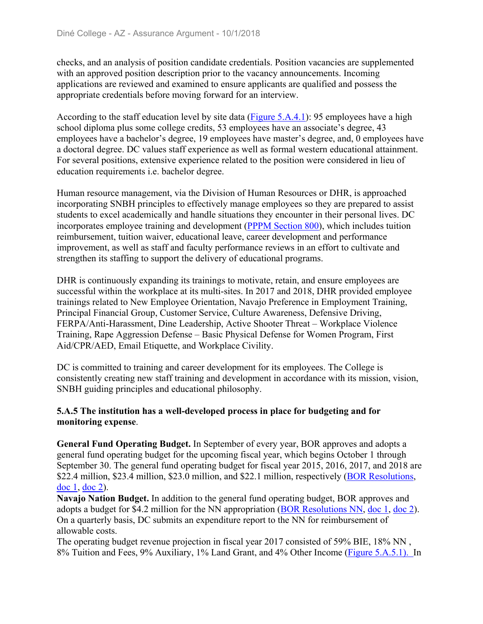checks, and an analysis of position candidate credentials. Position vacancies are supplemented with an approved position description prior to the vacancy announcements. Incoming applications are reviewed and examined to ensure applicants are qualified and possess the appropriate credentials before moving forward for an interview.

According to the staff education level by site data (Figure 5.A.4.1): 95 employees have a high school diploma plus some college credits, 53 employees have an associate's degree, 43 employees have a bachelor's degree, 19 employees have master's degree, and, 0 employees have a doctoral degree. DC values staff experience as well as formal western educational attainment. For several positions, extensive experience related to the position were considered in lieu of education requirements i.e. bachelor degree.

Human resource management, via the Division of Human Resources or DHR, is approached incorporating SNBH principles to effectively manage employees so they are prepared to assist students to excel academically and handle situations they encounter in their personal lives. DC incorporates employee training and development (PPPM Section 800), which includes tuition reimbursement, tuition waiver, educational leave, career development and performance improvement, as well as staff and faculty performance reviews in an effort to cultivate and strengthen its staffing to support the delivery of educational programs.

DHR is continuously expanding its trainings to motivate, retain, and ensure employees are successful within the workplace at its multi-sites. In 2017 and 2018, DHR provided employee trainings related to New Employee Orientation, Navajo Preference in Employment Training, Principal Financial Group, Customer Service, Culture Awareness, Defensive Driving, FERPA/Anti-Harassment, Dine Leadership, Active Shooter Threat – Workplace Violence Training, Rape Aggression Defense – Basic Physical Defense for Women Program, First Aid/CPR/AED, Email Etiquette, and Workplace Civility.

DC is committed to training and career development for its employees. The College is consistently creating new staff training and development in accordance with its mission, vision, SNBH guiding principles and educational philosophy.

#### **5.A.5 The institution has a well-developed process in place for budgeting and for monitoring expense**.

**General Fund Operating Budget.** In September of every year, BOR approves and adopts a general fund operating budget for the upcoming fiscal year, which begins October 1 through September 30. The general fund operating budget for fiscal year 2015, 2016, 2017, and 2018 are \$22.4 million, \$23.4 million, \$23.0 million, and \$22.1 million, respectively (BOR Resolutions, doc 1, doc 2).

**Navajo Nation Budget.** In addition to the general fund operating budget, BOR approves and adopts a budget for \$4.2 million for the NN appropriation (BOR Resolutions NN, doc 1, doc 2). On a quarterly basis, DC submits an expenditure report to the NN for reimbursement of allowable costs.

The operating budget revenue projection in fiscal year 2017 consisted of 59% BIE, 18% NN , 8% Tuition and Fees, 9% Auxiliary, 1% Land Grant, and 4% Other Income (Figure 5.A.5.1). In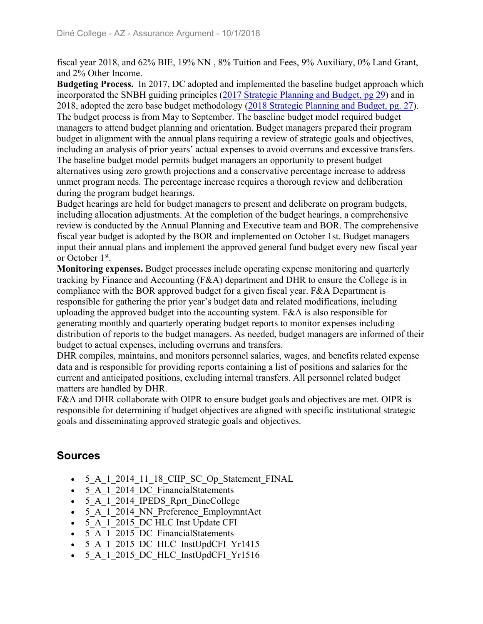fiscal year 2018, and 62% BIE, 19% NN , 8% Tuition and Fees, 9% Auxiliary, 0% Land Grant, and 2% Other Income.

**Budgeting Process.** In 2017, DC adopted and implemented the baseline budget approach which incorporated the SNBH guiding principles (2017 Strategic Planning and Budget, pg 29) and in 2018, adopted the zero base budget methodology (2018 Strategic Planning and Budget, pg. 27). The budget process is from May to September. The baseline budget model required budget managers to attend budget planning and orientation. Budget managers prepared their program budget in alignment with the annual plans requiring a review of strategic goals and objectives, including an analysis of prior years' actual expenses to avoid overruns and excessive transfers. The baseline budget model permits budget managers an opportunity to present budget alternatives using zero growth projections and a conservative percentage increase to address unmet program needs. The percentage increase requires a thorough review and deliberation during the program budget hearings.

Budget hearings are held for budget managers to present and deliberate on program budgets, including allocation adjustments. At the completion of the budget hearings, a comprehensive review is conducted by the Annual Planning and Executive team and BOR. The comprehensive fiscal year budget is adopted by the BOR and implemented on October 1st. Budget managers input their annual plans and implement the approved general fund budget every new fiscal year or October 1st.

**Monitoring expenses.** Budget processes include operating expense monitoring and quarterly tracking by Finance and Accounting (F&A) department and DHR to ensure the College is in compliance with the BOR approved budget for a given fiscal year. F&A Department is responsible for gathering the prior year's budget data and related modifications, including uploading the approved budget into the accounting system. F&A is also responsible for generating monthly and quarterly operating budget reports to monitor expenses including distribution of reports to the budget managers. As needed, budget managers are informed of their budget to actual expenses, including overruns and transfers.

DHR compiles, maintains, and monitors personnel salaries, wages, and benefits related expense data and is responsible for providing reports containing a list of positions and salaries for the current and anticipated positions, excluding internal transfers. All personnel related budget matters are handled by DHR.

F&A and DHR collaborate with OIPR to ensure budget goals and objectives are met. OIPR is responsible for determining if budget objectives are aligned with specific institutional strategic goals and disseminating approved strategic goals and objectives.

## **Sources**

- 5\_A\_1\_2014\_11\_18\_CIIP\_SC\_Op\_Statement\_FINAL
- 5 A 1 2014 DC FinancialStatements
- 5 A 1 2014 IPEDS Rprt DineCollege
- 5 A 1 2014 NN Preference\_EmploymntAct
- 5 A 1 2015 DC HLC Inst Update CFI
- 5 A 1 2015 DC FinancialStatements
- 5 A 1 2015 DC HLC InstUpdCFI Yr1415
- 5 A 1 2015 DC HLC InstUpdCFI Yr1516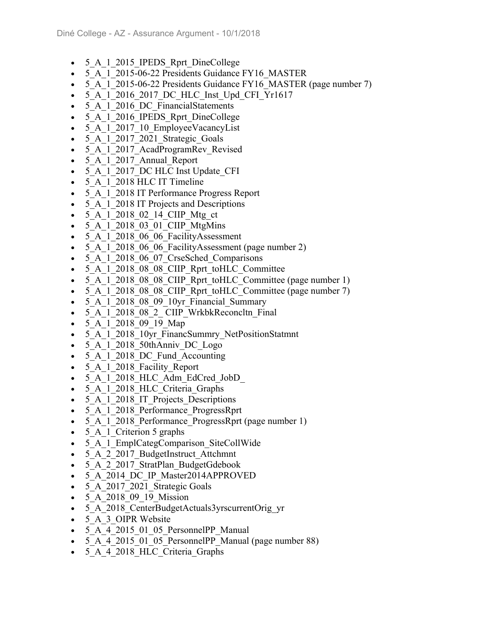- 5 A 1 2015 IPEDS Rprt DineCollege
- 5\_A\_1\_2015-06-22 Presidents Guidance FY16\_MASTER
- 5 A 1 2015-06-22 Presidents Guidance FY16 MASTER (page number 7)
- 5 A 1 2016 2017 DC HLC Inst Upd CFI Yr1617
- 5 A 1 2016 DC FinancialStatements
- 5 A 1 2016 IPEDS Rprt DineCollege
- 5 A 1 2017 10 EmployeeVacancyList
- 5 A 1 2017 2021 Strategic Goals
- 5 A 1 2017 AcadProgramRev Revised
- 5 A 1 2017 Annual Report
- 5 A 1 2017 DC HLC Inst Update CFI
- 5 A 1 2018 HLC IT Timeline
- 5 A 1 2018 IT Performance Progress Report
- 5 A 1 2018 IT Projects and Descriptions
- 5 A 1 2018 02 14 CIIP Mtg ct
- 5 A 1 2018 03 01 CIIP MtgMins
- 5 A 1 2018 06 06 FacilityAssessment
- 5 A 1 2018 06 06 FacilityAssessment (page number 2)
- 5 A 1 2018 06 07 CrseSched Comparisons
- 5 A 1 2018 08 08 CIIP Rprt toHLC Committee
- 5 A 1 2018 08 08 CIIP Rprt toHLC Committee (page number 1)
- 5 A 1 2018 08 08 CIIP Rprt toHLC Committee (page number 7)
- 5 A 1 2018 08 09 10yr Financial Summary
- 5 A 1 2018 08 2 CIIP WrkbkReconcltn Final
- 5 A 1 2018 09 19 Map
- 5 A 1 2018 10yr FinancSummry NetPositionStatmnt
- 5\_A\_1\_2018\_50thAnniv\_DC\_Logo
- 5 A 1 2018 DC Fund Accounting
- 5 A 1 2018 Facility Report
- 5 A 1 2018 HLC Adm EdCred JobD
- 5 A 1 2018 HLC Criteria Graphs
- 5 A 1 2018 IT Projects Descriptions
- 5 A 1 2018 Performance ProgressRprt
- 5 A 1 2018 Performance ProgressRprt (page number 1)
- 5 A 1 Criterion 5 graphs
- 5 A 1 EmplCategComparison SiteCollWide
- 5 A 2 2017 BudgetInstruct Attchmnt
- 5 A 2 2017 StratPlan BudgetGdebook
- 5 A 2014 DC IP Master2014APPROVED
- 5 A 2017 2021 Strategic Goals
- 5 A 2018 09 19 Mission
- 5 A 2018 CenterBudgetActuals3yrscurrentOrig\_yr
- 5 A 3 OIPR Website
- 5 A 4 2015 01 05 PersonnelPP Manual
- 5 A 4 2015 01 05 PersonnelPP Manual (page number 88)
- 5 A 4 2018 HLC Criteria Graphs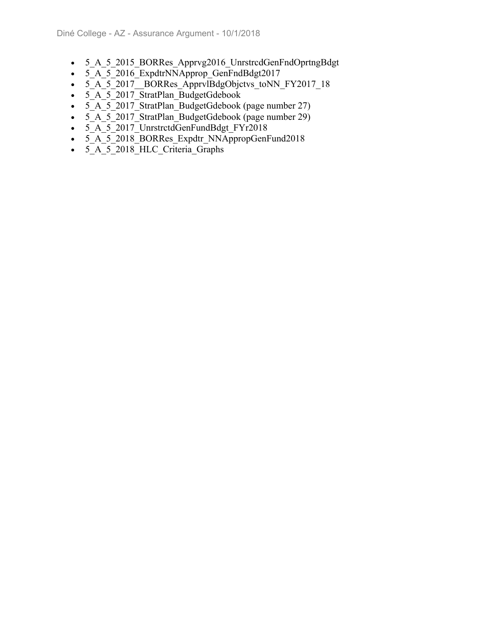- 5 A 5 2015 BORRes Apprvg2016 UnrstrcdGenFndOprtngBdgt
- $\cdot$  5 A 5 2016 ExpdtrNNApprop GenFndBdgt2017
- 5<sup>A</sup> 5<sup>2017</sup> BORRes ApprvlBdgObjctvs toNN FY2017 18
- 5 A 5 2017 StratPlan BudgetGdebook
- $\overline{\phantom{0}}$   $\overline{\phantom{0}}$   $\overline{\phantom{0}}$   $\overline{\phantom{0}}$   $\overline{\phantom{0}}$   $\overline{\phantom{0}}$   $\overline{\phantom{0}}$   $\overline{\phantom{0}}$   $\overline{\phantom{0}}$   $\overline{\phantom{0}}$   $\overline{\phantom{0}}$   $\overline{\phantom{0}}$   $\overline{\phantom{0}}$   $\overline{\phantom{0}}$   $\overline{\phantom{0}}$   $\overline{\phantom{0}}$   $\overline{\phantom{0}}$   $\overline{\phantom{0}}$   $\overline{\$
- $\overline{5_A}$   $\overline{5_A}$  2017 StratPlan BudgetGdebook (page number 29)
- 5 A 5 2017 UnrstrctdGenFundBdgt FYr2018
- 5 A 5 2018 BORRes Expdtr NNAppropGenFund2018
- 5\_A\_5\_2018\_HLC\_Criteria\_Graphs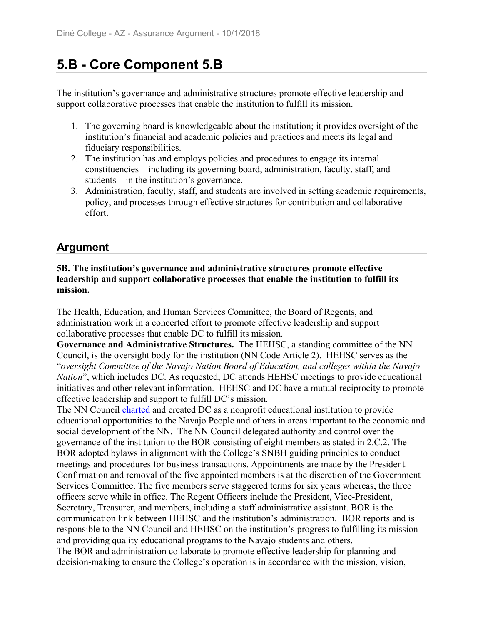# **5.B - Core Component 5.B**

The institution's governance and administrative structures promote effective leadership and support collaborative processes that enable the institution to fulfill its mission.

- 1. The governing board is knowledgeable about the institution; it provides oversight of the institution's financial and academic policies and practices and meets its legal and fiduciary responsibilities.
- 2. The institution has and employs policies and procedures to engage its internal constituencies—including its governing board, administration, faculty, staff, and students—in the institution's governance.
- 3. Administration, faculty, staff, and students are involved in setting academic requirements, policy, and processes through effective structures for contribution and collaborative effort.

## **Argument**

#### **5B. The institution's governance and administrative structures promote effective leadership and support collaborative processes that enable the institution to fulfill its mission.**

The Health, Education, and Human Services Committee, the Board of Regents, and administration work in a concerted effort to promote effective leadership and support collaborative processes that enable DC to fulfill its mission.

**Governance and Administrative Structures.** The HEHSC, a standing committee of the NN Council, is the oversight body for the institution (NN Code Article 2). HEHSC serves as the "*oversight Committee of the Navajo Nation Board of Education, and colleges within the Navajo Nation*", which includes DC. As requested, DC attends HEHSC meetings to provide educational initiatives and other relevant information. HEHSC and DC have a mutual reciprocity to promote effective leadership and support to fulfill DC's mission.

The NN Council charted and created DC as a nonprofit educational institution to provide educational opportunities to the Navajo People and others in areas important to the economic and social development of the NN. The NN Council delegated authority and control over the governance of the institution to the BOR consisting of eight members as stated in 2.C.2. The BOR adopted bylaws in alignment with the College's SNBH guiding principles to conduct meetings and procedures for business transactions. Appointments are made by the President. Confirmation and removal of the five appointed members is at the discretion of the Government Services Committee. The five members serve staggered terms for six years whereas, the three officers serve while in office. The Regent Officers include the President, Vice-President, Secretary, Treasurer, and members, including a staff administrative assistant. BOR is the communication link between HEHSC and the institution's administration. BOR reports and is responsible to the NN Council and HEHSC on the institution's progress to fulfilling its mission and providing quality educational programs to the Navajo students and others.

The BOR and administration collaborate to promote effective leadership for planning and decision-making to ensure the College's operation is in accordance with the mission, vision,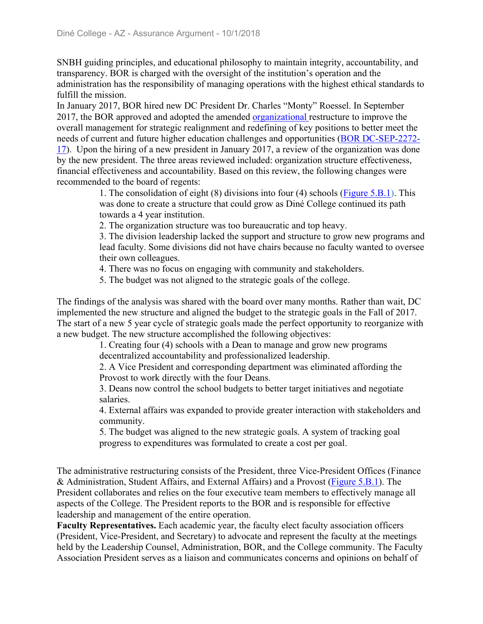SNBH guiding principles, and educational philosophy to maintain integrity, accountability, and transparency. BOR is charged with the oversight of the institution's operation and the administration has the responsibility of managing operations with the highest ethical standards to fulfill the mission.

In January 2017, BOR hired new DC President Dr. Charles "Monty" Roessel. In September 2017, the BOR approved and adopted the amended organizational restructure to improve the overall management for strategic realignment and redefining of key positions to better meet the needs of current and future higher education challenges and opportunities (BOR DC-SEP-2272- 17). Upon the hiring of a new president in January 2017, a review of the organization was done by the new president. The three areas reviewed included: organization structure effectiveness, financial effectiveness and accountability. Based on this review, the following changes were recommended to the board of regents:

> 1. The consolidation of eight (8) divisions into four (4) schools (Figure 5.B.1). This was done to create a structure that could grow as Diné College continued its path towards a 4 year institution.

2. The organization structure was too bureaucratic and top heavy.

3. The division leadership lacked the support and structure to grow new programs and lead faculty. Some divisions did not have chairs because no faculty wanted to oversee their own colleagues.

- 4. There was no focus on engaging with community and stakeholders.
- 5. The budget was not aligned to the strategic goals of the college.

The findings of the analysis was shared with the board over many months. Rather than wait, DC implemented the new structure and aligned the budget to the strategic goals in the Fall of 2017. The start of a new 5 year cycle of strategic goals made the perfect opportunity to reorganize with a new budget. The new structure accomplished the following objectives:

> 1. Creating four (4) schools with a Dean to manage and grow new programs decentralized accountability and professionalized leadership.

2. A Vice President and corresponding department was eliminated affording the Provost to work directly with the four Deans.

3. Deans now control the school budgets to better target initiatives and negotiate salaries.

4. External affairs was expanded to provide greater interaction with stakeholders and community.

5. The budget was aligned to the new strategic goals. A system of tracking goal progress to expenditures was formulated to create a cost per goal.

The administrative restructuring consists of the President, three Vice-President Offices (Finance & Administration, Student Affairs, and External Affairs) and a Provost (Figure 5.B.1). The President collaborates and relies on the four executive team members to effectively manage all aspects of the College. The President reports to the BOR and is responsible for effective leadership and management of the entire operation.

**Faculty Representatives.** Each academic year, the faculty elect faculty association officers (President, Vice-President, and Secretary) to advocate and represent the faculty at the meetings held by the Leadership Counsel, Administration, BOR, and the College community. The Faculty Association President serves as a liaison and communicates concerns and opinions on behalf of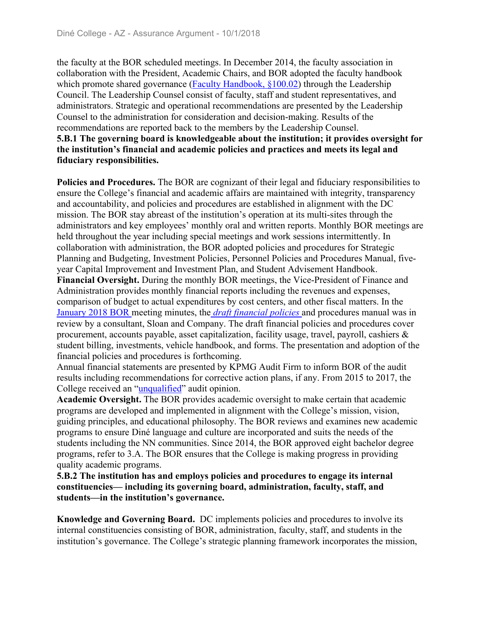the faculty at the BOR scheduled meetings. In December 2014, the faculty association in collaboration with the President, Academic Chairs, and BOR adopted the faculty handbook which promote shared governance (Faculty Handbook, §100.02) through the Leadership Council. The Leadership Counsel consist of faculty, staff and student representatives, and administrators. Strategic and operational recommendations are presented by the Leadership Counsel to the administration for consideration and decision-making. Results of the recommendations are reported back to the members by the Leadership Counsel. **5.B.1 The governing board is knowledgeable about the institution; it provides oversight for the institution's financial and academic policies and practices and meets its legal and fiduciary responsibilities.** 

**Policies and Procedures.** The BOR are cognizant of their legal and fiduciary responsibilities to ensure the College's financial and academic affairs are maintained with integrity, transparency and accountability, and policies and procedures are established in alignment with the DC mission. The BOR stay abreast of the institution's operation at its multi-sites through the administrators and key employees' monthly oral and written reports. Monthly BOR meetings are held throughout the year including special meetings and work sessions intermittently. In collaboration with administration, the BOR adopted policies and procedures for Strategic Planning and Budgeting, Investment Policies, Personnel Policies and Procedures Manual, fiveyear Capital Improvement and Investment Plan, and Student Advisement Handbook. **Financial Oversight.** During the monthly BOR meetings, the Vice-President of Finance and Administration provides monthly financial reports including the revenues and expenses, comparison of budget to actual expenditures by cost centers, and other fiscal matters. In the January 2018 BOR meeting minutes, the *draft financial policies* and procedures manual was in review by a consultant, Sloan and Company. The draft financial policies and procedures cover procurement, accounts payable, asset capitalization, facility usage, travel, payroll, cashiers & student billing, investments, vehicle handbook, and forms. The presentation and adoption of the financial policies and procedures is forthcoming.

Annual financial statements are presented by KPMG Audit Firm to inform BOR of the audit results including recommendations for corrective action plans, if any. From 2015 to 2017, the College received an "unqualified" audit opinion.

**Academic Oversight.** The BOR provides academic oversight to make certain that academic programs are developed and implemented in alignment with the College's mission, vision, guiding principles, and educational philosophy. The BOR reviews and examines new academic programs to ensure Diné language and culture are incorporated and suits the needs of the students including the NN communities. Since 2014, the BOR approved eight bachelor degree programs, refer to 3.A. The BOR ensures that the College is making progress in providing quality academic programs.

**5.B.2 The institution has and employs policies and procedures to engage its internal constituencies— including its governing board, administration, faculty, staff, and students—in the institution's governance.**

**Knowledge and Governing Board.** DC implements policies and procedures to involve its internal constituencies consisting of BOR, administration, faculty, staff, and students in the institution's governance. The College's strategic planning framework incorporates the mission,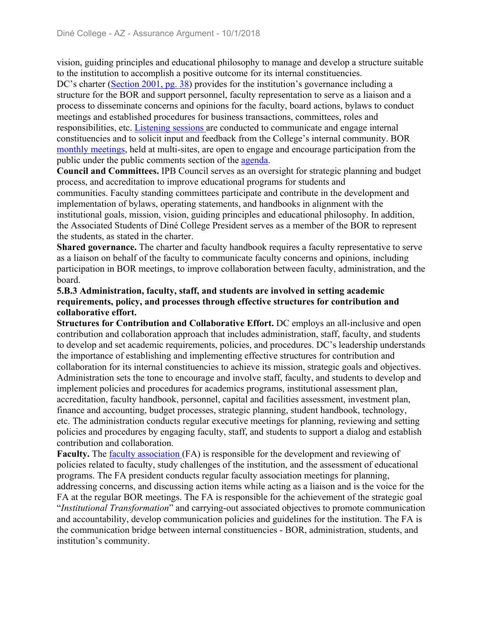vision, guiding principles and educational philosophy to manage and develop a structure suitable to the institution to accomplish a positive outcome for its internal constituencies.

DC's charter (Section 2001, pg. 38) provides for the institution's governance including a structure for the BOR and support personnel, faculty representation to serve as a liaison and a process to disseminate concerns and opinions for the faculty, board actions, bylaws to conduct meetings and established procedures for business transactions, committees, roles and responsibilities, etc. Listening sessions are conducted to communicate and engage internal constituencies and to solicit input and feedback from the College's internal community. BOR monthly meetings, held at multi-sites, are open to engage and encourage participation from the public under the public comments section of the agenda.

**Council and Committees.** IPB Council serves as an oversight for strategic planning and budget process, and accreditation to improve educational programs for students and communities. Faculty standing committees participate and contribute in the development and implementation of bylaws, operating statements, and handbooks in alignment with the institutional goals, mission, vision, guiding principles and educational philosophy. In addition, the Associated Students of Diné College President serves as a member of the BOR to represent the students, as stated in the charter.

**Shared governance.** The charter and faculty handbook requires a faculty representative to serve as a liaison on behalf of the faculty to communicate faculty concerns and opinions, including participation in BOR meetings, to improve collaboration between faculty, administration, and the board.

#### **5.B.3 Administration, faculty, staff, and students are involved in setting academic requirements, policy, and processes through effective structures for contribution and collaborative effort.**

**Structures for Contribution and Collaborative Effort.** DC employs an all-inclusive and open contribution and collaboration approach that includes administration, staff, faculty, and students to develop and set academic requirements, policies, and procedures. DC's leadership understands the importance of establishing and implementing effective structures for contribution and collaboration for its internal constituencies to achieve its mission, strategic goals and objectives. Administration sets the tone to encourage and involve staff, faculty, and students to develop and implement policies and procedures for academics programs, institutional assessment plan, accreditation, faculty handbook, personnel, capital and facilities assessment, investment plan, finance and accounting, budget processes, strategic planning, student handbook, technology, etc. The administration conducts regular executive meetings for planning, reviewing and setting policies and procedures by engaging faculty, staff, and students to support a dialog and establish contribution and collaboration.

Faculty. The faculty association (FA) is responsible for the development and reviewing of policies related to faculty, study challenges of the institution, and the assessment of educational programs. The FA president conducts regular faculty association meetings for planning, addressing concerns, and discussing action items while acting as a liaison and is the voice for the FA at the regular BOR meetings. The FA is responsible for the achievement of the strategic goal "*Institutional Transformation*" and carrying-out associated objectives to promote communication and accountability, develop communication policies and guidelines for the institution. The FA is the communication bridge between internal constituencies - BOR, administration, students, and institution's community.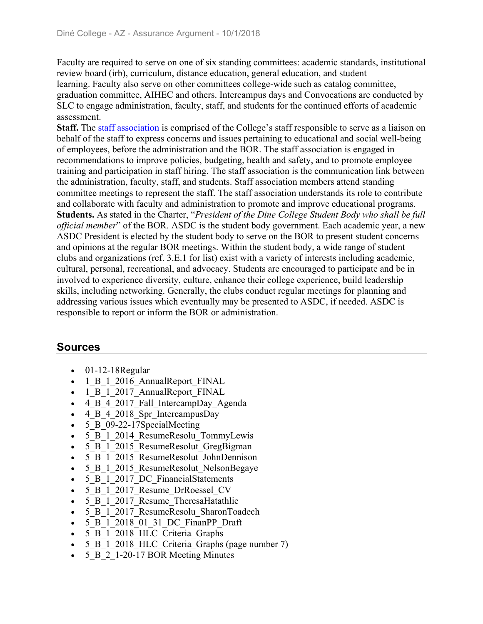Faculty are required to serve on one of six standing committees: academic standards, institutional review board (irb), curriculum, distance education, general education, and student learning. Faculty also serve on other committees college-wide such as catalog committee, graduation committee, AIHEC and others. Intercampus days and Convocations are conducted by SLC to engage administration, faculty, staff, and students for the continued efforts of academic assessment.

**Staff.** The staff association is comprised of the College's staff responsible to serve as a liaison on behalf of the staff to express concerns and issues pertaining to educational and social well-being of employees, before the administration and the BOR. The staff association is engaged in recommendations to improve policies, budgeting, health and safety, and to promote employee training and participation in staff hiring. The staff association is the communication link between the administration, faculty, staff, and students. Staff association members attend standing committee meetings to represent the staff. The staff association understands its role to contribute and collaborate with faculty and administration to promote and improve educational programs. **Students.** As stated in the Charter, "*President of the Dine College Student Body who shall be full official member*" of the BOR. ASDC is the student body government. Each academic year, a new ASDC President is elected by the student body to serve on the BOR to present student concerns and opinions at the regular BOR meetings. Within the student body, a wide range of student clubs and organizations (ref. 3.E.1 for list) exist with a variety of interests including academic, cultural, personal, recreational, and advocacy. Students are encouraged to participate and be in involved to experience diversity, culture, enhance their college experience, build leadership skills, including networking. Generally, the clubs conduct regular meetings for planning and addressing various issues which eventually may be presented to ASDC, if needed. ASDC is responsible to report or inform the BOR or administration.

## **Sources**

- $\bullet$  01-12-18 Regular
- 1 B 1 2016 AnnualReport FINAL
- 1 B 1 2017 AnnualReport FINAL
- 4 B 4 2017 Fall IntercampDay Agenda
- 4 B 4 2018 Spr IntercampusDay
- 5 B 09-22-17SpecialMeeting
- 5 B 1 2014 ResumeResolu TommyLewis
- 5 B 1 2015 ResumeResolut GregBigman
- 5 B 1 2015 ResumeResolut JohnDennison
- 5 B 1 2015 ResumeResolut NelsonBegaye
- 5 B 1 2017 DC FinancialStatements
- 5\_B\_1\_2017\_Resume\_DrRoessel\_CV
- 5 B 1 2017 Resume TheresaHatathlie
- 5 B 1 2017 ResumeResolu\_SharonToadech
- 5 B 1 2018 01 31 DC FinanPP Draft
- 5 B 1 2018 HLC Criteria Graphs
- 5 B 1 2018 HLC Criteria Graphs (page number 7)
- 5 B 2 1-20-17 BOR Meeting Minutes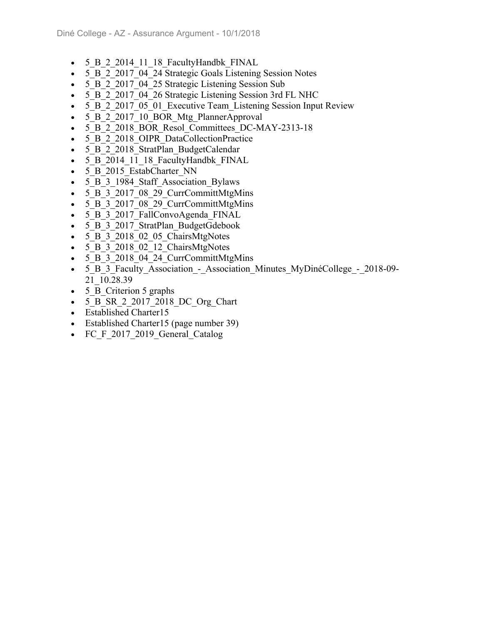- 5 B 2 2014 11 18 FacultyHandbk FINAL
- 5 B 2 2017 04 24 Strategic Goals Listening Session Notes
- 5 B 2 2017 04 25 Strategic Listening Session Sub
- 5 B 2 2017 04 26 Strategic Listening Session 3rd FL NHC
- 5 B 2 2017 05 01 Executive Team Listening Session Input Review
- 5 B 2 2017 10 BOR Mtg PlannerApproval
- 5 B 2 2018 BOR Resol Committees DC-MAY-2313-18
- 5 B 2 2018 OIPR DataCollectionPractice
- 5 B 2 2018 StratPlan BudgetCalendar
- 5 B 2014 11 18 FacultyHandbk FINAL
- 5 B 2015 EstabCharter NN
- 5 B 3 1984 Staff Association Bylaws
- 5 B 3 2017 08 29 CurrCommittMtgMins
- 5 B 3 2017 08 29 CurrCommittMtgMins
- 5 B 3 2017 FallConvoAgenda FINAL
- 5 B 3 2017 StratPlan BudgetGdebook
- 5 B 3 2018 02 05 ChairsMtgNotes
- 5 B 3 2018 02 12 ChairsMtgNotes
- 5 B 3 2018 04 24 CurrCommittMtgMins
- 5 B 3 Faculty Association Association Minutes MyDinéCollege 2018-09-21\_10.28.39
- 5 B Criterion 5 graphs
- 5 B SR 2 2017 2018 DC Org Chart
- Established Charter15
- Established Charter15 (page number 39)
- FC F 2017 2019 General Catalog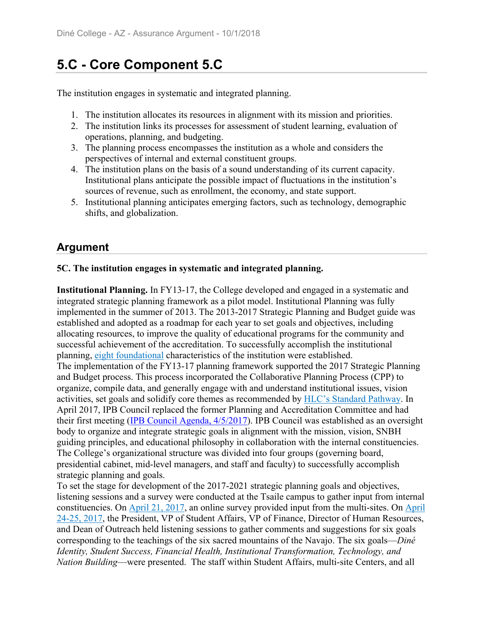# **5.C - Core Component 5.C**

The institution engages in systematic and integrated planning.

- 1. The institution allocates its resources in alignment with its mission and priorities.
- 2. The institution links its processes for assessment of student learning, evaluation of operations, planning, and budgeting.
- 3. The planning process encompasses the institution as a whole and considers the perspectives of internal and external constituent groups.
- 4. The institution plans on the basis of a sound understanding of its current capacity. Institutional plans anticipate the possible impact of fluctuations in the institution's sources of revenue, such as enrollment, the economy, and state support.
- 5. Institutional planning anticipates emerging factors, such as technology, demographic shifts, and globalization.

## **Argument**

#### **5C. The institution engages in systematic and integrated planning.**

**Institutional Planning.** In FY13-17, the College developed and engaged in a systematic and integrated strategic planning framework as a pilot model. Institutional Planning was fully implemented in the summer of 2013. The 2013-2017 Strategic Planning and Budget guide was established and adopted as a roadmap for each year to set goals and objectives, including allocating resources, to improve the quality of educational programs for the community and successful achievement of the accreditation. To successfully accomplish the institutional planning, eight foundational characteristics of the institution were established. The implementation of the FY13-17 planning framework supported the 2017 Strategic Planning and Budget process. This process incorporated the Collaborative Planning Process (CPP) to organize, compile data, and generally engage with and understand institutional issues, vision activities, set goals and solidify core themes as recommended by HLC's Standard Pathway. In April 2017, IPB Council replaced the former Planning and Accreditation Committee and had their first meeting (IPB Council Agenda, 4/5/2017). IPB Council was established as an oversight body to organize and integrate strategic goals in alignment with the mission, vision, SNBH guiding principles, and educational philosophy in collaboration with the internal constituencies. The College's organizational structure was divided into four groups (governing board, presidential cabinet, mid-level managers, and staff and faculty) to successfully accomplish strategic planning and goals.

To set the stage for development of the 2017-2021 strategic planning goals and objectives, listening sessions and a survey were conducted at the Tsaile campus to gather input from internal constituencies. On April 21, 2017, an online survey provided input from the multi-sites. On April 24-25, 2017, the President, VP of Student Affairs, VP of Finance, Director of Human Resources, and Dean of Outreach held listening sessions to gather comments and suggestions for six goals corresponding to the teachings of the six sacred mountains of the Navajo. The six goals—*Diné Identity, Student Success, Financial Health, Institutional Transformation, Technology, and Nation Building*—were presented. The staff within Student Affairs, multi-site Centers, and all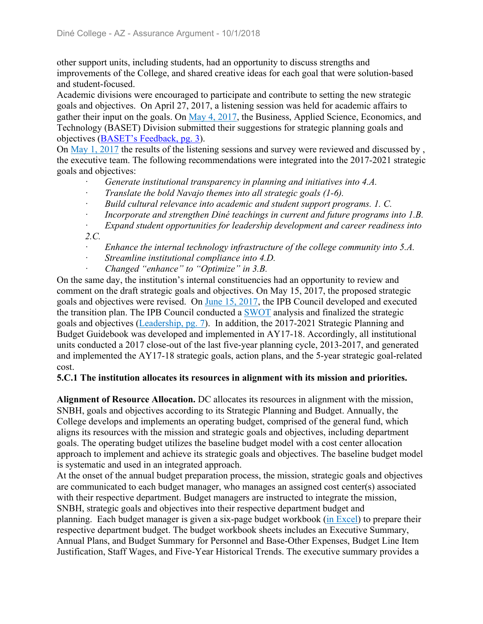other support units, including students, had an opportunity to discuss strengths and improvements of the College, and shared creative ideas for each goal that were solution-based and student-focused.

Academic divisions were encouraged to participate and contribute to setting the new strategic goals and objectives. On April 27, 2017, a listening session was held for academic affairs to gather their input on the goals. On May 4, 2017, the Business, Applied Science, Economics, and Technology (BASET) Division submitted their suggestions for strategic planning goals and objectives (BASET's Feedback, pg. 3).

On May 1, 2017 the results of the listening sessions and survey were reviewed and discussed by , the executive team. The following recommendations were integrated into the 2017-2021 strategic goals and objectives:

- ꞏ *Generate institutional transparency in planning and initiatives into 4.A.*
- ꞏ *Translate the bold Navajo themes into all strategic goals (1-6).*
- Build cultural relevance into academic and student support programs. 1. C.
- Incorporate and strengthen Diné teachings in current and future programs into 1.B.
- ꞏ *Expand student opportunities for leadership development and career readiness into 2.C.*
- Enhance the internal technology infrastructure of the college community into 5.A.
- ꞏ *Streamline institutional compliance into 4.D.*
- ꞏ *Changed "enhance" to "Optimize" in 3.B.*

On the same day, the institution's internal constituencies had an opportunity to review and comment on the draft strategic goals and objectives. On May 15, 2017, the proposed strategic goals and objectives were revised. On June 15, 2017, the IPB Council developed and executed the transition plan. The IPB Council conducted a SWOT analysis and finalized the strategic goals and objectives (Leadership, pg. 7). In addition, the 2017-2021 Strategic Planning and Budget Guidebook was developed and implemented in AY17-18. Accordingly, all institutional units conducted a 2017 close-out of the last five-year planning cycle, 2013-2017, and generated and implemented the AY17-18 strategic goals, action plans, and the 5-year strategic goal-related cost.

#### **5.C.1 The institution allocates its resources in alignment with its mission and priorities.**

**Alignment of Resource Allocation.** DC allocates its resources in alignment with the mission, SNBH, goals and objectives according to its Strategic Planning and Budget. Annually, the College develops and implements an operating budget, comprised of the general fund, which aligns its resources with the mission and strategic goals and objectives, including department goals. The operating budget utilizes the baseline budget model with a cost center allocation approach to implement and achieve its strategic goals and objectives. The baseline budget model is systematic and used in an integrated approach.

At the onset of the annual budget preparation process, the mission, strategic goals and objectives are communicated to each budget manager, who manages an assigned cost center(s) associated with their respective department. Budget managers are instructed to integrate the mission, SNBH, strategic goals and objectives into their respective department budget and planning. Each budget manager is given a six-page budget workbook (in Excel) to prepare their respective department budget. The budget workbook sheets includes an Executive Summary, Annual Plans, and Budget Summary for Personnel and Base-Other Expenses, Budget Line Item Justification, Staff Wages, and Five-Year Historical Trends. The executive summary provides a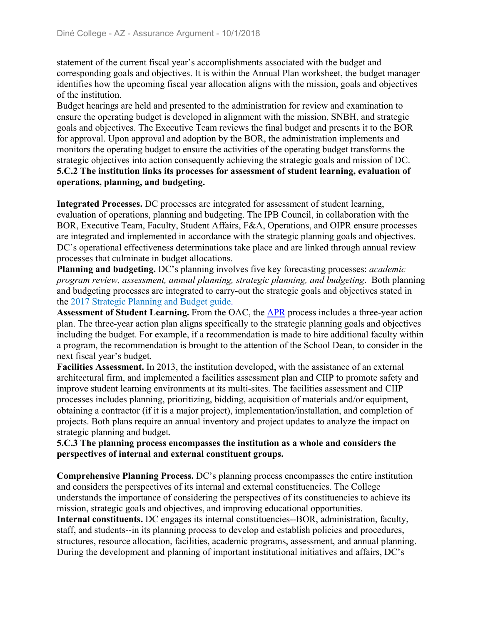statement of the current fiscal year's accomplishments associated with the budget and corresponding goals and objectives. It is within the Annual Plan worksheet, the budget manager identifies how the upcoming fiscal year allocation aligns with the mission, goals and objectives of the institution.

Budget hearings are held and presented to the administration for review and examination to ensure the operating budget is developed in alignment with the mission, SNBH, and strategic goals and objectives. The Executive Team reviews the final budget and presents it to the BOR for approval. Upon approval and adoption by the BOR, the administration implements and monitors the operating budget to ensure the activities of the operating budget transforms the strategic objectives into action consequently achieving the strategic goals and mission of DC. **5.C.2 The institution links its processes for assessment of student learning, evaluation of operations, planning, and budgeting.**

**Integrated Processes.** DC processes are integrated for assessment of student learning, evaluation of operations, planning and budgeting. The IPB Council, in collaboration with the BOR, Executive Team, Faculty, Student Affairs, F&A, Operations, and OIPR ensure processes are integrated and implemented in accordance with the strategic planning goals and objectives. DC's operational effectiveness determinations take place and are linked through annual review processes that culminate in budget allocations.

**Planning and budgeting.** DC's planning involves five key forecasting processes: *academic program review, assessment, annual planning, strategic planning, and budgeting*. Both planning and budgeting processes are integrated to carry-out the strategic goals and objectives stated in the 2017 Strategic Planning and Budget guide.

**Assessment of Student Learning.** From the OAC, the APR process includes a three-year action plan. The three-year action plan aligns specifically to the strategic planning goals and objectives including the budget. For example, if a recommendation is made to hire additional faculty within a program, the recommendation is brought to the attention of the School Dean, to consider in the next fiscal year's budget.

**Facilities Assessment.** In 2013, the institution developed, with the assistance of an external architectural firm, and implemented a facilities assessment plan and CIIP to promote safety and improve student learning environments at its multi-sites. The facilities assessment and CIIP processes includes planning, prioritizing, bidding, acquisition of materials and/or equipment, obtaining a contractor (if it is a major project), implementation/installation, and completion of projects. Both plans require an annual inventory and project updates to analyze the impact on strategic planning and budget.

#### **5.C.3 The planning process encompasses the institution as a whole and considers the perspectives of internal and external constituent groups.**

**Comprehensive Planning Process.** DC's planning process encompasses the entire institution and considers the perspectives of its internal and external constituencies. The College understands the importance of considering the perspectives of its constituencies to achieve its mission, strategic goals and objectives, and improving educational opportunities. **Internal constituents.** DC engages its internal constituencies--BOR, administration, faculty, staff, and students--in its planning process to develop and establish policies and procedures, structures, resource allocation, facilities, academic programs, assessment, and annual planning. During the development and planning of important institutional initiatives and affairs, DC's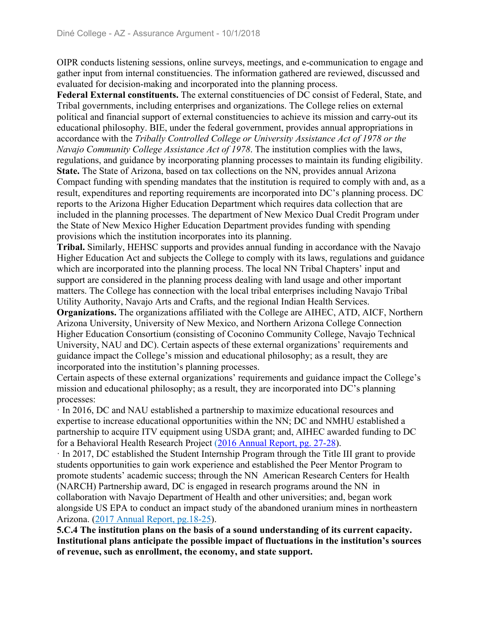OIPR conducts listening sessions, online surveys, meetings, and e-communication to engage and gather input from internal constituencies. The information gathered are reviewed, discussed and evaluated for decision-making and incorporated into the planning process.

**Federal External constituents.** The external constituencies of DC consist of Federal, State, and Tribal governments, including enterprises and organizations. The College relies on external political and financial support of external constituencies to achieve its mission and carry-out its educational philosophy. BIE, under the federal government, provides annual appropriations in accordance with the *Tribally Controlled College or University Assistance Act of 1978 or the Navajo Community College Assistance Act of 1978*. The institution complies with the laws, regulations, and guidance by incorporating planning processes to maintain its funding eligibility. **State.** The State of Arizona, based on tax collections on the NN, provides annual Arizona Compact funding with spending mandates that the institution is required to comply with and, as a result, expenditures and reporting requirements are incorporated into DC's planning process. DC reports to the Arizona Higher Education Department which requires data collection that are included in the planning processes. The department of New Mexico Dual Credit Program under the State of New Mexico Higher Education Department provides funding with spending provisions which the institution incorporates into its planning.

**Tribal.** Similarly, HEHSC supports and provides annual funding in accordance with the Navajo Higher Education Act and subjects the College to comply with its laws, regulations and guidance which are incorporated into the planning process. The local NN Tribal Chapters' input and support are considered in the planning process dealing with land usage and other important matters. The College has connection with the local tribal enterprises including Navajo Tribal Utility Authority, Navajo Arts and Crafts, and the regional Indian Health Services.

**Organizations.** The organizations affiliated with the College are AIHEC, ATD, AICF, Northern Arizona University, University of New Mexico, and Northern Arizona College Connection Higher Education Consortium (consisting of Coconino Community College, Navajo Technical University, NAU and DC). Certain aspects of these external organizations' requirements and guidance impact the College's mission and educational philosophy; as a result, they are incorporated into the institution's planning processes.

Certain aspects of these external organizations' requirements and guidance impact the College's mission and educational philosophy; as a result, they are incorporated into DC's planning processes:

ꞏ In 2016, DC and NAU established a partnership to maximize educational resources and expertise to increase educational opportunities within the NN; DC and NMHU established a partnership to acquire ITV equipment using USDA grant; and, AIHEC awarded funding to DC for a Behavioral Health Research Project (2016 Annual Report, pg. 27-28).

ꞏ In 2017, DC established the Student Internship Program through the Title III grant to provide students opportunities to gain work experience and established the Peer Mentor Program to promote students' academic success; through the NN American Research Centers for Health (NARCH) Partnership award, DC is engaged in research programs around the NN in collaboration with Navajo Department of Health and other universities; and, began work alongside US EPA to conduct an impact study of the abandoned uranium mines in northeastern Arizona. (2017 Annual Report, pg.18-25).

**5.C.4 The institution plans on the basis of a sound understanding of its current capacity. Institutional plans anticipate the possible impact of fluctuations in the institution's sources of revenue, such as enrollment, the economy, and state support.**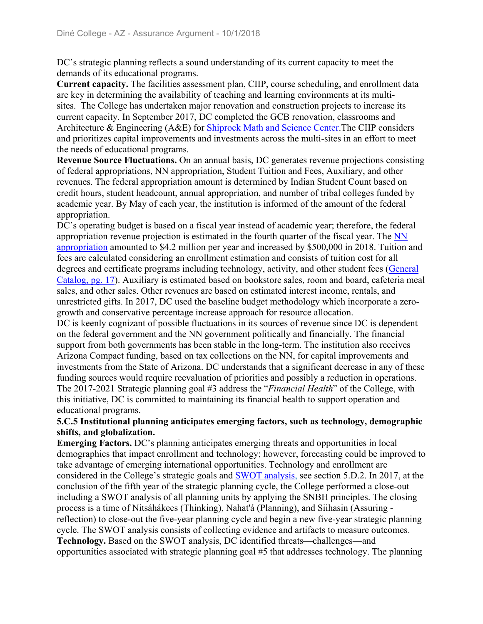DC's strategic planning reflects a sound understanding of its current capacity to meet the demands of its educational programs.

**Current capacity.** The facilities assessment plan, CIIP, course scheduling, and enrollment data are key in determining the availability of teaching and learning environments at its multisites. The College has undertaken major renovation and construction projects to increase its current capacity. In September 2017, DC completed the GCB renovation, classrooms and Architecture & Engineering (A&E) for Shiprock Math and Science Center.The CIIP considers and prioritizes capital improvements and investments across the multi-sites in an effort to meet the needs of educational programs.

**Revenue Source Fluctuations.** On an annual basis, DC generates revenue projections consisting of federal appropriations, NN appropriation, Student Tuition and Fees, Auxiliary, and other revenues. The federal appropriation amount is determined by Indian Student Count based on credit hours, student headcount, annual appropriation, and number of tribal colleges funded by academic year. By May of each year, the institution is informed of the amount of the federal appropriation.

DC's operating budget is based on a fiscal year instead of academic year; therefore, the federal appropriation revenue projection is estimated in the fourth quarter of the fiscal year. The NN appropriation amounted to \$4.2 million per year and increased by \$500,000 in 2018. Tuition and fees are calculated considering an enrollment estimation and consists of tuition cost for all degrees and certificate programs including technology, activity, and other student fees (General Catalog, pg. 17). Auxiliary is estimated based on bookstore sales, room and board, cafeteria meal sales, and other sales. Other revenues are based on estimated interest income, rentals, and unrestricted gifts. In 2017, DC used the baseline budget methodology which incorporate a zerogrowth and conservative percentage increase approach for resource allocation.

DC is keenly cognizant of possible fluctuations in its sources of revenue since DC is dependent on the federal government and the NN government politically and financially. The financial support from both governments has been stable in the long-term. The institution also receives Arizona Compact funding, based on tax collections on the NN, for capital improvements and investments from the State of Arizona. DC understands that a significant decrease in any of these funding sources would require reevaluation of priorities and possibly a reduction in operations. The 2017-2021 Strategic planning goal #3 address the "*Financial Health*" of the College, with this initiative, DC is committed to maintaining its financial health to support operation and educational programs.

#### **5.C.5 Institutional planning anticipates emerging factors, such as technology, demographic shifts, and globalization.**

**Emerging Factors.** DC's planning anticipates emerging threats and opportunities in local demographics that impact enrollment and technology; however, forecasting could be improved to take advantage of emerging international opportunities. Technology and enrollment are considered in the College's strategic goals and SWOT analysis, see section 5.D.2. In 2017, at the conclusion of the fifth year of the strategic planning cycle, the College performed a close-out including a SWOT analysis of all planning units by applying the SNBH principles. The closing process is a time of Nitsáhákees (Thinking), Nahat'á (Planning), and Siihasin (Assuring reflection) to close-out the five-year planning cycle and begin a new five-year strategic planning cycle. The SWOT analysis consists of collecting evidence and artifacts to measure outcomes. **Technology.** Based on the SWOT analysis, DC identified threats—challenges—and opportunities associated with strategic planning goal #5 that addresses technology. The planning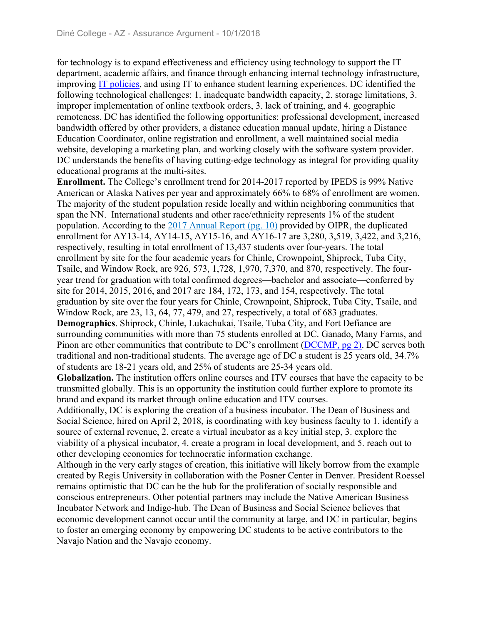for technology is to expand effectiveness and efficiency using technology to support the IT department, academic affairs, and finance through enhancing internal technology infrastructure, improving IT policies, and using IT to enhance student learning experiences. DC identified the following technological challenges: 1. inadequate bandwidth capacity, 2. storage limitations, 3. improper implementation of online textbook orders, 3. lack of training, and 4. geographic remoteness. DC has identified the following opportunities: professional development, increased bandwidth offered by other providers, a distance education manual update, hiring a Distance Education Coordinator, online registration and enrollment, a well maintained social media website, developing a marketing plan, and working closely with the software system provider. DC understands the benefits of having cutting-edge technology as integral for providing quality educational programs at the multi-sites.

**Enrollment.** The College's enrollment trend for 2014-2017 reported by IPEDS is 99% Native American or Alaska Natives per year and approximately 66% to 68% of enrollment are women. The majority of the student population reside locally and within neighboring communities that span the NN. International students and other race/ethnicity represents 1% of the student population. According to the 2017 Annual Report (pg. 10) provided by OIPR, the duplicated enrollment for AY13-14, AY14-15, AY15-16, and AY16-17 are 3,280, 3,519, 3,422, and 3,216, respectively, resulting in total enrollment of 13,437 students over four-years. The total enrollment by site for the four academic years for Chinle, Crownpoint, Shiprock, Tuba City, Tsaile, and Window Rock, are 926, 573, 1,728, 1,970, 7,370, and 870, respectively. The fouryear trend for graduation with total confirmed degrees—bachelor and associate—conferred by site for 2014, 2015, 2016, and 2017 are 184, 172, 173, and 154, respectively. The total graduation by site over the four years for Chinle, Crownpoint, Shiprock, Tuba City, Tsaile, and Window Rock, are 23, 13, 64, 77, 479, and 27, respectively, a total of 683 graduates. **Demographics**. Shiprock, Chinle, Lukachukai, Tsaile, Tuba City, and Fort Defiance are surrounding communities with more than 75 students enrolled at DC. Ganado, Many Farms, and Pinon are other communities that contribute to DC's enrollment (DCCMP, pg 2). DC serves both traditional and non-traditional students. The average age of DC a student is 25 years old, 34.7% of students are 18-21 years old, and 25% of students are 25-34 years old.

**Globalization.** The institution offers online courses and ITV courses that have the capacity to be transmitted globally. This is an opportunity the institution could further explore to promote its brand and expand its market through online education and ITV courses.

Additionally, DC is exploring the creation of a business incubator. The Dean of Business and Social Science, hired on April 2, 2018, is coordinating with key business faculty to 1. identify a source of external revenue, 2. create a virtual incubator as a key initial step, 3. explore the viability of a physical incubator, 4. create a program in local development, and 5. reach out to other developing economies for technocratic information exchange.

Although in the very early stages of creation, this initiative will likely borrow from the example created by Regis University in collaboration with the Posner Center in Denver. President Roessel remains optimistic that DC can be the hub for the proliferation of socially responsible and conscious entrepreneurs. Other potential partners may include the Native American Business Incubator Network and Indige-hub. The Dean of Business and Social Science believes that economic development cannot occur until the community at large, and DC in particular, begins to foster an emerging economy by empowering DC students to be active contributors to the Navajo Nation and the Navajo economy.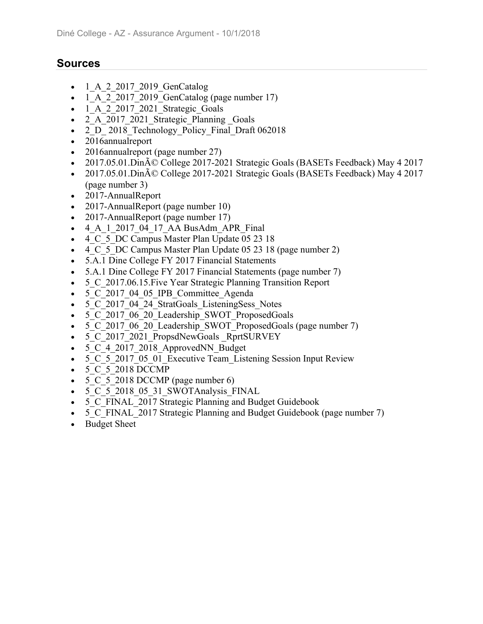## **Sources**

- 1\_A\_2\_2017\_2019\_GenCatalog
- 1\_A\_2\_2017\_2019\_GenCatalog (page number 17)
- $-1$  A 2 2017 2021 Strategic Goals
- 2 A 2017 2021 Strategic Planning Goals
- 2 D 2018 Technology Policy Final Draft 062018
- 2016annualreport
- 2016annualreport (page number 27)
- 2017.05.01.Din $\tilde{A}$ © College 2017-2021 Strategic Goals (BASETs Feedback) May 4 2017
- 2017.05.01.Din $\tilde{A}$ © College 2017-2021 Strategic Goals (BASETs Feedback) May 4 2017 (page number 3)
- 2017-AnnualReport
- 2017-AnnualReport (page number 10)
- 2017-AnnualReport (page number 17)
- 4 A 1 2017 04 17 AA BusAdm APR Final
- 4 C 5 DC Campus Master Plan Update 05 23 18
- 4 C 5 DC Campus Master Plan Update 05 23 18 (page number 2)
- 5.A.1 Dine College FY 2017 Financial Statements
- 5.A.1 Dine College FY 2017 Financial Statements (page number 7)
- 5 C 2017.06.15. Five Year Strategic Planning Transition Report
- 5 C 2017 04 05 IPB Committee Agenda
- 5 C 2017 04 24 StratGoals ListeningSess Notes
- 5 C 2017 06 20 Leadership SWOT ProposedGoals
- 5 C 2017 06 20 Leadership SWOT ProposedGoals (page number 7)
- 5 C 2017 2021 PropsdNewGoals RprtSURVEY
- 5 C 4 2017 2018 ApprovedNN Budget
- 5 C 5 2017 05 01 Executive Team Listening Session Input Review
- 5 C 5 2018 DCCMP
- $\bullet$  5 C 5 2018 DCCMP (page number 6)
- 5\_C\_5\_2018\_05\_31\_SWOTAnalysis\_FINAL
- 5 C FINAL 2017 Strategic Planning and Budget Guidebook
- 5 C FINAL 2017 Strategic Planning and Budget Guidebook (page number 7)
- Budget Sheet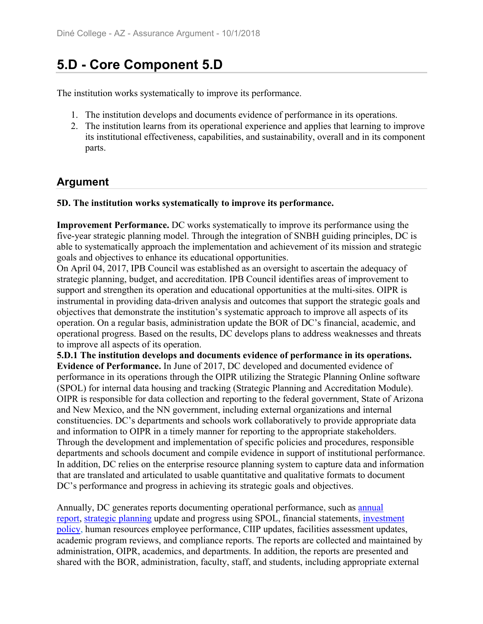# **5.D - Core Component 5.D**

The institution works systematically to improve its performance.

- 1. The institution develops and documents evidence of performance in its operations.
- 2. The institution learns from its operational experience and applies that learning to improve its institutional effectiveness, capabilities, and sustainability, overall and in its component parts.

## **Argument**

#### **5D. The institution works systematically to improve its performance.**

**Improvement Performance.** DC works systematically to improve its performance using the five-year strategic planning model. Through the integration of SNBH guiding principles, DC is able to systematically approach the implementation and achievement of its mission and strategic goals and objectives to enhance its educational opportunities.

On April 04, 2017, IPB Council was established as an oversight to ascertain the adequacy of strategic planning, budget, and accreditation. IPB Council identifies areas of improvement to support and strengthen its operation and educational opportunities at the multi-sites. OIPR is instrumental in providing data-driven analysis and outcomes that support the strategic goals and objectives that demonstrate the institution's systematic approach to improve all aspects of its operation. On a regular basis, administration update the BOR of DC's financial, academic, and operational progress. Based on the results, DC develops plans to address weaknesses and threats to improve all aspects of its operation.

**5.D.1 The institution develops and documents evidence of performance in its operations. Evidence of Performance.** In June of 2017, DC developed and documented evidence of performance in its operations through the OIPR utilizing the Strategic Planning Online software (SPOL) for internal data housing and tracking (Strategic Planning and Accreditation Module). OIPR is responsible for data collection and reporting to the federal government, State of Arizona and New Mexico, and the NN government, including external organizations and internal constituencies. DC's departments and schools work collaboratively to provide appropriate data and information to OIPR in a timely manner for reporting to the appropriate stakeholders. Through the development and implementation of specific policies and procedures, responsible departments and schools document and compile evidence in support of institutional performance. In addition, DC relies on the enterprise resource planning system to capture data and information that are translated and articulated to usable quantitative and qualitative formats to document DC's performance and progress in achieving its strategic goals and objectives.

Annually, DC generates reports documenting operational performance, such as annual report, strategic planning update and progress using SPOL, financial statements, investment policy, human resources employee performance, CIIP updates, facilities assessment updates, academic program reviews, and compliance reports. The reports are collected and maintained by administration, OIPR, academics, and departments. In addition, the reports are presented and shared with the BOR, administration, faculty, staff, and students, including appropriate external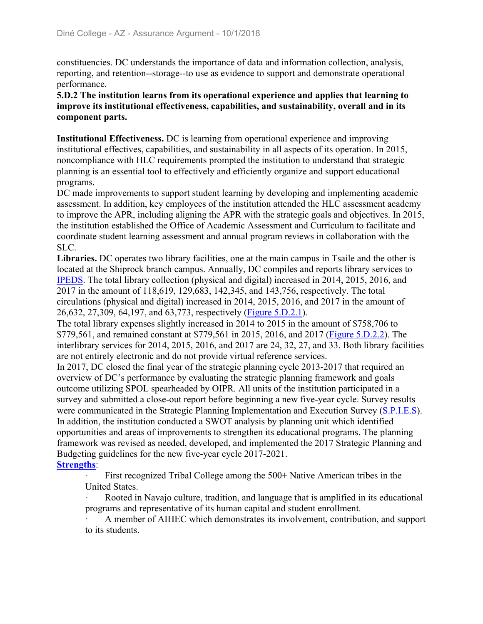constituencies. DC understands the importance of data and information collection, analysis, reporting, and retention--storage--to use as evidence to support and demonstrate operational performance.

#### **5.D.2 The institution learns from its operational experience and applies that learning to improve its institutional effectiveness, capabilities, and sustainability, overall and in its component parts.**

**Institutional Effectiveness.** DC is learning from operational experience and improving institutional effectives, capabilities, and sustainability in all aspects of its operation. In 2015, noncompliance with HLC requirements prompted the institution to understand that strategic planning is an essential tool to effectively and efficiently organize and support educational programs.

DC made improvements to support student learning by developing and implementing academic assessment. In addition, key employees of the institution attended the HLC assessment academy to improve the APR, including aligning the APR with the strategic goals and objectives. In 2015, the institution established the Office of Academic Assessment and Curriculum to facilitate and coordinate student learning assessment and annual program reviews in collaboration with the SLC.

**Libraries.** DC operates two library facilities, one at the main campus in Tsaile and the other is located at the Shiprock branch campus. Annually, DC compiles and reports library services to IPEDS. The total library collection (physical and digital) increased in 2014, 2015, 2016, and 2017 in the amount of 118,619, 129,683, 142,345, and 143,756, respectively. The total circulations (physical and digital) increased in 2014, 2015, 2016, and 2017 in the amount of 26,632, 27,309, 64,197, and 63,773, respectively (Figure 5.D.2.1).

The total library expenses slightly increased in 2014 to 2015 in the amount of \$758,706 to \$779,561, and remained constant at \$779,561 in 2015, 2016, and 2017 (Figure 5.D.2.2). The interlibrary services for 2014, 2015, 2016, and 2017 are 24, 32, 27, and 33. Both library facilities are not entirely electronic and do not provide virtual reference services.

In 2017, DC closed the final year of the strategic planning cycle 2013-2017 that required an overview of DC's performance by evaluating the strategic planning framework and goals outcome utilizing SPOL spearheaded by OIPR. All units of the institution participated in a survey and submitted a close-out report before beginning a new five-year cycle. Survey results were communicated in the Strategic Planning Implementation and Execution Survey (S.P.I.E.S). In addition, the institution conducted a SWOT analysis by planning unit which identified opportunities and areas of improvements to strengthen its educational programs. The planning framework was revised as needed, developed, and implemented the 2017 Strategic Planning and Budgeting guidelines for the new five-year cycle 2017-2021.

#### **Strengths**:

First recognized Tribal College among the 500+ Native American tribes in the United States.

Rooted in Navajo culture, tradition, and language that is amplified in its educational programs and representative of its human capital and student enrollment.

ꞏ A member of AIHEC which demonstrates its involvement, contribution, and support to its students.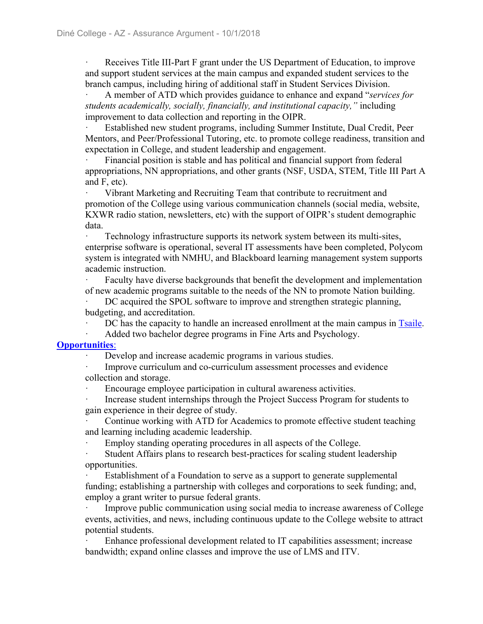ꞏ Receives Title III-Part F grant under the US Department of Education, to improve and support student services at the main campus and expanded student services to the branch campus, including hiring of additional staff in Student Services Division.

ꞏ A member of ATD which provides guidance to enhance and expand "*services for students academically, socially, financially, and institutional capacity,"* including improvement to data collection and reporting in the OIPR.

ꞏ Established new student programs, including Summer Institute, Dual Credit, Peer Mentors, and Peer/Professional Tutoring, etc. to promote college readiness, transition and expectation in College, and student leadership and engagement.

Financial position is stable and has political and financial support from federal appropriations, NN appropriations, and other grants (NSF, USDA, STEM, Title III Part A and F, etc).

Vibrant Marketing and Recruiting Team that contribute to recruitment and promotion of the College using various communication channels (social media, website, KXWR radio station, newsletters, etc) with the support of OIPR's student demographic data.

ꞏ Technology infrastructure supports its network system between its multi-sites, enterprise software is operational, several IT assessments have been completed, Polycom system is integrated with NMHU, and Blackboard learning management system supports academic instruction.

ꞏ Faculty have diverse backgrounds that benefit the development and implementation of new academic programs suitable to the needs of the NN to promote Nation building.

DC acquired the SPOL software to improve and strengthen strategic planning, budgeting, and accreditation.

DC has the capacity to handle an increased enrollment at the main campus in Tsaile.

#### Added two bachelor degree programs in Fine Arts and Psychology.

#### **Opportunities**:

Develop and increase academic programs in various studies.

Improve curriculum and co-curriculum assessment processes and evidence collection and storage.

Encourage employee participation in cultural awareness activities.

ꞏ Increase student internships through the Project Success Program for students to gain experience in their degree of study.

Continue working with ATD for Academics to promote effective student teaching and learning including academic leadership.

Employ standing operating procedures in all aspects of the College.

Student Affairs plans to research best-practices for scaling student leadership opportunities.

Establishment of a Foundation to serve as a support to generate supplemental funding; establishing a partnership with colleges and corporations to seek funding; and, employ a grant writer to pursue federal grants.

Improve public communication using social media to increase awareness of College events, activities, and news, including continuous update to the College website to attract potential students.

ꞏ Enhance professional development related to IT capabilities assessment; increase bandwidth; expand online classes and improve the use of LMS and ITV.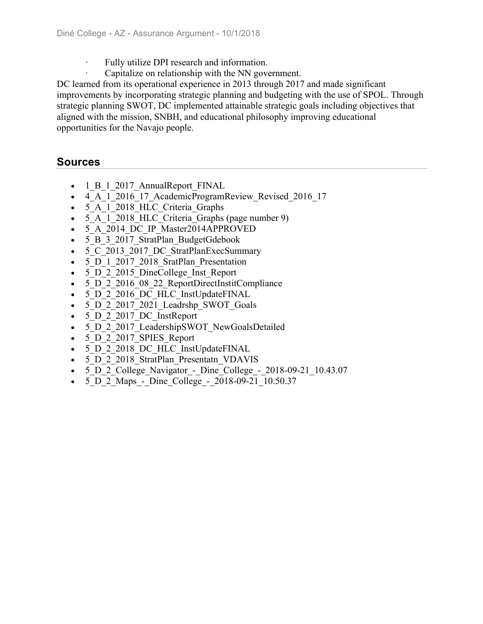- Fully utilize DPI research and information.
- Capitalize on relationship with the NN government.

DC learned from its operational experience in 2013 through 2017 and made significant improvements by incorporating strategic planning and budgeting with the use of SPOL. Through strategic planning SWOT, DC implemented attainable strategic goals including objectives that aligned with the mission, SNBH, and educational philosophy improving educational opportunities for the Navajo people.

### **Sources**

- 1 B 1 2017 AnnualReport FINAL
- 4 A 1 2016 17 AcademicProgramReview Revised 2016 17
- 5\_A\_1\_2018\_HLC\_Criteria\_Graphs
- 5 A 1 2018 HLC Criteria Graphs (page number 9)
- 5 A 2014 DC IP Master2014APPROVED
- 5 B 3 2017 StratPlan BudgetGdebook
- 5 C 2013 2017 DC StratPlanExecSummary
- 5 D 1 2017 2018 SratPlan Presentation
- 5 D 2 2015 DineCollege Inst Report
- 5 D 2 2016 08 22 ReportDirectInstitCompliance
- 5 D 2 2016 DC HLC InstUpdateFINAL
- 5 D 2 2017 2021 Leadrshp SWOT Goals
- 5 D 2 2017 DC InstReport
- 5 D 2 2017 LeadershipSWOT NewGoalsDetailed
- 5 D 2 2017 SPIES Report
- 5\_D\_2\_2018\_DC\_HLC\_InstUpdateFINAL
- 5 D 2 2018 StratPlan Presentatn VDAVIS
- 5\_D\_2\_College\_Navigator\_-\_Dine\_College\_-\_2018-09-21\_10.43.07
- 5 D 2 Maps Dine College 2018-09-21 10.50.37